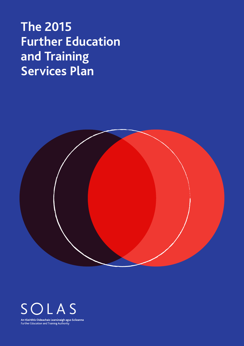# **The 2015 Further Education and Training Services Plan**





An tSeirbhís Oideachais Leanúnaigh agus Scileanna<br>Further Education and Training Authority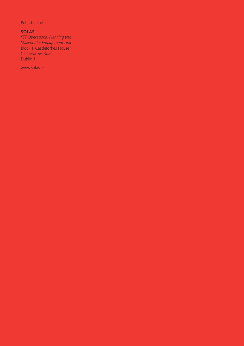Published by

## **SOLAS**

*FET Operational Planning and Stakeholder Engagement Unit* Block 1, Castleforbes House Castleforbes Road Dublin 1

www.solas.ie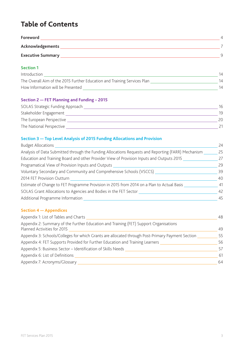# **Table of Contents**

| Foreword                 |  |
|--------------------------|--|
| Acknowledgements         |  |
| <b>Executive Summary</b> |  |

## **Section 1**

| Introduction                                                             |    |
|--------------------------------------------------------------------------|----|
| The Overall Aim of the 2015 Further Education and Training Services Plan | 14 |
| How Information will be Presented                                        | 14 |

## **Section 2 — FET Planning and Funding – 2015**

| SOLAS Strategic Funding Approach | 16  |
|----------------------------------|-----|
| Stakeholder Engagement           | 19  |
| The European Perspective         | 20. |
| The National Perspective         |     |

## **Section 3 — Top Level Analysis of 2015 Funding Allocations and Provision**

| <b>Budget Allocations</b>                                                                          | 24 |
|----------------------------------------------------------------------------------------------------|----|
| Analysis of Data Submitted through the Funding Allocations Requests and Reporting (FARR) Mechanism | 25 |
| Education and Training Board and other Provider View of Provision Inputs and Outputs 2015          | 27 |
| Programatical View of Provision Inputs and Outputs                                                 | 29 |
| Voluntary Secondary and Community and Comprehensive Schools (VSCCS)                                | 39 |
| 2014 FET Provision Outturn                                                                         | 40 |
| Estimate of Change to FET Programme Provision in 2015 from 2014 on a Plan to Actual Basis          | 41 |
| SOLAS Grant Allocations to Agencies and Bodies in the FET Sector                                   | 42 |
| Additional Programme Information                                                                   | 45 |
|                                                                                                    |    |

## **Section 4 — Appendices**

| Appendix 1: List of Tables and Charts                                                                                | 48 |
|----------------------------------------------------------------------------------------------------------------------|----|
| Appendix 2: Summary of the Further Education and Training (FET) Support Organisations<br>Planned Activities for 2015 | 49 |
| Appendix 3: Schools/Colleges for which Grants are allocated through Post-Primary Payment Section                     | 55 |
| Appendix 4: FET Supports Provided for Further Education and Training Learners                                        | 56 |
| Appendix 5: Business Sector - Identification of Skills Needs                                                         | 57 |
| Appendix 6: List of Definitions                                                                                      | 61 |
| Appendix 7: Acronyms/Glossary                                                                                        | 64 |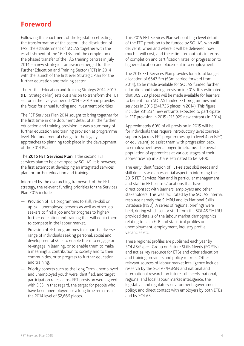## **Foreword**

Following the enactment of the legislation effecting the transformation of the sector – the dissolution of FÁS, the establishment of SOLAS together with the establishment of the 16 ETBs, and the completion of the phased transfer of the FÁS training centres in July 2014 – a new strategic framework emerged for the Further Education and Training Sector (FET) in 2014 with the launch of the first ever Strategic Plan for the further education and training sector.

The Further Education and Training Strategy 2014-2019 (FET Strategic Plan) sets out a vision to transform the FET sector in the five year period 2014 – 2019 and provides the focus for annual funding and investment priorities.

The FET Services Plan 2014 sought to bring together for the first time in one document detail of all the further education and training provision. It was a summary of further education and training provision at programme level. No fundamental change to the legacy approaches to planning took place in the development of the 2014 Plan.

The **2015 FET Services Plan** is the second FET services plan to be developed by SOLAS. It is however, the first attempt at developing an integrated services plan for further education and training.

Informed by the overarching framework of the FET strategy, the relevant funding priorities for the Services Plan 2015 include:

- Provision of FET programmes to skill, re-skill or up-skill unemployed persons as well as other job seekers to find a job and/or progress to higher/ further education and training that will equip them to compete in the labour market.
- Provision of FET programmes to support a diverse range of individuals seeking personal, social and developmental skills to enable them to engage or re-engage in learning, or to enable them to make a meaningful contribution to society and to their communities, or to progress to further education and training.
- Priority cohorts such as the Long Term Unemployed and unemployed youth were identified, and target participation rates across FET provision were agreed with DES. In that regard, the target for people who have been unemployed for a long time remains at the 2014 level of 52,666 places.

This 2015 FET Services Plan sets out high level detail of the FET provision to be funded by SOLAS, who will deliver it, when and where it will be delivered, how much it will cost, and the estimated outputs in terms of completion and certification rates, or progression to higher education and placement into employment.

The 2015 FET Services Plan provides for a total budget allocation of €643.5m (€3m carried forward from 2014), to be made available for SOLAS funded further education and training provision in 2015. It is estimated that 369,523 places will be made available for learners to benefit from SOLAS funded FET programmes and services in 2015 (341,726 places in 2014). This figure includes 231,234 new entrants expected to participate in FET provision in 2015 (215,929 new entrants in 2014).

Approximately 60% of all provision in 2015 will be for individuals that require introductory level courses/ supports (across FET programmes up to level 4 on NFQ or equivalent) to assist them with progression back to employment over a longer timeframe. The overall population of apprentices at various stages of their apprenticeship in 2015 is estimated to be 7,400.

The early identification of FET-related skill needs and skill deficits was an essential aspect in informing the 2015 FET Services Plan and in particular management and staff in FET centres/locations that have direct contact with learners, employers and other stakeholders. This was facilitated by the SOLAS internal resource namely the SLMRU and its National Skills Database (NSD). A series of regional briefings were held, during which senior staff from the SOLAS SMLRU provided details of the labour market demographics relating to each ETB and statistical profiles on unemployment, employment, industry profile, vacancies etc.

These regional profiles are published each year by SOLAS/Expert Group on Future Skills Needs (EGFSN) and act as key resource for ETBs and other education and training providers and policy makers. Other relevant sources of labour market intelligence include: research by the SOLAS/EGFSN and national and international research on future skill needs; national, regional and local labour market intelligence; the legislative and regulatory environment; government policy; and direct contact with employers by both ETBs and by SOLAS.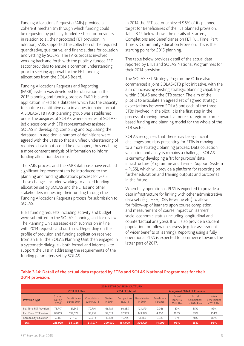Funding Allocations Requests (FARs) provided a coherent mechanism through which funding could be requested by publicly-funded FET sector providers in relation to all their proposed FET provision. In addition, FARs supported the collection of the required quantitative, qualitative, and financial data for collation and vetting by SOLAS. The FARs process involved working back and forth with the publicly-funded FET sector providers to ensure a common understanding prior to seeking approval for the FET funding allocations from the SOLAS Board.

Funding Allocations Requests and Reporting (FARR) system was developed for utilisation in the 2015 planning and funding process. FARR is a web application linked to a database which has the capacity to capture quantitative data in a questionnaire format. A SOLAS/ETB FARR planning group was established under the auspices of SOLAS where a series of SOLASled discussions with ETB representatives assisted SOLAS in developing, compiling and populating the database. In addition, a number of definitions were agreed with the ETBs so that a unified understanding of required data inputs could be developed, thus enabling a more coherent analysis of information to inform funding allocation decisions.

The FARs process and the FARR database have enabled significant improvements to be introduced to the planning and funding allocations process for 2015. These changes included working to a fixed funding allocation set by SOLAS and the ETBs and other stakeholders requesting their funding through the Funding Allocations Requests process for submission to SOLAS.

ETBs funding requests including activity and budget were submitted to the SOLAS Planning Unit for review. The Planning Unit assessed each submission in line with 2014 requests and outturns. Depending on the profile of provision and funding application received from an ETB, the SOLAS Planning Unit then engaged in a systematic dialogue - both formal and informal - to support the ETB in addressing the requirements of the funding parameters set by SOLAS.

In 2014 the FET sector achieved 96% of its planned target for Beneficiaries of the FET planned provision. Table 3.14 below shows the details of Starters, Completions and Beneficiaries on FET Full Time, Part Time & Community Education Provision. This is the starting point for 2015 planning.

The table below provides detail of the actual data reported by ETBs and SOLAS National Programmes for their 2014 provision.

The SOLAS FET Strategy Programme Office also commenced a joint SOLAS/ETB pilot initiative, with the aim of increasing existing strategic planning capability within SOLAS and the ETB sector. The aim of the pilot is to articulate an agreed set of agreed strategic expectations between SOLAS and each of the three ETBs involved in the pilot. It is the first step in the process of moving towards a more strategic outcomesbased funding and planning model for the whole of the ETB sector.

SOLAS recognises that there may be significant challenges and risks presenting for ETBs in moving to a more strategic planning process. Data collection validation and analysis remains a challenge. SOLAS is currently developing a 'fit for purpose' data infrastructure (Programme and Learner Support System – PLSS), which will provide a platform for reporting on further education and training outputs and outcomes in the future.

When fully operational, PLSS is expected to provide a data infrastructure for linking with other administrative data sets (e.g. HEA, DSP, Revenue etc.) to allow for follow-up of learners upon course completion, and measurement of course impact on learners' socio-economic status (including longitudinal and counterfactual analyses). It will also provide a student population for follow up surveys (e.g. for assessment of wider benefits of learning). Reporting using a fully operational PLSS is expected to commence towards the latter part of 2017.

#### **Table 3.14: Detail of the actual data reported by ETBs and SOLAS National Programmes for their 2014 provision.**

| <b>2014 FET PROVISION OUTTURN</b> |                                                                           |                                     |                            |                            |                        |                                 |                         |                                   |                                             |                                               |
|-----------------------------------|---------------------------------------------------------------------------|-------------------------------------|----------------------------|----------------------------|------------------------|---------------------------------|-------------------------|-----------------------------------|---------------------------------------------|-----------------------------------------------|
|                                   | <b>Analysis of 2014 FET Provision</b><br>2014 FET Plan<br>2014 FET Actual |                                     |                            |                            |                        |                                 |                         |                                   |                                             |                                               |
| <b>Provision Type</b>             | <b>Starters</b><br><b>During</b><br>2014                                  | <b>Beneficiaries</b><br>during 2014 | Completions<br>during 2014 | <b>Starters</b><br>in 2014 | Completions<br>in 2014 | <b>Beneficiaries</b><br>in 2014 | Beneficiary<br>Variance | Actual<br>Starters v<br>2014 Plan | Actual<br><b>Completions</b><br>v 2014 Plan | Actual<br><b>Beneficiaries</b><br>v 2014 Plan |
| Full-Time FET Provision           | 76.747                                                                    | 131,245                             | 70.704                     | 66.781                     | 60.355                 | 121,279                         | $-9.966$                | 87%                               | 85%                                         | 92%                                           |
| Part-Time FET Provision           | 87.069                                                                    | 139.029                             | 93.259                     | 92.019                     | 82.939                 | 143.979                         | 4.950                   | 106%                              | 89%                                         | 104%                                          |
| Community Education               | 52,113                                                                    | 71,452                              | 52,014                     | 42,130                     | 40,715                 | 61,469                          | $-9,983$                | 81%                               | 78%                                         | 86%                                           |
| <b>Total</b>                      | 215,929                                                                   | 341.726                             | 215,977                    | 200.930                    | 184.009                | 326.727                         | $-14,999$               | 93%                               | 85%                                         | 96%                                           |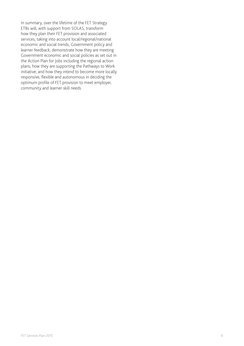In summary, over the lifetime of the FET Strategy ETBs will, with support from SOLAS, transform how they plan their FET provision and associated services, taking into account local/regional/national economic and social trends, Government policy and learner feedback; demonstrate how they are meeting Government economic and social policies as set out in the Action Plan for Jobs including the regional action plans; how they are supporting the Pathways to Work initiative; and how they intend to become more locally responsive, flexible and autonomous in deciding the optimum profile of FET provision to meet employer, community and learner skill needs.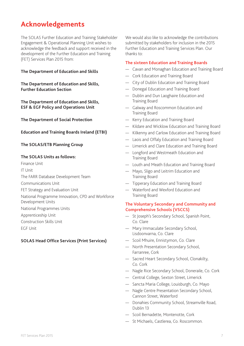## **Acknowledgements**

The SOLAS Further Education and Training Stakeholder Engagement & Operational Planning Unit wishes to acknowledge the feedback and support received in the development of the Further Education and Training (FET) Services Plan 2015 from:

#### **The Department of Education and Skills**

**The Department of Education and Skills, Further Education Section**

**The Department of Education and Skills, ESF & EGF Policy and Operations Unit**

#### **The Department of Social Protection**

#### **Education and Training Boards Ireland (ETBI)**

#### **The SOLAS/ETB Planning Group**

#### **The SOLAS Units as follows:**

Finance Unit

IT Unit

The FARR Database Development Team

Communications Unit

FET Strategy and Evaluation Unit

National Programme Innovation, CPD and Workforce

Development Units

National Programmes Units

Apprenticeship Unit

Construction Skills Unit

EGF Unit

#### **SOLAS Head Office Services (Print Services)**

We would also like to acknowledge the contributions submitted by stakeholders for inclusion in the 2015 Further Education and Training Services Plan. Our thanks to:

#### **The sixteen Education and Training Boards**

- Cavan and Monaghan Education and Training Board
- Cork Education and Training Board
- City of Dublin Education and Training Board
- Donegal Education and Training Board
- Dublin and Dun Laoghaire Education and Training Board
- Galway and Roscommon Education and Training Board
- Kerry Education and Training Board
- Kildare and Wicklow Education and Training Board
- Kilkenny and Carlow Education and Training Board
- Laois and Offaly Education and Training Board
- Limerick and Clare Education and Training Board
- Longford and Westmeath Education and Training Board
- Louth and Meath Education and Training Board
- Mayo, Sligo and Leitrim Education and Training Board
- Tipperary Education and Training Board
- Waterford and Wexford Education and Training Board

#### **The Voluntary Secondary and Community and Comprehensive Schools (VSCCS)**

- St Joseph's Secondary School, Spanish Point, Co. Clare
- Mary Immaculate Secondary School, Lisdoonvarna, Co. Clare
- Scoil Mhuire, Ennistymon, Co. Clare
- North Presentation Secondary School, Farranree, Cork
- Sacred Heart Secondary School, Clonakilty, Co. Cork
- Nagle Rice Secondary School, Doneraile, Co. Cork
- Central College, Sexton Street, Limerick
- Sancta Maria College, Louisburgh, Co. Mayo
- Nagle Centre Presentation Secondary School, Cannon Street, Waterford
- Donahies Community School, Streamville Road, Dublin 13
- Scoil Bernadette, Montenotte, Cork
- St Michaels, Castlerea, Co. Roscommon.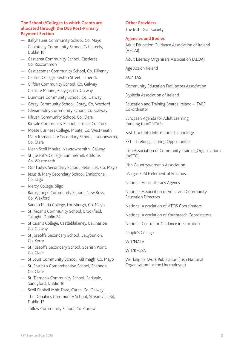#### **The Schools/Colleges to which Grants are allocated through the DES Post-Primary Payment Section**

- Ballyhaunis Community School, Co. Mayo
- Cabinteely Community School, Cabinteely, Dublin 18
- Castlerea Community School, Castlerea, Co. Roscommon
- Castlecomer Community School, Co. Kilkenny
- Central College, Sexton Street, Limerick.
- Clifden Community School, Co. Galway
- Coláiste Mhuire, Ballygar, Co. Galway
- Dunmore Community School, Co. Galway
- Gorey Community School, Gorey, Co. Wexford
- Glenamaddy Community School, Co. Galway
- Kilrush Community School, Co. Clare
- Kinsale Community School, Kinsale, Co. Cork
- Moate Business College, Moate, Co. Westmeath
- Mary Immaculate Secondary School, Lisdoonvarna, Co. Clare
- Mean Scoil Mhuire, Newtownsmith, Galway
- St. Joseph's College, Summerhill, Athlone, Co. Westmeath
- Our Lady's Secondary School, Belmullet, Co. Mayo
- Jesus & Mary Secondary School, Enniscrone, Co. Sligo
- Mercy College, Sligo
- Ramsgrange Community School, New Ross, Co. Wexford
- Sancta Maria College, Louisburgh, Co. Mayo
- St. Aidan's Community School, Brookfield, Tallaght, Dublin 24
- St Cuan's College, Castleblakeney, Ballinasloe, Co. Galway
- St Joseph's Secondary School, Ballybunion, Co. Kerry
- St. Joseph's Secondary School, Spanish Point, Co. Clare
- St Louis Community School, Kiltimagh, Co. Mayo
- St. Patrick's Comprehensive School, Shannon, Co. Clare
- St. Tiernan's Community School, Parkvale, Sandyford, Dublin 16
- Scoil Phobail Mhic Dara, Carna, Co. Galway
- The Donahies Community School, Streamville Rd, Dublin 13
- Tullow Community School, Co. Carlow

#### **Other Providers**

The Irish Deaf Society

#### **Agencies and Bodies**

Adult Education Guidance Association of Ireland (AEGAI)

Adult Literacy Organisers Association (ALOA)

Age Action Ireland

AONTAS

Community Education Facilitators Association

Dyslexia Association of Ireland

Education and Training Boards Ireland – ITABE Co-ordinator

European Agenda for Adult Learning (funding to AONTAS)

Fast Track Into Information Technology

FET – Lifelong Learning Opportunities

Irish Association of Community Training Organisations (IACTO)

Irish Countrywomen's Association

Léargas EPALE element of Erasmus+

National Adult Literacy Agency

National Association of Adult and Community Education Directors

National Association of VTOS Coordinators

National Association of Youthreach Coordinators

National Centre for Guidance in Education

People's College

WIT/NALA

WIT/REGSA

Working for Work Publication (Irish National Organisation for the Unemployed)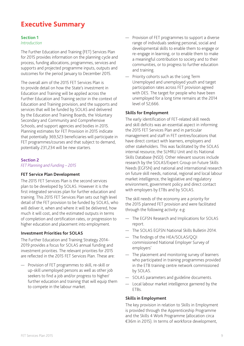## **Executive Summary**

#### **Section 1**

#### *Introduction*

The Further Education and Training (FET) Services Plan for 2015 provides information on the planning cycle and process, funding allocations, programmes, services and supports and projected programme inputs, outputs and outcomes for the period January to December 2015.

The overall aim of the 2015 FET Services Plan is to provide detail on how the State's investment in Education and Training will be applied across the Further Education and Training sector in the context of Education and Training provision, and the supports and services that will be funded by SOLAS and delivered by the Education and Training Boards, the Voluntary Secondary and Community and Comprehensive Schools, and support agencies and bodies in 2015. Planning estimates for FET Provision in 2015 indicate that potentially 369,523 beneficiaries will participate in FET programmes/courses and that subject to demand, potentially 231,234 will be new starters.

#### **Section 2**

*FET Planning and Funding – 2015*

#### **FET Service Plan Development**

The 2015 FET Services Plan is the second services plan to be developed by SOLAS. However it is the first integrated services plan for further education and training. This 2015 FET Services Plan sets out high level detail of the FET provision to be funded by SOLAS, who will deliver it, when and where it will be delivered, how much it will cost, and the estimated outputs in terms of completion and certification rates, or progression to higher education and placement into employment.

#### **Investment Priorities for SOLAS**

The Further Education and Training Strategy 2014- 2019 provides a focus for SOLAS annual funding and investment priorities. The relevant priorities for 2015 are reflected in the 2015 FET Services Plan. These are:

— Provision of FET programmes to skill, re-skill or up-skill unemployed persons as well as other job seekers to find a job and/or progress to higher/ further education and training that will equip them to compete in the labour market.

- Provision of FET programmes to support a diverse range of individuals seeking personal, social and developmental skills to enable them to engage or re-engage in learning, or to enable them to make a meaningful contribution to society and to their communities, or to progress to further education and training.
- Priority cohorts such as the Long Term Unemployed and unemployed youth and target participation rates across FET provision agreed with DES. The target for people who have been unemployed for a long time remains at the 2014 level of 52,666.

#### **Skills for Employment**

The early identification of FET-related skill needs and skill deficits was an essential aspect in informing the 2015 FET Services Plan and in particular management and staff in FET centres/locations that have direct contact with learners, employers and other stakeholders. This was facilitated by the SOLAS internal resource, the SLMRU Unit and its National Skills Database (NSD). Other relevant sources include research by the SOLAS/Expert Group on Future Skills Needs (EGFSN) and national and international research on future skill needs, national, regional and local labour market intelligence, the legislative and regulatory environment, government policy and direct contact with employers by ETBs and by SOLAS.

The skill needs of the economy are a priority for the 2015 planned FET provision and were facilitated through the following activity: e.g:

- The EGFSN Research and Implications for SOLAS report.
- The SOLAS EGFSN National Skills Bulletin 2014.
- The findings of the HEA/SOLAS/QQI commissioned National Employer Survey of employers'
- The placement and monitoring survey of learners who participated in training programmes provided in the ETB training centre network commissioned by SOLAS.
- SOLAS parameters and guideline documents.
- Local labour market intelligence garnered by the ETBs.

#### **Skills in Employment**

The key provision in relation to Skills in Employment is provided through the Apprenticeship Programme and the Skills 4 Work Programme (allocation circa €36m in 2015). In terms of workforce development,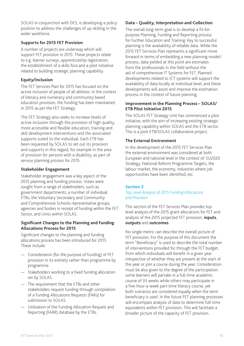SOLAS in conjunction with DES, is developing a policy position to address the challenges of up-skilling in the wider workforce.

#### **Supports for 2015 FET Provision**

A number of projects are underway which will support FET provision in 2015. These projects relate to e.g. learner surveys, apprenticeship registration, the establishment of a skills fora and a pilot initiative related to building strategic planning capability.

#### **Equity/Inclusion**

The FET Services Plan for 2015 has focused on the active inclusion of people of all abilities. In the context of literacy and numeracy and community based education provision, the funding has been maintained in 2015 as per the FET Strategy.

The FET Strategy also seeks to increase levels of active inclusion through the provision of high quality, more accessible and flexible education, training and skill development interventions and the associated supports suited to the individual. Each ETB has been requested by SOLAS to set out its provision and supports in this regard, for example in the area of provision for persons with a disability, as part of service planning process for 2015.

#### **Stakeholder Engagement**

Stakeholder engagement was a key aspect of the 2015 planning and funding process. Views were sought from a range of stakeholders, such as. government departments, a number of individual ETBs, the Voluntary Secondary and Community and Comprehensive Schools representative groups, agencies and bodies in receipt of funding within the FET Sector, and Units within SOLAS.

#### **Significant Changes to the Planning and Funding Allocations Process for 2015**

Significant changes to the planning and funding allocations process has been introduced for 2015. These include:

- Consideration (for the purpose of funding) of FET provision in its entirety rather than programme by programme.
- Stakeholders working to a fixed funding allocation set by SOLAS.
- The requirement that the ETBs and other stakeholders request funding through compilation of a Funding Allocations Requests (FARs) for submission to SOLAS.
- Utilisation of the Funding Allocation Request and Reporting (FARR) database by the ETBs.

#### **Data – Quality, Interpretation and Collection**

The overall long-term goal is to develop a fit-forpurpose Planning, Funding and Reporting process for Further Education and Training. Key to successful planning is the availability of reliable data. While the 2015 FET Services Plan represents a significant move forward in terms of embedding a new planning model/ process, data yielded at this point are estimates from the professionals in the field without the aid of comprehensive IT Systems for FET. Planned developments related to ICT systems will support the availability of data locally at individual level, and these developments will assist and improve the estimation process in the context of future planning.

#### **Improvement in the Planning Process – SOLAS/ ETB Pilot Initiative 2015**

The SOLAS FET Strategy Unit has commenced a pilot initiative, with the aim of increasing existing strategic planning capability within SOLAS and the ETB sector. This is a joint ETB/SOLAS collaborative project.

#### **The External Environment**

In the development of the 2015 FET Services Plan the external environment was considered at both European and national level in the context of: EU2020 Strategy, National Reform Programme Targets, the labour market, the economy, industries where job opportunities have been identified, etc.

## **Section 3**

#### *Top Level Analysis of 2015 Funding Allocations and Provision*

This section of the FET Services Plan provides top level analysis of the 2015 grant allocations for FET and analysis of the 2015 projected FET provision, **inputs**, **outputs** and **outcomes**.

No single metric can describe the overall picture of FET provision. For the purpose of this document the term "Beneficiary" is used to describe the total number of interventions provided for through the FET budget, from which individuals will benefit in a given year irrespective of whether they are present at the start of the year or join a course during the year. Consideration must be also given to the degree of the participation: some learners will partake in a full-time academic course of 33 weeks while others may participate in a five-hour-a-week part-time literacy course, yet both scenarios are considered equally when the term beneficiary is used. In the future FET planning processes will encompass analysis of data to determine full-time equivalents within FET provision. This will facilitate a broader picture of the capacity of FET provision.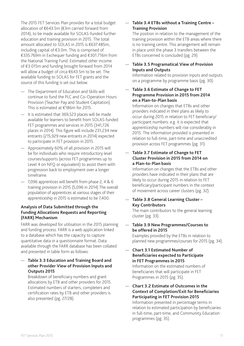The 2015 FET Services Plan provides for a total budget allocation of €643.5m (€3m carried forward from 2014), to be made available for SOLAS-funded further education and training provision in 2015. The total amount allocated to SOLAS in 2015 is €637.485m, including capital of €3.0m. This is comprised of €335.769m in Exchequer funding and €301.716m from the National Training Fund. Estimated other income of €3.015m and funding brought forward from 2014 will allow a budget of circa €643.5m to be set. The available funding to SOLAS for FET grants and the source of this funding is set out below.

- The Department of Education and Skills will continue to fund the PLC and Co-Operation Hours Provision (Teacher Pay and Student Capitation). This is estimated at €186m for 2015.
- It is estimated that 369,523 places will be made available for learners to benefit from SOLAS-funded FET programmes and services in 2015 (341,726 places in 2014). This figure will include 231,234 new entrants (215,929 new entrants in 2014) expected to participate in FET provision in 2015.
- Approximately 60% of all provision in 2015 will be for individuals who require introductory level courses/supports (across FET programmes up to Level 4 on NFQ or equivalent) to assist them with progression back to employment over a longer timeframe.
- 7,096 apprentices will benefit from phase 2, 4 & 6 training provision in 2015 (5,096 in 2014) The overall population of apprentices at various stages of their apprenticeship in 2015 is estimated to be 7,400.

#### **Analysis of Data Submitted through the Funding Allocations Requests and Reporting (FARR) Mechanism**

FARR was developed for utilisation in the 2015 planning and funding process. FARR is a web application linked to a database which has the capacity to capture quantitative data in a questionnaire format. Data available through the FARR database has been collated and presented in table form as follows:

#### — **Table 3.3 Education and Training Board and other Provider View of Provision Inputs and Outputs 2015**

Breakdown of beneficiary numbers and grant allocations by ETB and other providers for 2015. Estimated numbers of starters, completers and certification rates by ETB and other providers is also presented (pg. 27/28).

#### — **Table 3.4 ETBs without a Training Centre – Training Provision**

The position in relation to the management of the training provision within the ETB areas where there is no training centre. This arrangement will remain in place until the phase 3 transfers between the ETBs concerned is concluded (pg. 29).

## — **Table 3.5 Programatical View of Provision Inputs and Outputs**

Information related to provision inputs and outputs on a programme by programme basis (pg. 30).

#### — **Table 3.6 Estimate of Change to FET Programme Provision in 2015 from 2014 on a Plan-to-Plan basis**

Information on changes that ETBs and other providers indicated in their plans as likely to occur during 2015 in relation to FET beneficiary/ participant numbers: e.g. it is expected that apprenticeship numbers will rise considerably in 2015. The information provided is presented in relation to full-time, part-time and unaccredited provision across FET programmes (pg. 31).

#### — **Table 3.7 Estimate of Change to FET Cluster Provision in 2015 from 2014 on a Plan-to-Plan basis**

Information on changes that the ETBs and other providers have indicated in their plans that are likely to occur during 2015 in relation to FET beneficiary/participant numbers in the context of movement across career clusters (pg. 32).

## — **Table 3.8 General Learning Cluster – Key Contributors**

The main contributors to the general learning cluster (pg. 33).

#### — **Table 3.9 New Programmes/Courses to be offered in 2015**

Examples provided by the ETBs in relation to planned new programmes/courses for 2015 (pg. 34).

— **Chart 3.1 Estimated Number of Beneficiaries expected to Participate in FET Programmes in 2015** Information on the estimated numbers of beneficiaries that will participate in FET Programmes in 2015 (pg. 35).

## — **Chart 3.2 Estimate of Outcomes in the Context of Completion/Exit for Beneficiaries Participating in FET Provision 2015**

Information presented in percentage terms in relation to estimated participation by beneficiaries in full-time, part-time, and Community Education programmes (pg. 35).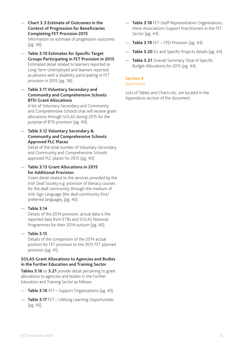- **Chart 3.3 Estimate of Outcomes in the Context of Progression for Beneficiaries Completing FET Provision 2015** Information on estimate of progression outcomes (pg. 36).
- **Table 3.10 Estimates for Specific Target Groups Participating in FET Provision in 2015**  Estimated detail related to learners reported as Long Term Unemployed and learners reported as persons with a disability participating in FET provision in 2015 (pg. 38).
- **Table 3.11 Voluntary Secondary and Community and Comprehensive Schools BTEI Grant Allocations**

A list of Voluntary Secondary and Community and Comprehensive Schools that will receive grant allocations through SOLAS during 2015 for the purpose of BTEI provision (pg. 40).

— **Table 3.12 Voluntary Secondary & Community and Comprehensive Schools Approved PLC Places**

Detail of the total number of Voluntary Secondary and Community and Comprehensive Schools approved PLC places for 2015 (pg. 40).

— **Table 3.13 Grant Allocations in 2015 for Additional Provision**

Grant detail related to the services provided by the Irish Deaf Society e.g. provision of literacy courses for the deaf community through the medium of Irish Sign Language (the deaf community first/ preferred language), (pg. 40).

— **Table 3.14** 

Details of the 2014 provision; actual data is the reported data from ETBs and SOLAS National Programmes for their 2014 outturn (pg. 40).

## — **Table 3.15**

Details of the comparison of the 2014 actual position for FET provision to the 2015 FET planned provision (pg. 41).

#### **SOLAS Grant Allocations to Agencies and Bodies in the Further Education and Training Sector**

**Tables 3.16** to **3.21** provide detail pertaining to grant allocations to agencies and bodies in the Further Education and Training Sector as follows:

- **Table 3.16** FET Support Organisations (pg. 43).
- **Table 3.17** FET Lifelong Learning Opportunities (pg. 43).
- **Table 3.18** FET–Staff Representative Organisations, these Associations Support Practitioners in the FET Sector (pg. 44).
- **Table 3.19** FET CPD Provision (pg. 44).
- **Table 3.20** EU and Specific Projects details (pg. 44).
- **Table 3.21** Overall Summary Total of Specific Budget Allocations for 2015 (pg. 44).

#### **Section 4**

#### *Appendices*

Lists of Tables and Charts etc. are located in the Appendices section of the document.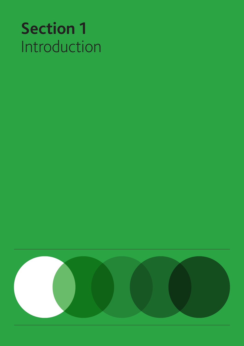# **Section 1**  Introduction

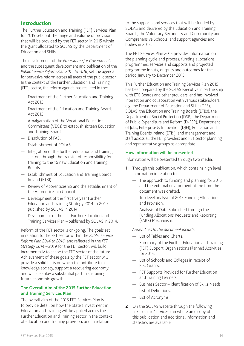## Introduction

The Further Education and Training (FET) Services Plan for 2015 sets out the range and volume of provision that will be provided by the FET sector in 2015 within the grant allocated to SOLAS by the Department of Education and Skills.

The development of the *Programme for Government*, and the subsequent development and publication of the *Public Service Reform Plan 2014 to 2016*, set the agenda for pervasive reform across all areas of the public sector. In the context of the Further Education and Training (FET) sector, the reform agenda has resulted in the:

- Enactment of the Further Education and Training Act 2013.
- Enactment of the Education and Training Boards Act 2013.
- Amalgamation of the Vocational Education Committees (VECs) to establish sixteen Education and Training Boards.
- Dissolution of FÁS.
- Establishment of SOLAS.
- Integration of the further education and training sectors through the transfer of responsibility for training to the 16 new Education and Training Boards.
- Establishment of Education and Training Boards Ireland (ETBI).
- Review of Apprenticeship and the establishment of the Apprenticeship Council.
- Development of the first five year Further Education and Training Strategy 2014 to 2019 – published by SOLAS in 2014.
- Development of the first Further Education and Training Services Plan – published by SOLAS in 2014.

Reform of the FET sector is on-going. The goals set in relation to the FET sector within the *Public Service Reform Plan 2014 to 2016*, and reflected in the *FET Strategy 2014 – 2019* for the FET sector, will build incrementally to shape the FET sector of the future. Achievement of these goals by the FET sector will provide a solid basis on which to contribute to a knowledge society, support a recovering economy, and will also play a substantial part in sustaining future economic growth.

#### **The Overall Aim of the 2015 Further Education and Training Services Plan**

The overall aim of the 2015 FET Services Plan is to provide detail on how the State's investment in Education and Training will be applied across the Further Education and Training sector in the context of education and training provision; and in relation

to the supports and services that will be funded by SOLAS and delivered by the Education and Training Boards, the Voluntary Secondary and Community and Comprehensive Schools, and support agencies and bodies in 2015.

The FET Services Plan 2015 provides information on the planning cycle and process, funding allocations, programmes, services and supports and projected programme inputs, outputs and outcomes for the period January to December 2015.

This Further Education and Training Services Plan 2015 has been prepared by the SOLAS Executive in partnership with ETB Boards and other providers, and has involved interaction and collaboration with various stakeholders: e.g. the Department of Education and Skills (DES), SOLAS, the Education and Training Boards (ETBs), the Department of Social Protection (DSP), the Department of Public Expenditure and Reform (D-PER), Department of Jobs, Enterprise & Innovation (DJEI), Education and Training Boards Ireland (ETBI), and management and staff across all the FET providers and FET sector planning and representative groups as appropriate.

#### **How information will be presented**

Information will be presented through two media:

- **1** Through this publication, which contains high level information in relation to:
	- The approach to funding and planning for 2015 and the external environment at the time the document was drafted.
	- Top level analysis of 2015 Funding Allocations and Provision.
	- Analysis of Data Submitted through the Funding Allocations Requests and Reporting (FARR) Mechanism.

*Appendices to the document include:*

- List of Tables and Charts.
- Summary of the Further Education and Training (FET) Support Organisations Planned Activities for 2015.
- List of Schools and Colleges in receipt of PLC Grants.
- FET Supports Provided for Further Education and Training Learners.
- Business Sector identification of Skills Needs.
- List of Definitions.
- List of Acronyms.
- **2** On the SOLAS website through the following link: solas.ie/servicesplan where an e copy of this publication and additional information and statistics are available.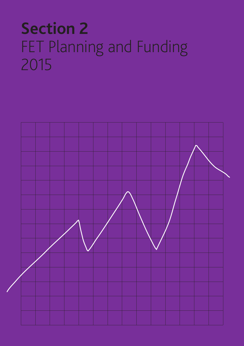# **Section 2**  FET Planning and Funding 2015

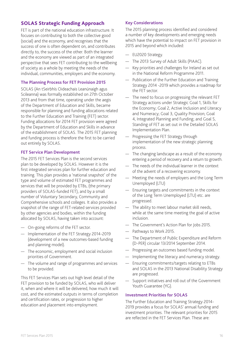## SOLAS Strategic Funding Approach

FET is part of the national education infrastructure. It focuses on contributing to both the collective good (social) and the economy, and recognises that the success of one is often dependent on, and contributes directly to, the success of the other. Both the learner and the economy are viewed as part of an integrated perspective that sees FET contributing to the wellbeing of society as a whole by meeting the needs of the individual, communities, employers and the economy.

#### **The Planning Process for FET Provision 2015**

SOLAS (An tSeirbhís Oideachais Leanúnaigh agus Scileanna) was formally established on 27th October 2013 and from that time, operating under the aegis of the Department of Education and Skills, became responsible for planning and funding allocations related to the Further Education and Training (FET) sector. Funding allocations for 2014 FET provision were agreed by the Department of Education and Skills in advance of the establishment of SOLAS. The 2015 FET planning and funding process is therefore the first to be carried out entirely by SOLAS.

#### **FET Service Plan Development**

The 2015 FET Services Plan is the second services plan to be developed by SOLAS. However it is the first integrated services plan for further education and training. This plan provides a 'national snapshot' of the type and volume of estimated FET programmes and services that will be provided by ETBs, (the primary providers of SOLAS-funded FET), and by a small number of Voluntary Secondary, Community and Comprehensive schools and colleges. It also provides a snapshot of the range of FET-related services provided by other agencies and bodies, within the funding allocated by SOLAS, having taken into account:

- On-going reforms of the FET sector.
- Implementation of the FET Strategy 2014-2019 (development of a new outcomes-based funding and planning model).
- The economic, employment and social inclusion priorities of Government.
- The volume and range of programmes and services to be provided.

This FET Services Plan sets out high level detail of the FET provision to be funded by SOLAS, who will deliver it, when and where it will be delivered, how much it will cost, and the estimated outputs in terms of completion and certification rates, or progression to higher education and placement into employment.

#### **Key Considerations**

The 2015 planning process identified and considered a number of key developments and emerging needs which have the potential to impact on FET provision in 2015 and beyond which included:

- EU2020 Strategy.
- The 2013 Survey of Adult Skills (PIAAC).
- Key priorities and challenges for Ireland as set out in the National Reform Programme 2011.
- Publication of the Further Education and Training Strategy 2014 -2019 which provides a roadmap for the FET sector.
- The need to focus on progressing the relevant FET Strategy actions under Strategic Goal 1, Skills for the Economy; Goal 2, Active Inclusion and Literacy and Numeracy; Goal 3, Quality Provision; Goal 4, Integrated Planning and Funding; and Goal 5, Standing of FET as set out in the Detailed SOLAS Implementation Plan.
- Progressing the FET Strategy through implementation of the new strategic planning process.
- The changing landscape as a result of the economy entering a period of recovery and a return to growth.
- The needs of the individual learner in the context of the advent of a recovering economy.
- Meeting the needs of employers and the Long Term Unemployed (LTU)
- Ensuring targets and commitments in the context of the Long Term Unemployed (LTU) etc. are progressed.
- The ability to meet labour market skill needs, while at the same time meeting the goal of active inclusion.
- The Government's Action Plan for Jobs 2015.
- Pathways to Work 2015.
- The Department of Public Expenditure and Reform (D-PER) circular 13/2014 September 2014.
- Progressing an outcomes based funding model.
- Implementing the literacy and numeracy strategy.
- Ensuring commitments/targets relating to ETBs and SOLAS in the 2013 National Disability Strategy are progressed.
- Support initiatives and roll out of the Government Youth Guarantee (YG).

#### **Investment Priorities for SOLAS**

The Further Education and Training Strategy 2014- 2019 provides a focus for SOLAS' annual funding and investment priorities. The relevant priorities for 2015 are reflected in the FET Services Plan. These are: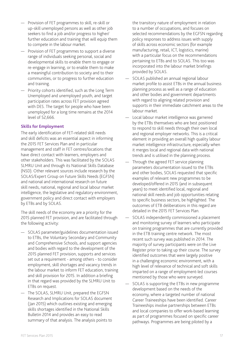- Provision of FET programmes to skill, re-skill or up-skill unemployed persons as well as other job seekers to find a job and/or progress to higher/ further education and training that will equip them to compete in the labour market.
- Provision of FET programmes to support a diverse range of individuals seeking personal, social and developmental skills to enable them to engage or re-engage in learning, or to enable them to make a meaningful contribution to society and to their communities, or to progress to further education and training.
- Priority cohorts identified, such as the Long Term Unemployed and unemployed youth, and target participation rates across FET provision agreed with DES. The target for people who have been unemployed for a long time remains at the 2014 level of 52,666.

#### **Skills for Employment**

The early identification of FET-related skill needs and skill deficits was an essential aspect in informing the 2015 FET Services Plan and in particular management and staff in FET centres/locations that have direct contact with learners, employers and other stakeholders. This was facilitated by the SOLAS SLMRU Unit and through its National Skills Database (NSD). Other relevant sources include research by the SOLAS/Expert Group on Future Skills Needs (EGFSN) and national and international research on future skill needs, national, regional and local labour market intelligence, the legislative and regulatory environment, government policy and direct contact with employers by ETBs and by SOLAS.

The skill needs of the economy are a priority for the 2015 planned FET provision, and are facilitated through the following activity:

- SOLAS parameter/guidelines documentation issued to ETBs, the Voluntary Secondary and Community and Comprehensive Schools, and support agencies and bodies with regard to the development of the 2015 planned FET provision, supports and services set out a requirement - among others - to consider employment, skill shortages and vacancy trends in the labour market to inform FET education, training and skill provision for 2015. In addition a briefing in that regard was provided by the SLMRU Unit to ETBs on request.
- The SOLAS, SLMRU Unit, prepared the EGFSN Research and Implications for SOLAS document (Jan 2015) which outlines existing and emerging skills shortages identified in the National Skills Bulletin 2014 and provides an easy to read summary of that analysis. The analysis points to

the transitory nature of employment in relation to a number of occupations, and focuses on selected recommendations by the EGFSN regarding policy responses to address issues with supply of skills across economic sectors (for example manufacturing, retail, ICT, logistics, marine) with a particular focus on the recommendations pertaining to ETBs and to SOLAS. This too was incorporated into the labour market briefings provided by SOLAS.

- SOLAS published an annual regional labour market profile to assist ETBs in the annual business planning process as well as a range of education and other bodies and government departments with regard to aligning related provision and supports in their immediate catchment areas to the labour market.
- Local labour market intelligence was garnered by the ETBs themselves who are best positioned to respond to skill needs through their own local and regional employer networks. This is a critical element in providing an overall high quality labour market intelligence infrastructure, especially when it merges local and regional data with national trends and is utilised in the planning process.
- Through the agreed FET service planning parameters documentation issued to the ETBs and other bodies, SOLAS requested that specific examples of relevant new programmes to be developed/offered in 2015 (and in subsequent years) to meet identified local, regional and national skill needs and job opportunities relating to specific business sectors, be highlighted. The outcomes of ETB deliberations in this regard are detailed in the 2015 FET Services Plan.
- SOLAS independently commissioned a placement and monitoring survey of learners who participate on training programmes that are currently provided in the ETB training centre network. The most recent such survey was published in 2014. The majority of survey participants were on the Live Register prior to taking up their course. The survey identified outcomes that were largely positive in a challenging economic environment, with a high level of relevance of technical and soft skills imparted on a range of employment-led courses mentioned by those who were surveyed.
- SOLAS is supporting the ETBs in new programme development based on the needs of the economy, where a targeted number of national Career Traineeships have been identified. Career Traineeships involve partnerships between ETBs and local companies to offer work-based learning as part of programmes focused on specific career pathways. Programmes are being piloted by a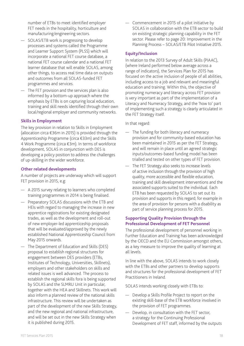number of ETBs to meet identified employer FET needs in the hospitality, horticulture and manufacturing/engineering sectors.

- SOLAS/ETB work is progressing to develop processes and systems called the Programme and Learner Support System (PLSS) which will incorporate a national FET course database, a national FET course calendar and a national FET learner database that will enable SOLAS, among other things, to access real time data on outputs and outcomes from all SOLAS-funded FET programmes and services.
- The FET provision and the services plan is also informed by a bottom-up approach where the emphasis by ETBs is on capturing local education, training and skill needs identified through their own local/regional employer and community networks.

#### **Skills in Employment**

The key provision in relation to Skills in Employment (allocation circa €36m in 2015) is provided through the Apprenticeship Programme (circa €33m) and the Skills 4 Work Programme (circa €3m). In terms of workforce development, SOLAS in conjunction with DES is developing a policy position to address the challenges of up-skilling in the wider workforce.

#### **Other related developments**

A number of projects are underway which will support FET provision in 2015, e.g:

- A 2015 survey relating to learners who completed training programmes in 2014 is being finalised.
- Preparatory SOLAS discussions with the ETB and HEIs with regard to managing the increase in new apprentice registrations for existing designated trades, as well as the development and roll-out of new employer-led apprenticeship proposals that will be evaluated/approved by the newly established National Apprenticeship Council from May 2015 onwards.
- The Department of Education and Skills (DES) proposal to establish regional structures for engagement between DES providers (ETBs, Institutes of Technology, Universities, Skillnets), employers and other stakeholders on skills and related issues is well advanced. The process to establish the regional skills fora is being supported by SOLAS and the SLMRU Unit in particular, together with the HEA and Skillnets. This work will also inform a planned review of the national skills infrastructure. This review will be undertaken as part of the development of the new Skills Strategy, and the new regional and national infrastructure, and will be set out in the new Skills Strategy when it is published during 2015.

— Commencement in 2015 of a pilot initiative by SOLAS in collaboration with the ETB sector to build on existing strategic planning capability in the FET sector. Please refer to page 20: Improvement in the Planning Process – SOLAS/ETB Pilot Initiative 2015.

#### **Equity/Inclusion**

In relation to the 2013 Survey of Adult Skills (PIAAC), (where Ireland performed below average across a range of indicators), the Services Plan for 2015 has focused on the active inclusion of people of all abilities, including access to a job and relevant and meaningful education and training. Within this, the objective of promoting numeracy and literacy across FET provision is very important as part of the implementation of a Literacy and Numeracy Strategy, and the 'how to' part of implementing such a strategy is clearly articulated in the FET Strategy itself.

In that regard:

- The funding for both literacy and numeracy provision and for community-based education has been maintained in 2015 as per the FET Strategy, and will remain in place until an agreed strategic inputs/outcomes-based funding model has been trialled and tested on other types of FET provision.
- The FET Strategy also seeks to increase levels of active inclusion through the provision of high quality, more accessible and flexible education, training and skill development interventions and the associated supports suited to the individual. Each ETB has been requested by SOLAS to set out its provision and supports in this regard; for example in the area of provision for persons with a disability as part of service planning process for 2015.

#### **Supporting Quality Provision through the Professional Development of FET Personnel**

The professional development of personnel working in Further Education and Training has been acknowledged by the OECD and the EU Commission amongst others, as a key measure to improve the quality of learning at all levels.

In line with the above, SOLAS intends to work closely with the ETBs and other partners to develop supports and structures for the professional development of FET Practitioners in Ireland.

SOLAS intends working closely with ETBs to:

- Develop a Skills Profile Project to report on the existing skill-base of the ETB workforce involved in the provision of FET programmes.
- Develop, in consultation with the FET sector, a strategy for the Continuing Professional Development of FET staff, informed by the outputs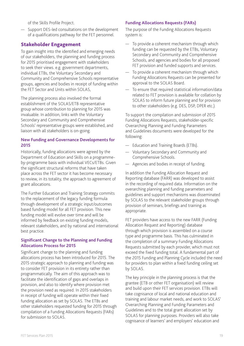of the Skills Profile Project.

— Support DES-led consultations on the development of a qualifications pathway for the FET personnel.

## Stakeholder Engagement

To gain insight into the identified and emerging needs of our stakeholders, the planning and funding process for 2015 prioritised engagement with stakeholders to seek their views. e.g. government departments, individual ETBs, the Voluntary Secondary and Community and Comprehensive Schools representative groups, agencies and bodies in receipt of funding within the FET Sector and Units within SOLAS,

The planning process also involved the formal establishment of the SOLAS/ETB representative group whose contribution to planning for 2015 was invaluable. In addition, links with the Voluntary Secondary and Community and Comprehensive Schools' representative groups were established, and liaison with all stakeholders is on-going.

#### **New Funding and Governance Developments for 2015**

Historically, funding allocations were agreed by the Department of Education and Skills on a programmeby-programme basis with individual VECs/ETBs. Given the significant structural reforms that have taken place across the FET sector it has become necessary to review, in its totality, the approach to agreement of grant allocations.

The Further Education and Training Strategy commits to the replacement of the legacy funding formula through development of a strategic input/outcomes based funding model for all FET provision. This new funding model will evolve over time and will be informed by feedback on existing funding models, relevant stakeholders, and by national and international best practice.

#### **Significant Change to the Planning and Funding Allocations Process for 2015**

Significant change to the planning and funding allocations process has been introduced for 2015. The 2015 strategic approach to planning and funding was to consider FET provision in its entirety rather than programmatically. The aim of this approach was to facilitate the identification of gaps and overlaps in provision, and also to identify where provision met the provision need as required. In 2015 stakeholders in receipt of funding will operate within their fixed funding allocation as set by SOLAS. The ETBs and other stakeholders requested funding for 2015 through compilation of a Funding Allocations Requests (FARs) for submission to SOLAS.

#### **Funding Allocations Requests (FARs)**

The purpose of the Funding Allocations Requests system is:

- To provide a coherent mechanism through which funding can be requested by the ETBs, Voluntary Secondary and Community and Comprehensive Schools, and agencies and bodies for all proposed FET provision and funded supports and services.
- To provide a coherent mechanism through which Funding Allocations Requests can be presented for approval to the SOLAS Board.
- To ensure that required statistical information/data related to FET provision is available for collation by SOLAS to inform future planning and for provision to other stakeholders (e.g. DES, DSP, DPER etc.).

To support the compilation and submission of 2015 Funding Allocations Requests, stakeholder-specific Overarching Planning and Funding Parameters and Guidelines documents were developed for the following:

- Education and Training Boards (ETBs).
- Voluntary Secondary and Community and Comprehensive Schools.
- Agencies and bodies in receipt of funding.

In addition the Funding Allocation Request and Reporting database (FARR) was developed to assist in the recording of required data. Information on the overarching planning and funding parameters and guidelines and support mechanisms was disseminated by SOLAS to the relevant stakeholder groups through provision of seminars, briefings and training as appropriate.

FET providers have access to the new FARR (Funding Allocation Request and Reporting) database through which provision is assembled on a course type and programme basis. This has culminated in the completion of a summary Funding Allocations Requests submitted by each provider, which must not exceed the fixed funding total. A fundamental part of the 2015 Funding and Planning Cycle included the need for providers to plan within a fixed funding ceiling set by SOLAS.

The key principle in the planning process is that the grantee (ETB or other FET organisation) will review and build upon their FET services provision. ETBs will take cognisance of local and national education and training and labour market needs, and work to SOLAS' Overarching Planning and Funding Parameters and Guidelines and to the total grant allocation set by SOLAS for planning purposes. Providers will also take cognisance of learners' and employers' education and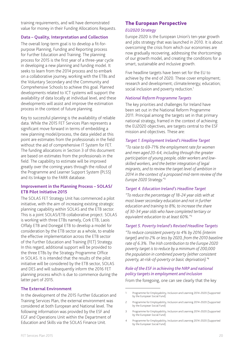training requirements, and will have demonstrated value for money in their Funding Allocations Requests.

#### **Data – Quality, Interpretation and Collection**

The overall long-term goal is to develop a fit-forpurpose Planning, Funding and Reporting process for Further Education and Training. The planning process for 2015 is the first year of a three-year cycle in developing a new planning and funding model. It seeks to learn from the 2014 process and to embark on a collaborative journey, working with the ETBs and the Voluntary Secondary and the Community and Comprehensive Schools to achieve this goal. Planned developments related to ICT systems will support the availability of data locally at individual level, and these developments will assist and improve the estimation process in the context of future planning.

Key to successful planning is the availability of reliable data. While the 2015 FET Services Plan represents a significant move forward in terms of embedding a new planning model/process, the data yielded at this point are estimates from the professionals in the field without the aid of comprehensive IT System for FET. The funding allocations in Section 3 of this document are based on estimates from the professionals in the field. The capability to estimate will be improved greatly over the coming years through the rollout of the Programme and Learner Support System (PLSS) and its linkage to the FARR database.

#### **Improvement in the Planning Process – SOLAS/ ETB Pilot Initiative 2015**

The SOLAS FET Strategy Unit has commenced a pilot initiative, with the aim of increasing existing strategic planning capability within SOLAS and the ETB sector. This is a joint SOLAS/ETB collaborative project. SOLAS is working with three ETBs namely, Cork ETB, Laois Offaly ETB and Donegal ETB to develop a model for consideration by the ETB sector as a whole, to enable the effective implementation across the ETB sector of the Further Education and Training (FET) Strategy. In this regard, additional support will be provided to the three ETBs by the Strategy Programme Office in SOLAS. It is intended that the results of the pilot initiative will be considered by the ETB sector, SOLAS and DES and will subsequently inform the 2016 FET planning process which is due to commence during the latter part of 2015.

#### **The External Environment**

In the development of the 2015 Further Education and Training Services Plan, the external environment was considered at both European and National level. The following information was provided by the ESF and EGF and Operations Unit within the Department of Education and Skills via the SOLAS Finance Unit.

## The European Perspective

#### *EU2020 Strategy*

Europe 2020 is the European Union's ten-year growth and jobs strategy that was launched in 2010. It is about overcoming the crisis from which our economies are now gradually recovering, addressing the shortcomings of our growth model, and creating the conditions for a smart, sustainable and inclusive growth.

Five headline targets have been set for the EU to achieve by the end of 2020. These cover employment; research and development; climate/energy; education; social inclusion and poverty reduction.<sup>1</sup>

#### *National Reform Programme Targets*

The key priorities and challenges for Ireland have been set out in the National Reform Programme 2011. Principal among the targets set in that primary national strategy, framed in the context of achieving the EU2020 objectives, are targets central to the ESF mission and objectives. These are:

#### *Target 1. Employment Ireland's Headline Target*

*"To raise to 69-71% the employment rate for women and men aged 20-64, including through the greater participation of young people, older workers and lowskilled workers, and the better integration of legal migrants, and to review the target level of ambition in 2014 in the context of a proposed mid-term review of the Europe 2020 Strategy."*<sup>2</sup>

#### *Target 4. Education Ireland's Headline Target*

*"To reduce the percentage of 18-24 year olds with at most lower secondary education and not in further education and training to 8%; to increase the share of 30-34 year olds who have completed tertiary or equivalent education to at least 60%."*<sup>3</sup>

#### *Target 5. Poverty Ireland's Revised Headline Targets*

*"To reduce consistent poverty to 4% by 2016 (interim target) and to 2% or less by 2020, from the 2010 baseline rate of 6.3%. The Irish contribution to the Europe 2020 poverty target is to reduce by a minimum of 200,000 the population in combined poverty (either consistent poverty, at-risk-of-poverty or basic deprivation)."4*

#### *Role of the ESF in achieving the NRP and national policy targets in employment and inclusion*

From the foregoing, one can see clearly that the key

<sup>1</sup> Programme for Employability, Inclusion and Learning 2014-2020 (Supported by the European Social Fund)

<sup>2</sup> Programme for Employability, Inclusion and Learning 2014-2020 (Supported by the European Social Fund)

<sup>3</sup> Programme for Employability, Inclusion and Learning 2014-2020 (Supported by the European Social Fund)

<sup>4</sup> Programme for Employability, Inclusion and Learning 2014-2020 (Supported by the European Social Fund)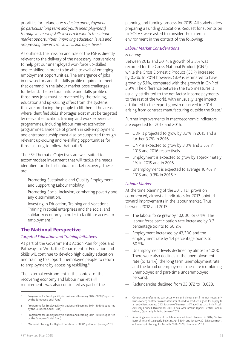priorities for Ireland are: *reducing unemployment (in particular long term and youth unemployment) through increasing skills levels relevant to the labour market opportunities, improving education levels and progressing towards social inclusion objectives.*<sup>5</sup>

As outlined, the mission and role of the ESF is directly relevant to the delivery of the necessary interventions to help get our unemployed workforce up-skilled and re-skilled in order to be able to avail of emerging employment opportunities. The emergence of jobs in new sectors and the skills profile required to meet that demand in the labour market pose challenges for Ireland. The sectoral nature and skills profile of those new jobs must be matched by the training, education and up-skilling offers from the systems that are producing the people to fill them. The areas where identified skills shortages exist must be targeted by relevant education, training and work experience programmes, including labour market activation programmes. Evidence of growth in self-employment and entrepreneurship must also be supported through relevant up-skilling and re-skilling opportunities for those seeking to follow that path.6

The ESF Thematic Objectives are well-suited to accommodate investment that will tackle the needs identified for the Irish labour market recovery. These are:

- Promoting Sustainable and Quality Employment and Supporting Labour Mobility.
- Promoting Social Inclusion, combating poverty and any discrimination.
- Investing in Education, Training and Vocational Training in social enterprises and the social and solidarity economy in order to facilitate access to employment.<sup>7</sup>

## The National Perspective

#### *Targeted Education and Training Initiatives*

As part of the Government's Action Plan for Jobs and Pathways to Work, the Department of Education and Skills will continue to develop high quality education and training to support unemployed people to return to employment by accessing reskilling.<sup>8</sup>

The external environment in the context of the recovering economy and labour market skill requirements was also considered as part of the

8 "National Strategy for Higher Education to 2030", published January 2011

planning and funding process for 2015. All stakeholders preparing a Funding Allocations Request for submission to SOLAS were asked to consider the external environment in the context of the following:

#### *Labour Market Considerations*

#### *Economy*

Between 2013 and 2014, a growth of 3.3% was recorded for the Gross National Product (GNP), while the Gross Domestic Product (GDP) increased by 0.2%. In 2014 however, GDP is estimated to have grown by 5.1%, compared with the growth in GNP of 3.9%. The difference between the two measures is usually attributed to the net factor income payments to the rest of the world, with unusually large impact attributed to the export growth observed in 2014 arising from contract manufacturing outside the State.<sup>9</sup>

Further improvements in macroeconomic indicators are expected for 2015 and 2016:

- GDP is projected to grow by 3.7% in 2015 and a further 3.7% in 2016.
- GNP is expected to grow by 3.3% and 3.5% in 2015 and 2016 respectively.
- Employment is expected to grow by approximately 2% in 2015 and in 2016.
- Unemployment is expected to average 10.4% in 2015 and 9.3% in 2016.10

#### *Labour Market*

At the time planning of the 2015 FET provision commenced, almost all indicators for 2013 pointed toward improvements in the labour market. Thus between 2012 and 2013:

- The labour force grew by 10,000, or 0.4%. The labour force participation rate increased by 0.3 percentage points to 60.2%.
- Employment increased by 43,300 and the employment rate by 1.4 percentage points to 60.5%.
- Unemployment levels declined by almost 34,000. There were also declines in the unemployment rate (to 13.1%), the long term unemployment rate, and the broad unemployment measure (combining unemployed and part-time underemployed persons).
- Redundancies declined from 33,072 to 13,628.

<sup>5</sup> Programme for Employability inclusion and Learning 2014-2020 (Supported by the European Social Fund)

<sup>6</sup> Programme for Employability inclusion and Learning 2014-2020 (Supported by the European Social Fund)

Programme for Employability inclusion and Learning 2014-2020 (Supported by the European Social Fund)

<sup>9</sup> Contract manufacturing can occur when an Irish-resident firm (not necessarily Irish-owned) contracts a manufacturer abroad to produce a good for supply to an end-client abroad; CSO Balance of Payments &Trade Statistics; Irish Fiscal Advisory Council, (November 2014) Fiscal Assessment Report; Central Bank of Ireland, Quarterly Bulletin, January 2015.

<sup>10</sup> Assuming a continuation of the labour market trend observed in 2014; Central Bank of Ireland, Quarterly Bulletins April 2014 and January 2015; Department of Finance, A Strategy for Growth 2014-2020, December 2013.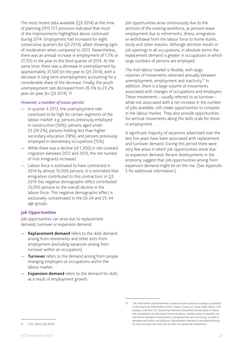The most recent data available (Q3 2014) at the time of planning 2015 FET provision indicated that most of the improvements highlighted above continued during 2014. Employment had increased for eight consecutive quarters (to Q3 2014), albeit showing signs of moderation when compared to 2013. Nevertheless, there was an annual increase in employment of 1.5% or 27,700 in the year to the third quarter of 2014. At the same time, there was a decrease in unemployment by approximately 37,500 (in the year to Q3 2014), with a decrease in long term unemployment accounting for a considerable share of the decrease. Finally, the youth unemployment rate decreased from 26.5% to 23.2% year-on-year (to Q3 2014).11

#### *However, a number of issues persist*

- In quarter 4 2013, the unemployment rate continued to be high for certain segments of the labour market: e.g. persons previously employed in construction (30%); persons aged under 25 (24.2%); persons holding less than higher secondary education (18%); and persons previously employed in elementary occupations (15%).
- While there was a decline (of 1,300) in net outward migration between 2012 and 2013, the net number of Irish emigrants increased.
- Labour force is estimated to have contracted in 2014 by almost 10,000 persons. It is estimated that emigration contributed to this contraction; in Q3 2014 this negative demographic effect contributed 13,000 persons to the overall decline in the labour force. This negative demographic effect is exclusively concentrated in the 20-24 and 25-34 age groups.

#### **Job Opportunities**

Job opportunities can arise due to replacement demand, turnover or expansion demand.

- **Replacement demand** refers to the skills demand arising from retirements and other exits from employment (excluding vacancies arising from turnover within an occupation).
- **Turnover** refers to the demand arising from people changing employers or occupations within the labour market.
- **Expansion demand** refers to the demand for skills as a result of employment growth.

Job opportunities arise continuously due to the attrition of the existing workforce, as persons leave employment due to retirements, illness, emigration or withdrawal from the labour force to home duties, study and other reasons. Although attrition results in job openings in all occupations, in absolute terms the replacement demand is greater in occupations in which large numbers of persons are employed.

The Irish labour market is flexible, with large volumes of movements observed annually between unemployment, employment and inactivity.12 In addition, there is a large volume of movements associated with changes of occupations and employers. These movements - usually referred to as turnover while not associated with a net increase in the number of jobs available, still create opportunities to compete in the labour market. They also provide opportunities for vertical movements along the skills scale for those in employment.

A significant majority of vacancies advertised over the last five years have been associated with replacement and turnover demand. During this period there were very few areas in which job opportunities arose due to expansion demand. Recent developments in the economy suggest that job opportunities arising from expansion demand might be on the rise. (See Appendix 5 for additional information.)

<sup>12</sup> The information presented here is based on the transitions analysis published in the National Skills Bulletin 2014, Expert Group on Future Skills Needs. The analysis used the CSO Quarterly National Household Survey data to follow the movements of individuals from one labour market status to another (i.e. transitions between employment, unemployment and inactivity), as well as between and within occupations. Replacement demand is estimated as exits to inactivity plus net exits due to inter-occupational movements.

<sup>11</sup> CSO, QNHS (Q3 2014).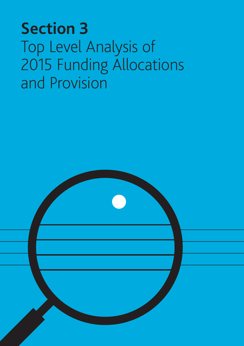# **Section 3**  Top Level Analysis of 2015 Funding Allocations and Provision

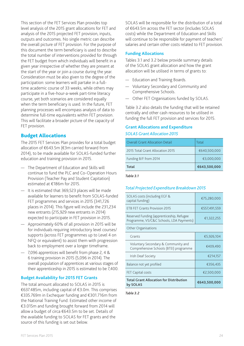This section of the FET Services Plan provides top level analysis of the 2015 grant allocations for FET and analysis of the 2015 projected FET provision, inputs, outputs and outcomes. No single metric can describe the overall picture of FET provision. For the purpose of this document the term beneficiary is used to describe the total number of interventions provided for through the FET budget from which individuals will benefit in a given year irrespective of whether they are present at the start of the year or join a course during the year. Consideration must be also given to the degree of the participation: some learners will partake in a fulltime academic course of 33 weeks, while others may participate in a five-hour-a-week part-time literacy course, yet both scenarios are considered equally when the term beneficiary is used. In the future, FET planning processes will encompass analysis of data to determine full-time equivalents within FET provision. This will facilitate a broader picture of the capacity of FET provision.

## Budget Allocations

The 2015 FET Services Plan provides for a total budget allocation of €643.5m (€3m carried forward from 2014), to be made available for SOLAS-funded further education and training provision in 2015.

- The Department of Education and Skills will continue to fund the PLC and Co-Operation Hours Provision (Teacher Pay and Student Capitation) estimated at €186m for 2015.
- It is estimated that 369,523 places will be made available for learners to benefit from SOLAS-funded FET programmes and services in 2015 (341,726 places in 2014). This figure will include the 231,234 new entrants (215,929 new entrants in 2014) expected to participate in FET provision in 2015.
- Approximately 60% of all provision in 2015 will be for individuals requiring introductory level courses/ supports (across FET programmes up to Level 4 on NFQ or equivalent) to assist them with progression back to employment over a longer timeframe.
- 7,096 apprentices will benefit from phase 2, 4 & 6 training provision in 2015 (5,096 in 2014). The overall population of apprentices at various stages of their apprenticeship in 2015 is estimated to be 7,400.

#### **Budget Availability for 2015 FET Grants**

The total amount allocated to SOLAS in 2015 is €637.485m, including capital of €3.0m. This comprises €335.769m in Exchequer funding and €301.716m from the National Training Fund. Estimated other income of €3.015m and funding brought forward from 2014 will allow a budget of circa €643.5m to be set. Details of the available funding to SOLAS for FET grants and the source of this funding is set out below.

SOLAS will be responsible for the distribution of a total of €643.5m across the FET sector (includes SOLAS costs) while the Department of Education and Skills will continue to be responsible for payment of teachers' salaries and certain other costs related to FET provision.

#### **Funding Allocations**

Tables 3.1 and 3.2 below provide summary details of the SOLAS grant allocation and how the grant allocation will be utilised in terms of grants to:

- Education and Training Boards.
- Voluntary Secondary and Community and Comprehensive Schools.
- Other FET Organisations funded by SOLAS.

Table 3.2 also details the funding that will be retained centrally and other cash resources to be utilised in funding the full FET provision and services for 2015.

#### **Grant Allocations and Expenditure** *SOLAS Grant Allocation 2015*

| Total                                  | €643,500,000 |
|----------------------------------------|--------------|
| Funding B/F from 2014                  | €3,000,000   |
| 2015 Total Grant Allocation 2015       | €640,500,000 |
| <b>Overall Grant Allocation Detail</b> | Total        |

*Table 3.1*

#### *Total Projected Expenditure Breakdown 2015*

| SOLAS costs (including EGF &<br>capital funding)                                      | €75,280,000  |
|---------------------------------------------------------------------------------------|--------------|
| <b>ETB FET Grants Provision 2015</b>                                                  | €557,491,559 |
| Reserved Funding (apprenticeship, Refugee<br>Programme, VS/C&C Schools, LDA Payments) | €1,322,255   |
| Other Organisations                                                                   |              |
| Grants                                                                                | €5,926,104   |
| Voluntary Secondary & Community and<br>Comprehensive Schools (BTEI) programme         | €409,490     |
| Irish Deaf Society                                                                    | €214,157     |
| Balance not yet profiled                                                              | €356,435     |
| <b>FET Capital costs</b>                                                              | €2,500,000   |
| <b>Total Grant Allocation for Distribution</b><br>by SOLAS                            | €643,500,000 |

*Table 3.2*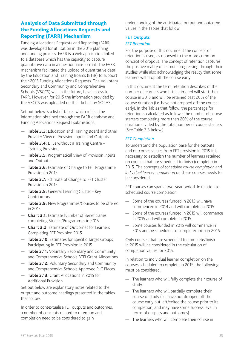## Analysis of Data Submitted through the Funding Allocations Requests and Reporting (FARR) Mechanism

Funding Allocations Requests and Reporting (FARR) was developed for utilisation in the 2015 planning and funding process. FARR is a web application linked to a database which has the capacity to capture quantitative data in a questionnaire format. The FARR mechanism facilitated the upload of quantitative data by the Education and Training Boards (ETBs) to support their 2015 Funding Allocations Requests. The Voluntary Secondary and Community and Comprehensive Schools (VSCCS) will, in the future, have access to FARR. However, for 2015 the information provided by the VSCCS was uploaded on their behalf by SOLAS.

Set out below is a list of tables which reflect the information obtained through the FARR database and Funding Allocations Requests submissions.

- **Table 3.3:** Education and Training Board and other Provider View of Provision Inputs and Outputs
- **Table 3.4:** ETBs without a Training Centre Training Provision
- **Table 3.5:** Programatical View of Provision Inputs and Outputs
- **Table 3.6:** Estimate of Change to FET Programme Provision in 2015
- **Table 3.7:** Estimate of Change to FET Cluster Provision in 2015
- **Table 3.8:** General Learning Cluster Key Contributors
- **Table 3.9:** New Programmes/Courses to be offered in 2015
- **Chart 3.1:** Estimate Number of Beneficiaries completing Studies/Programmes in 2015
- **Chart 3.2:** Estimate of Outcomes for Learners Completing FET Provision 2015
- **Table 3.10:** Estimates for Specific Target Groups Participating in FET Provision in 2015
- **Table 3.11:** Voluntary Secondary and Community and Comprehensive Schools BTEI Grant Allocations
- **Table 3.12:** Voluntary Secondary and Community and Comprehensive Schools Approved PLC Places
- **Table 3.13:** Grant Allocations in 2015 for Additional Provision

Set out below are explanatory notes related to the output and outcome headings presented in the tables that follow.

In order to contextualise FET outputs and outcomes, a number of concepts related to retention and completion need to be considered to gain

understanding of the anticipated output and outcome values in the Tables that follow.

## **FET Outputs**

#### *FET Retention*

For the purpose of this document the concept of retention is used, as opposed to the more common concept of dropout. The concept of retention captures the positive reality of learners progressing through their studies while also acknowledging the reality that some learners will drop off the course early.

In this document the term retention describes of the number of learners who it is estimated will start their course in 2015 and will be retained past 20% of the course duration (i.e. have not dropped off the course early). In the Tables that follow, the percentage for retention is calculated as follows: the number of course starters completing more than 20% of the course duration divided by the total number of course starters. (See Table 3.3 below.)

## *FET Completion*

To understand the population base for the outputs and outcomes values from FET provision in 2015 it is necessary to establish the number of learners retained on courses that are scheduled to finish (complete) in 2015. The concepts of *scheduled course completion* and *individual learner completion* on these courses needs to be considered.

FET courses can span a two-year period. In relation to scheduled course completion:

- Some of the courses funded in 2015 will have commenced in 2014 and will complete in 2015.
- Some of the courses funded in 2015 will commence in 2015 and will complete in 2015.
- Some courses funded in 2015 will commence in 2015 and be scheduled to complete/finish in 2016.

Only courses that are scheduled to complete/finish in 2015 will be considered in the calculation of completion values for 2015.

In relation to individual learner completion on the courses scheduled to complete in 2015, the following must be considered:

- The learners who will fully complete their course of study.
- The learners who will partially complete their course of study (i.e. have not dropped off the course early but left/exited the course prior to its completion, and may have some success level in terms of outputs and outcomes).
- The learners who will complete their course in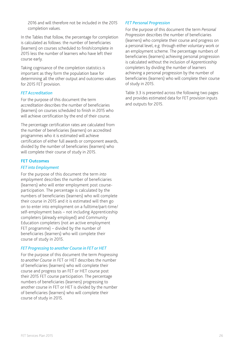2016 and will therefore not be included in the 2015 completion values.

In the Tables that follow, the percentage for completion is calculated as follows: the number of beneficiaries (learners) on courses scheduled to finish/complete in 2015 less the number of learners who have left their course early.

Taking cognisance of the completion statistics is important as they form the population base for determining all the other output and outcomes values for 2015 FET provision.

#### *FET Accreditation*

For the purpose of this document the term *accreditation* describes the number of beneficiaries (learners) on courses scheduled to finish in 2015 who will achieve certification by the end of their course.

The percentage certification rates are calculated from the number of beneficiaries (learners) on accredited programmes who it is estimated will achieve certification of either full awards or component awards, divided by the number of beneficiaries (learners) who will complete their course of study in 2015.

#### **FET Outcomes**

#### *FET into Employment*

For the purpose of this document the term *into employment* describes the number of beneficiaries (learners) who will enter employment post courseparticipation. The percentage is calculated by the numbers of beneficiaries (learners) who will complete their course in 2015 and it is estimated will then go on to enter into employment on a fulltime/part-time/ self-employment basis – not including Apprenticeship completers (already employed) and Community Education completers (not an active employment FET programme) – divided by the number of beneficiaries (learners) who will complete their course of study in 2015.

#### *FET Progressing to another Course in FET or HET*

For the purpose of this document the term *Progressing to another Course* in FET or HET describes the number of beneficiaries (learners) who will complete their course and progress to an FET or HET course post their 2015 FET course participation. The percentage numbers of beneficiaries (learners) progressing to another course in FET or HET is divided by the number of beneficiaries (learners) who will complete their course of study in 2015.

#### *FET Personal Progression*

For the purpose of this document the term *Personal Progression* describes the number of beneficiaries (learners) who complete their course and progress on a personal level, e.g. through either voluntary work or an employment scheme. The percentage numbers of beneficiaries (learners) achieving personal progression is calculated without the inclusion of Apprenticeship completers by dividing the number of learners achieving a personal progression by the number of beneficiaries (learners) who will complete their course of study in 2015.

Table 3.3 is presented across the following two pages and provides estimated data for FET provision inputs and outputs for 2015.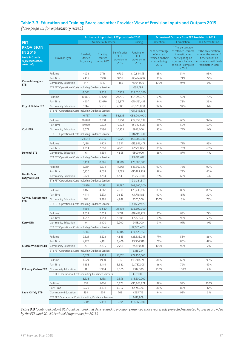## **Table 3.3: Education and Training Board and other Provider View of Provision Inputs and Outputs 2015**

*(\*see page 25 for explanatory notes.)*

|                                                                                       |                                                       | <b>Estimate of inputs into FET provision in 2015</b> |                                           |                                                        |                                            | <b>Estimate of Outputs from FET Provision in 2015</b>                        |                                                                                                                                         |                                                                                                                  |  |
|---------------------------------------------------------------------------------------|-------------------------------------------------------|------------------------------------------------------|-------------------------------------------|--------------------------------------------------------|--------------------------------------------|------------------------------------------------------------------------------|-----------------------------------------------------------------------------------------------------------------------------------------|------------------------------------------------------------------------------------------------------------------|--|
| <b>FET</b>                                                                            |                                                       |                                                      | Number of Learners                        |                                                        | Funding                                    | Retention                                                                    | Completion                                                                                                                              | <b>FET Accreditation</b>                                                                                         |  |
| <b>PROVISION</b><br><b>IN 2015</b><br>Note PLC costs<br>represent SOLAS<br>costs only | Provision Type                                        | Enrolled /<br>Started<br>1st January                 | <b>Starting</b><br>courses<br>during 2015 | <b>Beneficiaries</b><br>of FET<br>provision in<br>2015 | Funding for<br>FET<br>provision in<br>2015 | *The percentage<br>of starters<br>retained on their<br>course during<br>2015 | * The percentage<br>of retained learners<br>/ beneficiaries<br>participating on<br>courses scheduled<br>to finish / complete<br>in 2015 | *The accreditation<br>rate for the learners/<br>beneficiaries on<br>courses who will finish<br>/complete in 2015 |  |
|                                                                                       | Fulltime                                              | 4023                                                 | 2716                                      | 6739                                                   | €10,844,551                                | 85%                                                                          | 54%                                                                                                                                     | 93%                                                                                                              |  |
|                                                                                       | Part Time                                             | 4435                                                 | 5320                                      | 9755                                                   | €2,424,650                                 | 93%                                                                          | 74%                                                                                                                                     | 24%                                                                                                              |  |
| Cavan Monaghan<br><b>ETB</b>                                                          | Community Education                                   | 147                                                  | 1322                                      | 1469                                                   | €394,000                                   | 100%                                                                         | 97%                                                                                                                                     | 0%                                                                                                               |  |
|                                                                                       | ETB FET Operational Costs including Guidance Services |                                                      |                                           |                                                        | €36,799                                    |                                                                              |                                                                                                                                         |                                                                                                                  |  |
|                                                                                       |                                                       | 9,358                                                | 17,963                                    | €13,700,000                                            |                                            |                                                                              |                                                                                                                                         |                                                                                                                  |  |
|                                                                                       | Fulltime                                              | 8,605<br>10,806                                      | 13,670                                    | 24,476                                                 | €64,277,373                                | 91%                                                                          | 55%                                                                                                                                     | 78%                                                                                                              |  |
|                                                                                       |                                                       |                                                      |                                           |                                                        |                                            |                                                                              |                                                                                                                                         |                                                                                                                  |  |
|                                                                                       | Part Time                                             | 4207                                                 | 22,670                                    | 26,877                                                 | €10,551,431                                | 94%                                                                          | 78%                                                                                                                                     | 39%                                                                                                              |  |
| <b>City of Dublin ETB</b>                                                             | Community Education                                   | 1744                                                 | 5,536                                     | 7,280                                                  | €1,628,000                                 | 94%                                                                          | 94%                                                                                                                                     | 6%                                                                                                               |  |
|                                                                                       | ETB FET Operational Costs including Guidance Services |                                                      |                                           |                                                        | €11,543,196                                |                                                                              |                                                                                                                                         |                                                                                                                  |  |
|                                                                                       |                                                       | 16,757                                               | 41,876                                    | 58,633                                                 | €88,000,000                                |                                                                              |                                                                                                                                         |                                                                                                                  |  |
|                                                                                       | Fulltime                                              | 10,020                                               | 9,231                                     | 19,251                                                 | €37,959,032                                | 81%                                                                          | 65%                                                                                                                                     | 94%                                                                                                              |  |
|                                                                                       | Part Time                                             | 10,050                                               | 9,572                                     | 19,622                                                 | €5,342,608                                 | 85%                                                                          | 50%                                                                                                                                     | 59%                                                                                                              |  |
| <b>Cork ETB</b>                                                                       | Community Education                                   | 3,571                                                | 7,384                                     | 10,955                                                 | €953,000                                   | 85%                                                                          | 72%                                                                                                                                     | 0%                                                                                                               |  |
|                                                                                       | ETB FET Operational Costs including Guidance Services |                                                      |                                           |                                                        | €8,245,360                                 |                                                                              |                                                                                                                                         |                                                                                                                  |  |
|                                                                                       |                                                       | 23,641                                               | 26,187                                    | 49,828                                                 | €52,500,000                                |                                                                              |                                                                                                                                         |                                                                                                                  |  |
|                                                                                       | Fulltime                                              | 1,138                                                | 1,403                                     | 2,541                                                  | €15,956,471                                | 94%                                                                          | 74%                                                                                                                                     | 95%                                                                                                              |  |
|                                                                                       | Part Time                                             | 1,854                                                | 2,268                                     | 4,122                                                  | €2,570,832                                 | 85%                                                                          | 77%                                                                                                                                     | 65%                                                                                                              |  |
| Donegal ETB                                                                           | Community Education                                   | 161                                                  | 4,694                                     | 4,855                                                  | €500,000                                   | 86%                                                                          | 87%                                                                                                                                     | 4%                                                                                                               |  |
|                                                                                       | ETB FET Operational Costs including Guidance Services |                                                      |                                           |                                                        | €3,672,697                                 |                                                                              |                                                                                                                                         |                                                                                                                  |  |
|                                                                                       |                                                       | 3,153                                                | 8,365                                     | 11,518                                                 | €22,700,000                                |                                                                              |                                                                                                                                         |                                                                                                                  |  |
|                                                                                       | Fulltime                                              | 6,287                                                | 8,574                                     | 14,861                                                 | €43,360,320                                | 90%                                                                          | 72%                                                                                                                                     | 90%                                                                                                              |  |
|                                                                                       | Part Time                                             | 6,750                                                | 8,033                                     | 14,783                                                 | €10,128,363                                | 87%                                                                          | 73%                                                                                                                                     | 46%                                                                                                              |  |
| Dublin Dun<br><b>Laoghaire ETB</b>                                                    | Community Education                                   | 2,779                                                | 3,764                                     | 6,543                                                  | €1,750,000                                 | 81%                                                                          | 63%                                                                                                                                     | 4%                                                                                                               |  |
|                                                                                       | ETB FET Operational Costs including Guidance Services |                                                      |                                           |                                                        | €13,361,317                                |                                                                              |                                                                                                                                         |                                                                                                                  |  |
|                                                                                       |                                                       | 15,816                                               | 20,371                                    | 36,187                                                 | €68,600,000                                |                                                                              |                                                                                                                                         |                                                                                                                  |  |
|                                                                                       | Fulltime                                              | 3,468                                                | 4,062                                     | 7,530                                                  | €23,433,892                                | 83%                                                                          | 86%                                                                                                                                     | 83%                                                                                                              |  |
|                                                                                       | Part Time                                             | 4,114                                                | 5,573                                     | 9,687                                                  | €4,718,183                                 | 90%                                                                          | 81%                                                                                                                                     | 30%                                                                                                              |  |
| Galway Roscommon                                                                      | Community Education                                   | 387                                                  | 3,895                                     | 4,282                                                  | €525,000                                   | 100%                                                                         | 3%                                                                                                                                      | 73%                                                                                                              |  |
| <b>ETB</b>                                                                            | ETB FET Operational Costs including Guidance Services |                                                      |                                           |                                                        | €4,622,925                                 |                                                                              |                                                                                                                                         |                                                                                                                  |  |
|                                                                                       |                                                       | 7,969                                                | 13,530                                    | 21,499                                                 | €33,300,000                                |                                                                              |                                                                                                                                         |                                                                                                                  |  |
|                                                                                       | Fulltime                                              | 1,653                                                | 2,058                                     | 3,711                                                  | €18,413,221                                | 81%                                                                          | 83%                                                                                                                                     | 79%                                                                                                              |  |
|                                                                                       | Part Time                                             | 1,552                                                | 3,953                                     | 5,505                                                  | €2,827,248                                 | 91%                                                                          | 93%                                                                                                                                     | 53%                                                                                                              |  |
| <b>Kerry ETB</b>                                                                      | Community Education                                   | 0                                                    | 2,900                                     | 2,900                                                  | €418,000                                   | 91%                                                                          | 91%                                                                                                                                     | 0%                                                                                                               |  |
|                                                                                       | ETB FET Operational Costs including Guidance Services |                                                      |                                           |                                                        | €2,965,483                                 |                                                                              |                                                                                                                                         |                                                                                                                  |  |
|                                                                                       |                                                       | 3,205                                                | 8,911                                     | 12,116                                                 | €24,623,952                                |                                                                              |                                                                                                                                         |                                                                                                                  |  |
|                                                                                       | Fulltime                                              | 2,321                                                | 2,522                                     | 4,843                                                  | €23,535,948                                | 77%                                                                          | 58%                                                                                                                                     | 86%                                                                                                              |  |
|                                                                                       | Part Time                                             | 4,227                                                | 4,181                                     | 8,408                                                  | €3,356,318                                 | 78%                                                                          | 80%                                                                                                                                     | 42%                                                                                                              |  |
| <b>Kildare Wicklow ETB</b>                                                            | Community Education                                   | 26                                                   | 2,235                                     | 2,261                                                  | €589,000                                   | 100%                                                                         | 99%                                                                                                                                     | 2%                                                                                                               |  |
|                                                                                       | ETB FET Operational Costs including Guidance Services |                                                      |                                           |                                                        | €318,734                                   |                                                                              |                                                                                                                                         |                                                                                                                  |  |
|                                                                                       |                                                       | 6,574                                                | 8,938                                     | 15,512                                                 | €27,800,000                                |                                                                              |                                                                                                                                         |                                                                                                                  |  |
|                                                                                       | Fulltime                                              | 1,979                                                | 1,990                                     | 3,969                                                  | €12,704,895                                | 86%                                                                          | 69%                                                                                                                                     | 93%                                                                                                              |  |
|                                                                                       | Part Time                                             | 1,238                                                | 2,144                                     | 3,382                                                  | €2,787,005                                 | 86%                                                                          | 79%                                                                                                                                     | 42%                                                                                                              |  |
|                                                                                       |                                                       |                                                      |                                           |                                                        |                                            |                                                                              |                                                                                                                                         |                                                                                                                  |  |
| <b>Kilkenny Carlow ETB</b>                                                            | Community Education                                   | 11                                                   | 1,994                                     | 2,005                                                  | €317,000                                   | 100%                                                                         | 100%                                                                                                                                    | 2%                                                                                                               |  |
|                                                                                       | ETB FET Operational Costs including Guidance Services |                                                      |                                           |                                                        | €691,100                                   |                                                                              |                                                                                                                                         |                                                                                                                  |  |
|                                                                                       |                                                       | 3,228                                                | 6,128                                     | 9,356                                                  | €16,500,000                                |                                                                              |                                                                                                                                         |                                                                                                                  |  |
|                                                                                       | Fulltime                                              | 839                                                  | 1,036                                     | 1,875                                                  | €10,963,974                                | 82%                                                                          | 99%                                                                                                                                     | 100%                                                                                                             |  |
|                                                                                       | Part Time                                             | 2,529                                                | 3,838                                     | 6,367                                                  | €2,193,009                                 | 80%                                                                          | 86%                                                                                                                                     | 47%                                                                                                              |  |
| Laois Offaly ETB                                                                      | Community Education                                   | 139                                                  | 624                                       | 763                                                    | €295,715                                   | 94%                                                                          | 93%                                                                                                                                     | 3%                                                                                                               |  |
|                                                                                       | ETB FET Operational Costs including Guidance Services |                                                      |                                           |                                                        | €413,909                                   |                                                                              |                                                                                                                                         |                                                                                                                  |  |
|                                                                                       |                                                       | 3,507                                                | 5,498                                     | 9,005                                                  | €13,866,607                                |                                                                              |                                                                                                                                         |                                                                                                                  |  |

*Table 3.3 (continued below) (It should be noted that data related to provision presented above represents projected estimated figures as provided by the ETBs and SOLAS National Programmes for 2015.)*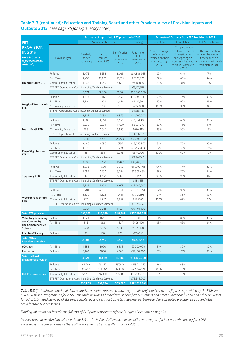#### **Table 3.3 (continued): Education and Training Board and other Provider View of Provision Inputs and Outputs 2015** *(\*see page 25 for explanatory notes.)*

|                                                                                              |                                                       | <b>Estimate of inputs into FET provision in 2015</b> |                                           |                                                        |                                            | <b>Estimate of Outputs from FET Provision in 2015</b>                        |                                                                                                                                         |                                                                                                                  |  |
|----------------------------------------------------------------------------------------------|-------------------------------------------------------|------------------------------------------------------|-------------------------------------------|--------------------------------------------------------|--------------------------------------------|------------------------------------------------------------------------------|-----------------------------------------------------------------------------------------------------------------------------------------|------------------------------------------------------------------------------------------------------------------|--|
| <b>FET</b>                                                                                   |                                                       |                                                      | Number of Learners                        |                                                        | Funding                                    | Retention                                                                    | Completion                                                                                                                              | <b>FET Accreditation</b>                                                                                         |  |
| <b>PROVISION</b><br><b>IN 2015</b><br><b>Note PLC costs</b><br>represent SOLAS<br>costs only | Provision Type                                        | Enrolled /<br>Started<br>1st January                 | <b>Starting</b><br>courses<br>during 2015 | <b>Beneficiaries</b><br>of FET<br>provision in<br>2015 | Funding for<br>FET<br>provision in<br>2015 | *The percentage<br>of starters<br>retained on their<br>course during<br>2015 | * The percentage<br>of retained learners<br>/ beneficiaries<br>participating on<br>courses scheduled<br>to finish / complete<br>in 2015 | *The accreditation<br>rate for the learners/<br>beneficiaries on<br>courses who will finish<br>/complete in 2015 |  |
|                                                                                              | Fulltime                                              | 3,475                                                | 4,558                                     | 8,033                                                  | €34,806,985                                | 92%                                                                          | 64%                                                                                                                                     | 77%                                                                                                              |  |
|                                                                                              | Part Time                                             | 4,432                                                | 13,883                                    | 18,315                                                 | €6,195,628                                 | 87%                                                                          | 68%                                                                                                                                     | 44%                                                                                                              |  |
| <b>Limerick Clare ETB</b>                                                                    | Community Education                                   | 1,064                                                | 4,549                                     | 5,613                                                  | €840,000                                   | 89%                                                                          | 91%                                                                                                                                     | 1%                                                                                                               |  |
|                                                                                              | ETB FET Operational Costs including Guidance Services |                                                      |                                           |                                                        | €8,157,387                                 |                                                                              |                                                                                                                                         |                                                                                                                  |  |
|                                                                                              |                                                       | 8,971                                                | 22,990                                    | 31,961                                                 | €50,000,000                                |                                                                              |                                                                                                                                         |                                                                                                                  |  |
|                                                                                              | Fulltime                                              | 1,333                                                | 2,117                                     | 3,450                                                  | €16,600,938                                | 92%                                                                          | 77%                                                                                                                                     | 92%                                                                                                              |  |
|                                                                                              | Part Time                                             | 2,140                                                | 2,304                                     | 4,444                                                  | €3,141,304                                 | 85%                                                                          | 65%                                                                                                                                     | 68%                                                                                                              |  |
| Longford Westmeath                                                                           | Community Education                                   | 52                                                   | 613                                       | 665                                                    | €292,000                                   | 100%                                                                         | 97%                                                                                                                                     | 0%                                                                                                               |  |
| <b>ETB</b>                                                                                   | ETB FET Operational Costs including Guidance Services |                                                      |                                           |                                                        | €4,865,758                                 |                                                                              |                                                                                                                                         |                                                                                                                  |  |
|                                                                                              |                                                       | 3,525                                                | 5,034                                     | 8,559                                                  | €24,900,000                                |                                                                              |                                                                                                                                         |                                                                                                                  |  |
|                                                                                              | Fulltime                                              | 4,205                                                | 4,351                                     | 8,556                                                  | €21,951,486                                | 91%                                                                          | 68%                                                                                                                                     | 85%                                                                                                              |  |
|                                                                                              | Part Time                                             | 2,528                                                | 8,531                                     | 11,059                                                 | €3,921,273                                 | 88%                                                                          | 74%                                                                                                                                     | 41%                                                                                                              |  |
| <b>Louth Meath ETB</b>                                                                       | Community Education                                   | 208                                                  | 2,647                                     | 2,855                                                  | €620,816                                   | 83%                                                                          | 90%                                                                                                                                     | 13%                                                                                                              |  |
|                                                                                              | ETB FET Operational Costs including Guidance Services |                                                      |                                           |                                                        | €3,706,425                                 |                                                                              |                                                                                                                                         |                                                                                                                  |  |
|                                                                                              |                                                       | 6,941                                                | 15,529                                    | 22,470                                                 | €30,200,000                                |                                                                              |                                                                                                                                         |                                                                                                                  |  |
|                                                                                              | Fulltime                                              | 3,440                                                | 3,696                                     | 7,136                                                  | €23,065,960                                | 81%                                                                          | 70%                                                                                                                                     | 85%                                                                                                              |  |
|                                                                                              | Part Time                                             | 4,976                                                | 3,232                                     | 8,208                                                  | €3,252,894                                 | 97%                                                                          | 36%                                                                                                                                     | 81%                                                                                                              |  |
| Mayo Sligo Leitrim                                                                           | Community Education                                   | 1,264                                                | 834                                       | 2,098                                                  | €574,000                                   | 100%                                                                         | 69%                                                                                                                                     | 10%                                                                                                              |  |
| $ETB*$                                                                                       | ETB FET Operational Costs including Guidance Services |                                                      |                                           |                                                        | €3,807,146                                 |                                                                              |                                                                                                                                         |                                                                                                                  |  |
|                                                                                              |                                                       | 9,680                                                | 7,762                                     | 17,442                                                 | €30,700,000                                |                                                                              |                                                                                                                                         |                                                                                                                  |  |
|                                                                                              | Fulltime                                              | 1,678                                                | 1,580                                     | 3,258                                                  | €11,806,701                                | 94%                                                                          | 44%                                                                                                                                     | 86%                                                                                                              |  |
|                                                                                              | Part Time                                             | 1,082                                                | 2,552                                     | 3,634                                                  | €2,362,489                                 | 87%                                                                          | 70%                                                                                                                                     | 64%                                                                                                              |  |
| <b>Tipperary ETB</b>                                                                         | Community Education                                   | 8                                                    | 1,772                                     | 1,780                                                  | €347,195                                   | 93%                                                                          | 95%                                                                                                                                     | 0%                                                                                                               |  |
|                                                                                              | ETB FET Operational Costs including Guidance Services |                                                      |                                           |                                                        | €483,615                                   |                                                                              |                                                                                                                                         |                                                                                                                  |  |
|                                                                                              |                                                       | 2,768                                                | 5,904                                     | 8,672                                                  | €15,000,000                                |                                                                              |                                                                                                                                         |                                                                                                                  |  |
|                                                                                              | Fulltime                                              | 3,781                                                | 4,080                                     | 7,861                                                  | €33,715,354                                | 87%                                                                          | 93%                                                                                                                                     | 80%                                                                                                              |  |
|                                                                                              | Part Time                                             | 2,820                                                | 4,621                                     | 7,441                                                  | €4,191,396                                 | 91%                                                                          | 88%                                                                                                                                     | 52%                                                                                                              |  |
| <b>Waterford Wexford</b>                                                                     | Community Education                                   | 712                                                  | 1,547                                     | 2,259                                                  | €538,100                                   | 100%                                                                         | 69%                                                                                                                                     | 2%                                                                                                               |  |
| <b>ETB</b>                                                                                   | ETB FET Operational Costs including Guidance Services |                                                      |                                           |                                                        | €6,656,150                                 |                                                                              |                                                                                                                                         |                                                                                                                  |  |
|                                                                                              |                                                       | 7,313                                                | 10,248                                    | 17,561                                                 | €45,101,000                                |                                                                              |                                                                                                                                         |                                                                                                                  |  |
| <b>Total ETB provision</b>                                                                   |                                                       | 131,653                                              | 216,629                                   | 348,282                                                | €557,491,559                               |                                                                              |                                                                                                                                         |                                                                                                                  |  |
| Voluntary Secondary   Fulltime                                                               |                                                       | 1,873                                                | 1623                                      | 3496                                                   | €0                                         | 71%                                                                          | 83%                                                                                                                                     | 88%                                                                                                              |  |
| and Community                                                                                | Part Time                                             | 845                                                  | 992                                       | 1837                                                   | €409,490                                   | 93%                                                                          | 62%                                                                                                                                     | 24%                                                                                                              |  |
| and Comprehensive                                                                            |                                                       | 2,718                                                | 2,615                                     | 5,333                                                  | €409,490                                   |                                                                              |                                                                                                                                         |                                                                                                                  |  |
| Schools                                                                                      |                                                       |                                                      |                                           |                                                        |                                            |                                                                              |                                                                                                                                         |                                                                                                                  |  |
| <b>Irish Deaf Society</b>                                                                    | Fulltime                                              | 90                                                   | 130                                       | 220                                                    | €214,157                                   |                                                                              |                                                                                                                                         |                                                                                                                  |  |
| <b>Total Other</b><br><b>Providers provision</b>                                             |                                                       | 2,808                                                | 2,745                                     | 5,553                                                  | €623,647                                   |                                                                              |                                                                                                                                         |                                                                                                                  |  |
| eCollege                                                                                     | Part Time                                             | 1,688                                                | 8000                                      | 9688                                                   | €2,000,000                                 | 81%                                                                          | 80%                                                                                                                                     | 30%                                                                                                              |  |
| Momentum                                                                                     | Fulltime                                              | 2,140                                                | 3860                                      | 6000                                                   | €12,100,000                                | 79%                                                                          | 77%                                                                                                                                     | 83%                                                                                                              |  |
| <b>Total national</b><br>programmes provision                                                |                                                       | 3,828                                                | 11,860                                    | 15,688                                                 | €14,100,000                                |                                                                              |                                                                                                                                         |                                                                                                                  |  |
|                                                                                              | Fulltime                                              | 64,549                                               | 73,257                                    | 137,806                                                | €415,711,259                               | 86%                                                                          | 68%                                                                                                                                     |                                                                                                                  |  |
|                                                                                              | Part Time                                             | 61,467                                               | 111,667                                   | 173,134                                                | €72,374,121                                | 88%                                                                          | 72%                                                                                                                                     |                                                                                                                  |  |
| <b>FET Provision totals</b>                                                                  | Community Education                                   | 12,273                                               | 46,310                                    | 58,583                                                 | €10,581,826                                | 91%                                                                          | 77%                                                                                                                                     |                                                                                                                  |  |
|                                                                                              | ETB FET Operational Costs including Guidance Services |                                                      |                                           |                                                        | €73,548,000                                |                                                                              |                                                                                                                                         |                                                                                                                  |  |
|                                                                                              |                                                       | 138,289                                              | 231,234                                   | 369,523                                                | €572,215,206                               |                                                                              |                                                                                                                                         |                                                                                                                  |  |

*Table 3.3 (It should be noted that data related to provision presented above represents projected estimated figures as provided by the ETBs and SOLAS National Programmes for 2015.) The table provides a breakdown of beneficiary numbers and grant allocations by ETB and other providers for 2015. Estimated numbers of starters, completers and certification rates full-time, part-time and unaccredited provision by ETB and other providers are also presented.*

*Funding values do not include the full cost of PLC provision: please refer to Budget Allocations on page 24.* 

*Please note that the funding values in Table 3.3 are inclusive of allowances in lieu of income support for Learners who quality for a DSP allowances. The overall value of these allowances in this Services Plan is circa €200m.*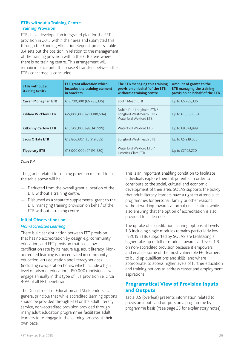#### **ETBs without a Training Centre – Training Provision**

ETBs have developed an integrated plan for the FET provision in 2015 within their area and submitted this through the Funding Allocation Request process. Table 3.4 sets out the position in relation to the management of the training provision within the ETB areas where there is no training centre. This arrangement will remain in place until the phase 3 transfers between the ETBs concerned is concluded.

| <b>ETBs without a</b><br>training centre | FET grant allocation which<br>includes the training element<br>in brackets | The ETB managing this training<br>provision on behalf of the ETB<br>without a training centre | Amount of grants to the<br><b>ETB managing the training</b><br>provision on behalf of the ETB |
|------------------------------------------|----------------------------------------------------------------------------|-----------------------------------------------------------------------------------------------|-----------------------------------------------------------------------------------------------|
| <b>Cavan Monaghan ETB</b>                | €13,700,000 (€6,785,336)                                                   | Louth Meath ETB                                                                               | Up to €6,785,336                                                                              |
| <b>Kildare Wicklow ETB</b>               | €27,800,000 (€10,180,604)                                                  | Dublin Dun Laoghaire ETB /<br>Longford Westmeath ETB /<br>Waterford Wexford ETB               | Up to €10,180,604                                                                             |
| <b>Kilkenny Carlow ETB</b>               | €16,500,000 (€8,341,999)                                                   | Waterford Wexford ETB                                                                         | Up to €8,341,999                                                                              |
| <b>Laois Offaly ETB</b>                  | €13,866,607 (€5,919,055)                                                   | Longford Westmeath ETB                                                                        | Up to €5,919,055                                                                              |
| <b>Tipperary ETB</b>                     | €15,000,000 (€7,192,220)                                                   | Waterford Wexford ETB /<br>Limerick Clare ETB                                                 | Up to €7,192,220                                                                              |

#### *Table 3.4*

The grants related to training provision referred to in the table above will be:

- Deducted from the overall grant allocation of the ETB without a training centre.
- Disbursed as a separate supplemental grant to the ETB managing training provision on behalf of the ETB without a training centre.

#### **Initial Observations on:**

#### *Non-accredited Learning*

There is a clear distinction between FET provision that has no accreditation by design e.g. community education, and FET provision that has a low certification rate by its nature e.g. adult literacy. Nonaccredited learning is concentrated in community education, arts education and literacy services (including co-operation hours, which include a high level of prisoner education). 150,000+ individuals will engage annually in this type of FET provision i.e. circa 40% of all FET beneficiaries.

The Department of Education and Skills endorses a general principle that while accredited learning options should be provided through BTEI or the adult literacy service, non-accredited provision provided through many adult education programmes facilitates adult learners to re-engage in the learning process at their own pace.

This is an important enabling condition to facilitate individuals explore their full potential in order to contribute to the social, cultural and economic development of their area. SOLAS supports the policy that adult literacy learners have a right to attend such programmes for personal, family or other reasons without working towards a formal qualification, while also ensuring that the option of accreditation is also provided to all learners.

The uptake of accreditation learning options at Levels 1-3 including single modules remains particularly low. In 2015 ETBs supported by SOLAS are facilitating a higher take-up of full or modular awards at Levels 1-3 on non-accredited provision because it empowers and enables some of the most vulnerable FET learners to build up qualifications and skills, and where appropriate, to access higher levels of further education and training options to address career and employment aspirations.

## Programatical View of Provision Inputs and Outputs

Table 3.5 (overleaf) presents information related to provision inputs and outputs on a programme by programme basis (\*see page 25 for explanatory notes).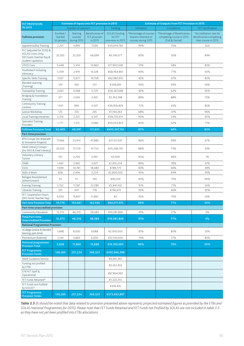| <b>FET PROVISION</b>                                                                            | <b>Estimate of inputs into FET provision in 2015</b> |                                           |                                                     |                                                      | <b>Estimate of Outputs from FET Provision in 2015</b>                 |                                                                               |                                                                                    |  |  |
|-------------------------------------------------------------------------------------------------|------------------------------------------------------|-------------------------------------------|-----------------------------------------------------|------------------------------------------------------|-----------------------------------------------------------------------|-------------------------------------------------------------------------------|------------------------------------------------------------------------------------|--|--|
| <b>IN 2015</b>                                                                                  |                                                      | Number of Learners                        |                                                     | Funding                                              | Utilisation                                                           | Completion                                                                    | <b>FET Certification</b>                                                           |  |  |
| <b>Fulltime provision</b>                                                                       | Enrolled /<br>Started<br>1st January                 | <b>Starting</b><br>courses<br>during 2015 | <b>Beneficiaries of</b><br>FET provision<br>in 2015 | <b>SOLAS Funding</b><br>for FET<br>provision in 2015 | *Percentage of courses<br>Starters retained on<br>courses during 2015 | *Percentage of Beneficiaries<br>completing course in 2015<br>(Full & Partial) | *Accreditation rate for<br><b>Beneficiaries completing</b><br>their course in 2015 |  |  |
| Apprenticeship Training                                                                         | 2,201                                                | 4,895                                     | 7,096                                               | €33,044,782                                          | 99%                                                                   | 70%                                                                           | N/A                                                                                |  |  |
| PLC (adjusted for SUSI) &<br>SOLAS Costs Only,<br>DES funds Teacher Pay &<br>student capitation | 33,350                                               | 33,350                                    | 66,699                                              | €6,746,077                                           | 83%                                                                   | 50%                                                                           | 84%                                                                                |  |  |
| VTOS Core                                                                                       | 5,448                                                | 5,414                                     | 10,862                                              | €77,822,028                                          | 91%                                                                   | 58%                                                                           | 83%                                                                                |  |  |
| Youthreach including<br>Advocacy                                                                | 5,309                                                | 2,919                                     | 8,228                                               | €68,464,861                                          | 83%                                                                   | 77%                                                                           | 50%                                                                                |  |  |
| Specific Skills Training                                                                        | 7,037                                                | 12,671                                    | 19,708                                              | €62,982,976                                          | 92%                                                                   | 67%                                                                           | 83%                                                                                |  |  |
| <b>Blended Learning</b><br>(Training)                                                           | 129                                                  | 402                                       | 531                                                 | €328,690                                             | 93%                                                                   | 93%                                                                           | 59%                                                                                |  |  |
| Traineeship Training                                                                            | 2,661                                                | 3,068                                     | 5,729                                               | €30,367,698                                          | 92%                                                                   | 62%                                                                           | 92%                                                                                |  |  |
| Bridging & Foundation<br>Training                                                               | 371                                                  | 2,036                                     | 2,407                                               | €5,763,598                                           | 89%                                                                   | 88%                                                                           | 70%                                                                                |  |  |
| Community Training<br>Centres                                                                   | 1,601                                                | 846                                       | 2,447                                               | €36,926,829                                          | 77%                                                                   | 63%                                                                           | 85%                                                                                |  |  |
| Justice Workshop                                                                                | 125                                                  | 120                                       | 245                                                 | €1,194,264                                           | 68%                                                                   | 47%                                                                           | 96%                                                                                |  |  |
| Local Training Initiatives                                                                      | 2,316                                                | 2,231                                     | 4,547                                               | €29,720,474                                          | 90%                                                                   | 54%                                                                           | 92%                                                                                |  |  |
| <b>Specialist Training</b><br>Providers                                                         | 1,771                                                | 1,315                                     | 3,086                                               | €50,034,825                                          | 90%                                                                   | 52%                                                                           | 71%                                                                                |  |  |
| <b>Fulltime Provision Total</b><br>Part-time provision                                          | 62,409                                               | 69,397                                    | 131,805                                             | €403,397,102                                         | 87%                                                                   | 68%                                                                           | 83%                                                                                |  |  |
| <b>BTEI Groups (inc Breacadh</b><br>& Innovation Projects)                                      | 17,966                                               | 23,914                                    | 41,880                                              | €27,127,047                                          | 86%                                                                   | 69%                                                                           | 67%                                                                                |  |  |
| Adult Literacy Groups<br>(inc DEIS & Deaf Literacy)                                             | 20,025                                               | 27,729                                    | 47,754                                              | €25,208,745                                          | 88%                                                                   | 73%                                                                           | 34%                                                                                |  |  |
| Voluntary Literacy<br>Tuition                                                                   | 707                                                  | 2,290                                     | 2,997                                               | €2,000                                               | 90%                                                                   | 89%                                                                           | 1%                                                                                 |  |  |
| <b>ITABE</b>                                                                                    | 1,062                                                | 2,965                                     | 4,027                                               | €1,955,234                                           | 86%                                                                   | 78%                                                                           | 47%                                                                                |  |  |
| ESOL                                                                                            | 7,699                                                | 10,781                                    | 18,480                                              | €789,779                                             | 83%                                                                   | 66%                                                                           | 38%                                                                                |  |  |
| Skills 4 Work                                                                                   | 828                                                  | 2,406                                     | 3,234                                               | €2,800,000                                           | 95%                                                                   | 84%                                                                           | 39%                                                                                |  |  |
| Refugee Resettlement<br>(where known)                                                           | 29                                                   | 111                                       | 140                                                 | €90,559                                              | 90%                                                                   | 75%                                                                           | 90%                                                                                |  |  |
| <b>Evening Training</b>                                                                         | 5,102                                                | 17,187                                    | 22,289<br>778                                       | €5,847,432                                           | 91%<br>95%                                                            | 71%                                                                           | 56%                                                                                |  |  |
| Libraries Training<br>FET Cooperation Hours<br>(DES funds Teacher Pay)                          | 331<br>6,030                                         | 447<br>15,837                             | 21,867                                              | €196,674<br>€0                                       | 95%                                                                   | 66%<br>70%                                                                    | 92%<br>26%                                                                         |  |  |
| Part-time Provision Total                                                                       | 59,779                                               | 103,667                                   | 163,446                                             | €64,017,470                                          | 89%                                                                   | 71%                                                                           | 45%                                                                                |  |  |
| Part-time unaccredited provision                                                                |                                                      |                                           |                                                     |                                                      |                                                                       |                                                                               |                                                                                    |  |  |
| Community Education                                                                             | 12,273                                               | 46,310                                    | 58,583                                              | €10,581,826                                          | 91%                                                                   | 77%                                                                           | 3%                                                                                 |  |  |
| <b>Total Part-time</b><br><b>Unaccredited Provision</b>                                         | 12,273                                               | 46,310                                    | 58,583                                              | €10,581,826                                          | 91%                                                                   | 77%                                                                           | 3%                                                                                 |  |  |
| <b>National Programmes Provision</b>                                                            |                                                      |                                           |                                                     |                                                      |                                                                       |                                                                               |                                                                                    |  |  |
| eCollege (online & blended<br>learning, part-time)                                              | 1,688                                                | 8,000                                     | 9,688                                               | €2,000,000                                           | 81%                                                                   | 80%                                                                           | 30%                                                                                |  |  |
| Momentum (fulltime)                                                                             | 2,140                                                | 3,860                                     | 6,000                                               | €12,100,000                                          | 79%                                                                   | 77%                                                                           | 83%                                                                                |  |  |
| <b>National programmes</b><br><b>Provision Total</b>                                            | 3,828                                                | 11,860                                    | 15,688                                              | €14,100,000                                          | 80%                                                                   | 79%                                                                           | 50%                                                                                |  |  |
| <b>FET Programme</b><br><b>Provision Totals</b>                                                 | 138,289                                              | 231,234                                   | 369,523                                             | €492,096,398                                         |                                                                       |                                                                               |                                                                                    |  |  |
| Adult Guidance Service                                                                          |                                                      |                                           |                                                     | €6,661,367                                           |                                                                       |                                                                               |                                                                                    |  |  |
| Funding not profiled<br>by ETBs                                                                 |                                                      |                                           |                                                     | €5,652,450                                           |                                                                       |                                                                               |                                                                                    |  |  |
| ETB FET Staff &<br>Operational                                                                  |                                                      |                                           |                                                     | €67,804,992                                          |                                                                       |                                                                               |                                                                                    |  |  |
| FET Funds Retained*                                                                             |                                                      |                                           |                                                     | €1,322,255                                           |                                                                       |                                                                               |                                                                                    |  |  |
| FET Funds not Profiled<br>by SOLAS*                                                             |                                                      |                                           |                                                     | €356,435                                             |                                                                       |                                                                               |                                                                                    |  |  |
| <b>FET Programme</b><br><b>Provision Totals</b>                                                 | 138,289                                              | 231,234                                   | 369,523                                             | €573,893,897                                         |                                                                       |                                                                               |                                                                                    |  |  |

*Table 3.5 (It should be noted that data related to provision presented above represents projected estimated figures as provided by the ETBs and SOLAS National Programmes for 2015). Please note that FET Funds Retained and FET Funds not Profiled by SOLAS are not included in table 3.3 as they have not yet been profiled into ETBs allocations.*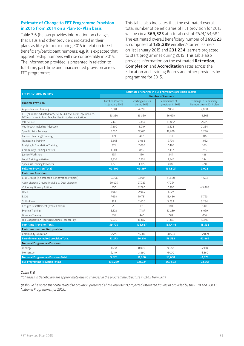#### **Estimate of Change to FET Programme Provision in 2015 from 2014 on a Plan-to-Plan basis**

Table 3.6 (below) provides information on changes that ETBs and other providers indicated in their plans as likely to occur during 2015 in relation to FET beneficiary/participant numbers: e.g. it is expected that apprenticeship numbers will rise considerably in 2015. The information provided is presented in relation to full-time, part-time and unaccredited provision across FET programmes.

This table also indicates that the estimated overall total number of beneficiaries of FET provision for 2015 will be circa **369,523** at a total cost of €574,154,684. The estimated overall beneficiary number of **369,523** is comprised of **138,289** enrolled/started learners on 1st January 2015 and **231,234** learners projected to start programmes during 2015. This table also provides information on the estimated **Retention**, **Completion** and **Accreditation** rates across the Education and Training Boards and other providers by programme for 2015.

|                                                                                                                        | Estimate of changes in FET programme provision in 2015 |                                        |                                                  |                                                  |  |  |  |
|------------------------------------------------------------------------------------------------------------------------|--------------------------------------------------------|----------------------------------------|--------------------------------------------------|--------------------------------------------------|--|--|--|
| FET PROVISION IN 2015                                                                                                  | <b>Number of Learners</b>                              |                                        |                                                  |                                                  |  |  |  |
| <b>Fulltime Provision</b>                                                                                              | Enrolled /Started<br>1st January 2015                  | <b>Starting courses</b><br>during 2015 | <b>Beneficiaries of FET</b><br>provision in 2015 | *Change in Beneficiary<br>Numbers from 2014 plan |  |  |  |
| Apprenticeship Training                                                                                                | 2,201                                                  | 4,895                                  | 7,096                                            | 2.000                                            |  |  |  |
| PLC (Numbers adjusted for SUSI) & SOLAS Costs Only included,<br>DES continues to fund Teacher Pay & student capitation | 33,350                                                 | 33,350                                 | 66,699                                           | $-2,363$                                         |  |  |  |
| VTOS Core                                                                                                              | 5,448                                                  | 5,414                                  | 10,862                                           | 2,615                                            |  |  |  |
| Youthreach including Advocacy                                                                                          | 5,309                                                  | 2,919                                  | 8,228                                            | 2,254                                            |  |  |  |
| Specific Skills Training                                                                                               | 7,037                                                  | 12,671                                 | 19,708                                           | 3,786                                            |  |  |  |
| <b>Blended Learning (Training)</b>                                                                                     | 129                                                    | 402                                    | 531                                              | 316                                              |  |  |  |
| <b>Traineeship Training</b>                                                                                            | 2,661                                                  | 3,068                                  | 5,729                                            | 1,022                                            |  |  |  |
| Bridging & Foundation Training                                                                                         | 371                                                    | 2,036                                  | 2,407                                            | 166                                              |  |  |  |
| Community Training Centres                                                                                             | 1,601                                                  | 846                                    | 2,447                                            | $-799$                                           |  |  |  |
| Justice Workshop                                                                                                       | 125                                                    | 120                                    | 245                                              | $-88$                                            |  |  |  |
| Local Training Initiatives                                                                                             | 2,316                                                  | 2,231                                  | 4,547                                            | 184                                              |  |  |  |
| <b>Specialist Training Providers</b>                                                                                   | 1,771                                                  | 1,315                                  | 3,086                                            | $-291$                                           |  |  |  |
| <b>Fulltime Provision Total</b>                                                                                        | 62,409                                                 | 69,397                                 | 131,805                                          | 9,022                                            |  |  |  |
| <b>Part-time Provision</b>                                                                                             |                                                        |                                        |                                                  |                                                  |  |  |  |
| BTEI Groups (inc Breacadh & Innovation Projects)                                                                       | 17,966                                                 | 23,914                                 | 41,880                                           | 4,653                                            |  |  |  |
| Adult Literacy Groups (inc DEIS & Deaf Literacy)                                                                       | 20,025                                                 | 27,729                                 | 47,754                                           |                                                  |  |  |  |
| Voluntary Literacy Tuition                                                                                             | 707                                                    | 2,290                                  | 2,997                                            | $-45,868$                                        |  |  |  |
| <b>ITABE</b>                                                                                                           | 1,062                                                  | 2,965                                  | 4,027                                            |                                                  |  |  |  |
| <b>ESOL</b>                                                                                                            | 7,699                                                  | 10,781                                 | 18,480                                           | 5,793                                            |  |  |  |
| Skills 4 Work                                                                                                          | 828                                                    | 2,406                                  | 3,234                                            | 3,234                                            |  |  |  |
| Refugee Resettlement (where known)                                                                                     | 29                                                     | 111                                    | 140                                              | 140                                              |  |  |  |
| <b>Evening Training</b>                                                                                                | 5,102                                                  | 17,187                                 | 22,289                                           | 6,029                                            |  |  |  |
| Libraries Training                                                                                                     | 331                                                    | 447                                    | 778                                              | $-116$                                           |  |  |  |
| FET Cooperation Hours (DES funds Teacher Pay)                                                                          | 6,030                                                  | 15,837                                 | 21,867                                           | 10,599                                           |  |  |  |
| <b>Part-time Provision Total</b>                                                                                       | 59,779                                                 | 103,667                                | 163,446                                          | $-15,536$                                        |  |  |  |
| Part-time unaccredited provision                                                                                       |                                                        |                                        |                                                  |                                                  |  |  |  |
| Community Education                                                                                                    | 12,273                                                 | 46,310                                 | 58,583                                           | $-12,869$                                        |  |  |  |
| Part-time unaccredited provision Total                                                                                 | 12,273                                                 | 46,310                                 | 58,583                                           | $-12,869$                                        |  |  |  |
| <b>National Programmes Provision</b>                                                                                   |                                                        |                                        |                                                  |                                                  |  |  |  |
| eCollege                                                                                                               | 1,688                                                  | 8,000                                  | 9,688                                            | $-2,118$                                         |  |  |  |
| Momentum                                                                                                               | 2,140                                                  | 3,860                                  | 6,000                                            | $-1,860$                                         |  |  |  |
| <b>National Programmes Provision Total</b>                                                                             | 3,828                                                  | 11,860                                 | 15,688                                           | $-3,978$                                         |  |  |  |
| <b>FET Programme Provision Totals</b>                                                                                  | 138,289                                                | 231,234                                | 369,523                                          | $-23,361$                                        |  |  |  |

#### *Table 3.6*

*\*Changes in Beneficiary are approximate due to changes in the programme structure in 2015 from 2014*

*(It should be noted that data related to provision presented above represents projected estimated figures as provided by the ETBs and SOLAS National Programmes for 2015).*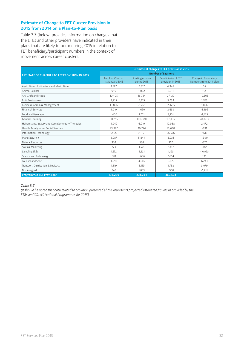#### **Estimate of Change to FET Cluster Provision in 2015 from 2014 on a Plan-to-Plan basis**

Table 3.7 (below) provides information on changes that the ETBs and other providers have indicated in their plans that are likely to occur during 2015 in relation to FET beneficiary/participant numbers in the context of movement across career clusters.

|                                                     | <b>Estimate of changes to FET provision in 2015</b> |                                        |                                                  |                                                 |  |  |  |
|-----------------------------------------------------|-----------------------------------------------------|----------------------------------------|--------------------------------------------------|-------------------------------------------------|--|--|--|
| <b>ESTIMATE OF CHANGES TO FET PROVISION IN 2015</b> |                                                     |                                        | <b>Number of Learners</b>                        |                                                 |  |  |  |
|                                                     | <b>Fnrolled /Started</b><br>1st January 2015        | <b>Starting courses</b><br>during 2015 | <b>Beneficiaries of FFT</b><br>provision in 2015 | Change in Beneficiary<br>Numbers from 2014 plan |  |  |  |
| Agriculture, Horticulture and Mariculture           | 1,527                                               | 2,817                                  | 4,344                                            | 65                                              |  |  |  |
| Animal Science                                      | 949                                                 | 1.062                                  | 2,011                                            | 165                                             |  |  |  |
| Art, Craft and Media                                | 10.405                                              | 16.724                                 | 27,129                                           | $-9,505$                                        |  |  |  |
| <b>Built Environment</b>                            | 2,915                                               | 6,319                                  | 9,234                                            | 1.763                                           |  |  |  |
| Business, Admin & Management                        | 13.896                                              | 21.769                                 | 35,665                                           | 1.856                                           |  |  |  |
| <b>Financial Services</b>                           | 1,019                                               | 1.620                                  | 2,639                                            | $-1,495$                                        |  |  |  |
| Food and Beverage                                   | 1,400                                               | 1,701                                  | 3,101                                            | $-1,475$                                        |  |  |  |
| General Learning                                    | 60,255                                              | 100,880                                | 161,135                                          | 44.803                                          |  |  |  |
| Hairdressing, Beauty and Complementary Therapies    | 4,949                                               | 6.019                                  | 10,968                                           | 2,472                                           |  |  |  |
| Health, Family other Social Services                | 23,392                                              | 30,246                                 | 53,638                                           | $-831$                                          |  |  |  |
| Information Technology                              | 12,122                                              | 24,454                                 | 36,576                                           | 7.615                                           |  |  |  |
| Manufacturing                                       | 3.087                                               | 5.844                                  | 8,931                                            | 1.390                                           |  |  |  |
| Natural Resources                                   | 368                                                 | 534                                    | 902                                              | $-372$                                          |  |  |  |
| Sales & Marketing                                   | 773                                                 | 1.574                                  | 2,347                                            | $-187$                                          |  |  |  |
| Sampling Skills                                     | 1,572                                               | 2,621                                  | 4,193                                            | $-10,923$                                       |  |  |  |
| Science and Technology                              | 978                                                 | 1.686                                  | 2,664                                            | 135                                             |  |  |  |
| Tourism and Sport                                   | 4,590                                               | 4,605                                  | 9,195                                            | 6,243                                           |  |  |  |
| Transport, Distribution & Logistics                 | 1,619                                               | 3,119                                  | 4,738                                            | 3,079                                           |  |  |  |
| Not Assigned                                        | 847                                                 | 1.053                                  | 1.900                                            | $-5,211$                                        |  |  |  |
| <b>Programmed FET Provision*</b>                    | 138.289                                             | 231,234                                | 369,523                                          |                                                 |  |  |  |

#### *Table 3.7*

*(It should be noted that data related to provision presented above represents projected estimated figures as provided by the ETBs and SOLAS National Programmes for 2015)*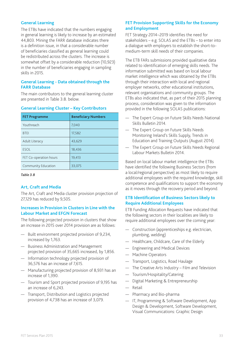#### **General Learning**

The ETBs have indicated that the numbers engaging in general learning is likely to increase by an estimated 44,803. Mining the FARR database indicates there is a definition issue, in that a considerable number of beneficiaries classified as general learning could be redistributed across the clusters. The increase is somewhat offset by a considerable reduction (10,923) in the number of beneficiaries engaging in sampling skills in 2015.

#### **General Learning - Data obtained through the FARR Database**

The main contributors to the general learning cluster are presented in Table 3.8. below.

| <b>FET Programme</b>   | <b>Beneficiary Numbers</b> |
|------------------------|----------------------------|
| Youthreach             | 7,040                      |
| <b>BTEI</b>            | 17,582                     |
| Adult Literacy         | 43,629                     |
| ESOL                   | 18,436                     |
| FET Co-operation hours | 19,413                     |
| Community Education    | 33,075                     |

#### **General Learning Cluster – Key Contributors**

#### *Table 3.8*

#### **Art, Craft and Media**

The Art, Craft and Media cluster provision projection of 27,129 has reduced by 9,505.

#### **Increases in Provision in Clusters in Line with the Labour Market and EFGN Forecast**

The following projected provision in clusters that show an increase in 2015 over 2014 provision are as follows:

- Built environment projected provision of 9,234, increased by 1,763.
- Business Administration and Management projected provision of 35,665 increased, by 1,856.
- Information technology projected provision of 36,576 has an increase of 7,615.
- Manufacturing projected provision of 8,931 has an increase of 1,390.
- Tourism and Sport projected provision of 9,195 has an increase of 6,243.
- Transport, Distribution and Logistics projected provision of 4,738 has an increase of 3,079.

#### **FET Provision Supporting Skills for the Economy and Employment**

FET Strategy 2014–2019 identifies the need for stakeholders – e.g. SOLAS and the ETBs – to enter into a dialogue with employers to establish the short-tomedium-term skill needs of their companies.

The ETB FARs submissions provided qualitative data related to identification of emerging skills needs. The information submitted was based on local labour market intelligence which was obtained by the ETBs through their interaction with local and regional employer networks, other educational institutions, relevant organisations and community groups. The ETBs also indicated that, as part of their 2015 planning process, consideration was given to the information provided in the following SOLAS publications:

- The Expert Group on Future Skills Needs National Skills Bulletin 2014.
- The Expert Group on Future Skills Needs Monitoring Ireland's Skills Supply, Trends in Education and Training Outputs (August 2014).
- The Expert Group on Future Skills Needs Regional Labour Markets Bulletin 2014.

Based on local labour market intelligence the ETBs have identified the following Business Sectors (from a local/regional perspective) as most likely to require additional employees with the required knowledge, skill competence and qualifications to support the economy as it moves through the recovery period and beyond.

#### **ETB Identification of Business Sectors likely to Require Additional Employees**

ETB Funding Allocation Requests have indicated that the following sectors in their localities are likely to require additional employees over the coming year:

- Construction (apprenticeships e.g. electrician, plumbing, welding)
- Healthcare, Childcare, Care of the Elderly
- Engineering and Medical Devices
- Machine Operators
- Transport, Logistics, Road Haulage
- The Creative Arts Industry Film and Television
- Tourism/Hospitality/Catering
- Digital Marketing & Entrepreneurship
- Retail
- Pharmacy and Bio-pharma
- IT, Programming & Software Development, App Design & Development, Software Development, Visual Communications: Graphic Design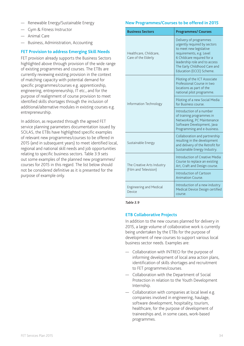- Renewable Energy/Sustainable Energy
- Gym & Fitness Instructor
- Animal Care
- Business, Administration, Accounting

#### **FET Provision to address Emerging Skill Needs**

FET provision already supports the Business Sectors highlighted above through provision of the wide range of existing programmes and courses. The ETBs are currently reviewing existing provision in the context of matching capacity with potential demand for specific programmes/courses e.g. apprenticeship, engineering, entrepreneurship, IT etc., and for the purpose of realignment of course provision to meet identified skills shortages through the inclusion of additional/alternative modules in existing courses e.g. entrepreneurship.

In addition, as requested through the agreed FET service planning parameters documentation issued by SOLAS, the ETBs have highlighted specific examples of relevant new programmes/courses to be offered in 2015 (and in subsequent years) to meet identified local, regional and national skill needs and job opportunities relating to specific business sectors. Table 3.9 sets out some examples of the planned new programmes/ courses for 2015 in this regard. The list below should not be considered definitive as it is presented for the purpose of example only.

#### **New Programmes/Courses to be offered in 2015**

| <b>Business Sectors</b>                       | <b>Programmes/ Courses</b>                                                                                                                                                                                                               |
|-----------------------------------------------|------------------------------------------------------------------------------------------------------------------------------------------------------------------------------------------------------------------------------------------|
| Healthcare, Childcare,<br>Care of the Elderly | Delivery of programmes<br>urgently required by sectors<br>to meet new legislative<br>requirements, e.g. Level<br>6 Childcare required for a<br>leadership role and to access<br>The Early Childhood Care and<br>Education (ECCE) Scheme. |
|                                               | Piloting of the ICT Associate<br>Professional Course in two<br>locations as part of the<br>national pilot programme.                                                                                                                     |
| Information Technology                        | Piloting of a new Social Media<br>for Business course.                                                                                                                                                                                   |
|                                               | Introduction of a number<br>of training programmes in<br>Networking, PC Maintenance<br>Software Development, Java<br>Programming and e-business.                                                                                         |
| Sustainable Energy                            | Collaboration and partnership<br>resulting in the development<br>and delivery of the Retrofit for<br>Sustainable Energy Industry.                                                                                                        |
| The Creative Arts Industry                    | Introduction of Creative Media<br>Course to replace an existing<br>Art, Craft and Design course.                                                                                                                                         |
| (Film and Television)                         | Introduction of Cartoon<br>Animation Course.                                                                                                                                                                                             |
| <b>Engineering and Medical</b><br>Device      | Introduction of a new industry<br>Medical Device Design certified<br>course.                                                                                                                                                             |

#### *Table 3.9*

#### **ETB Collaborative Projects**

In addition to the new courses planned for delivery in 2015, a large volume of collaborative work is currently being undertaken by the ETBs for the purpose of development of new courses to support various local business sector needs. Examples are:

- Collaboration with INTREO for the purpose of informing development of local area action plans, identification of skills shortages and recruitment to FET programmes/courses.
- Collaboration with the Department of Social Protection in relation to the Youth Development Internship.
- Collaboration with companies at local level e.g. companies involved in engineering, haulage, software development, hospitality, tourism, healthcare, for the purpose of development of traineeships and, in some cases, work-based programmes.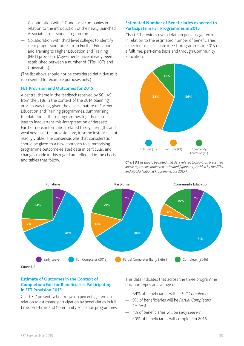- Collaboration with FIT and local companies in relation to the introduction of the newly launched Associate Professional Programme.
- Collaboration with third level colleges to identify clear progression routes from Further Education and Training to Higher Education and Training (HET) provision. (Agreements have already been established between a number of ETBs, IOTs and Universities).

(The list above should not be considered definitive as it is presented for example purposes only.)

#### **FET Provision and Outcomes for 2015**

A central theme in the feedback received by SOLAS from the ETBs in the context of the 2014 planning process was that, given the diverse nature of Further Education and Training programmes, summarising the data for all these programmes together can lead to inadvertent mis-interpretation of datasets. Furthermore, information related to key strengths and weaknesses of the provision are, in some instances, not readily visible. The consensus was that consideration should be given to a new approach to summarising programme outcome-related data in particular, and changes made in this regard are reflected in the charts and tables that follow.

#### **Estimated Number of Beneficiaries expected to Participate in FET Programmes in 2015**

Chart 3.1 provides overall data in percentage terms in relation to the estimated number of beneficiaries expected to participate in FET programmes in 2015 on a fulltime, part-time basis and through Community Education.



*Chart 3.1 (It should be noted that data related to provision presented above represents projected estimated figures as provided by the ETBs and SOLAS National Programmes for 2015.)*



#### **Estimate of Outcomes in the Context of Completion/Exit for Beneficiaries Participating in FET Provision 2015**

Chart 3.2 presents a breakdown in percentage terms in relation to estimated participation by beneficiaries in fulltime, part-time, and Community Education programmes.

This data indicates that across the three programme duration types an average of :

- 64% of beneficiaries will be *Full Completers*.
- 9% of beneficiaries will be *Partial Completers (exiters)*.
- 7% of beneficiaries will be *Early Leavers*.
- 20% of beneficiaries will complete in 2016.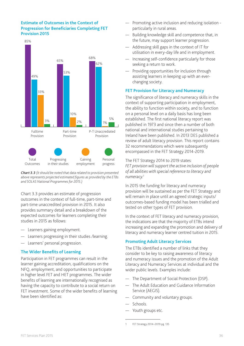#### **Estimate of Outcomes in the Context of Progression for Beneficiaries Completing FET Provision 2015**



*Chart 3.3 (It should be noted that data related to provision presented above represents projected estimated figures as provided by the ETBs and SOLAS National Programmes for 2015.)*

Chart 3.3 provides an estimate of progression outcomes in the context of full-time, part-time and part-time unaccredited provision in 2015. It also provides summary detail and a breakdown of the expected outcomes for learners completing their studies in 2015 as follows:

- Learners gaining employment.
- Learners progressing in their studies /learning.
- Learners' personal progression.

#### **The Wider Benefits of Learning**

Participation in FET programmes can result in the learner gaining accreditation, qualifications on the NFQ, employment, and opportunities to participate in higher level FET and HET programmes. The wider benefits of learning are internationally recognised as having the capacity to contribute to a social return on FET investment. Some of the wider benefits of learning have been identified as:

- Promoting active inclusion and reducing isolation particularly in rural areas.
- Building knowledge skill and competence that, in the future, may support learner progression.
- Addressing skill gaps in the context of IT for utilisation in every-day life and in employment.
- Increasing self-confidence particularly for those seeking a return to work.
- Providing opportunities for inclusion through assisting learners in keeping up with an everchanging society.

#### **FET Provision for Literacy and Numeracy**

The significance of literacy and numeracy skills in the context of supporting participation in employment, the ability to function within society, and to function on a personal level on a daily basis has long been established. The first national literacy report was published in 1973 and since then a number of both national and international studies pertaining to Ireland have been published. In 2013 DES published a review of adult literacy provision. This report contains 32 recommendations which were subsequently encompassed in the FET Strategy 2014-2019.

The FET Strategy 2014 to 2019 states: *FET provision will support the active inclusion of people of all abilities with special reference to literacy and numeracy.1*

In 2015 the funding for literacy and numeracy provision will be sustained as per the FET Strategy and will remain in place until an agreed strategic inputs/ outcomes-based funding model has been trialled and tested on other types of FET provision.

In the context of FET literacy and numeracy provision, the indications are that the majority of ETBs intend increasing and expanding the promotion and delivery of literacy and numeracy learner centred tuition in 2015.

#### **Promoting Adult Literacy Services**

The ETBs identified a number of links that they consider to be key to raising awareness of literacy and numeracy issues and the promotion of the Adult Literacy and Numeracy Services at individual and the wider public levels. Examples include:

- The Department of Social Protection (DSP).
- The Adult Education and Guidance Information Service (AEGIS).
- Community and voluntary groups.
- Schools.
- Youth groups etc.

<sup>1</sup> FET Strategy 2014–2019 pg. 135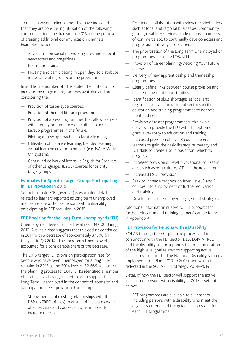To reach a wider audience the ETBs have indicated that they are considering utilisation of the following communications mechanisms in 2015 for the purpose of creating additional communication channels. Examples include:

- Advertising on social networking sites and in local newsletters and magazines.
- Information fairs.
- Hosting and participating in open days to distribute material relating to upcoming programmes.

In addition, a number of ETBs stated their intention to increase the range of programmes available and are considering the:

- Provision of taster-type courses.
- Provision of themed literacy programmes.
- Provision of access programmes that allow learners with literacy or numeracy difficulties to access Level 5 programmes in the future.
- Piloting of new approaches to family learning.
- Utilisation of distance learning, blended learning, virtual learning environments etc (e.g. NALA Write On system).
- Continued delivery of intensive English for Speakers of other Languages (ESOL) courses for priority target groups.

#### **Estimates for Specific Target Groups Participating in FET Provision in 2015**

Set out in Table 3.10 (overleaf) is estimated detail related to learners reported as long term unemployed and learners reported as persons with a disability participating in FET provision in 2015.

#### **FET Provision for the Long Term Unemployed (LTU)**

Unemployment levels declined by almost 34,000 during 2013. Available data suggests that this decline continued in 2014 with a decrease of approximately 37,500 (in the year to Q3 2014). The Long Term Unemployed accounted for a considerable share of the decrease.

The 2015 target FET provision participation rate for people who have been unemployed for a long time remains in 2015 at the 2014 level of 52,666. As part of the planning process for 2015, ETBs identified a number of strategies as having the potential to support the Long Term Unemployed in the context of access to and participation in FET provision. For example:

— Strengthening of existing relationships with the DSP (INTREO offices) to ensure officers are aware of all services and courses on offer in order to increase referrals.

- Continued collaboration with relevant stakeholders such as local and regional businesses, community groups, disability services, trade unions, chambers of commerce etc. to continually develop access and progression pathways for learners.
- The prioritisation of the Long Term Unemployed on programmes such as VTOS/BTEI
- Provision of career planning/Deciding Your Future courses.
- Delivery of new apprenticeship and traineeship programmes.
- Clearly define links between course provision and local employment opportunities.
- Identification of skills shortages at local and regional levels and provision of sector specific education and training programmes to address identified needs.
- Provision of taster programmes with flexible delivery to provide the LTU with the option of a gradual re-entry to education and training.
- Increased provision of level 3 courses to enable learners to gain the basic literacy, numeracy and ICT skills to create a solid basis from which to progress.
- Increased provision of Level 4 vocational courses in areas such as horticulture, ICT, healthcare and retail.
- Increased ESOL provision.
- Seek to increase progression from Level 5 and 6 courses into employment or further education and training.
- Development of employer engagement strategies.

Additional information related to FET supports for further education and training learners' can be found in Appendix 4.

#### **FET Provision for Persons with a Disability**

SOLAS through the FET planning process and in conjunction with the FET sector, DES, DSP/INTREO and the disability sector supports the implementation of the high level goal related to supporting active inclusion set out in the The National Disability Strategy Implementation Plan (2013 to 2015), and which is reflected in the SOLAS FET Strategy 2014–2019.

Detail of how the FET sector will support the active inclusion of persons with disability in 2015 is set out below:

— FET programmes are available to all learners including persons with a disability who meet the eligibility criteria and the guidelines provided for each FET programme.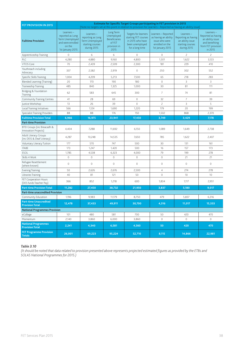| FET PROVISION IN 2015                                   | Estimate for Specific Target Groups participating in FET provision in 2015<br>(Note no targets set at this point in relation to provision for Learners – Reported as having an ability issue) |                                                                                             |                                                                                   |                                                                                                        |                                                                                                      |                                                                                         |                                                                                                        |  |
|---------------------------------------------------------|-----------------------------------------------------------------------------------------------------------------------------------------------------------------------------------------------|---------------------------------------------------------------------------------------------|-----------------------------------------------------------------------------------|--------------------------------------------------------------------------------------------------------|------------------------------------------------------------------------------------------------------|-----------------------------------------------------------------------------------------|--------------------------------------------------------------------------------------------------------|--|
| <b>Fulltime Provision</b>                               | Learners-<br>reported as Long<br>Term Unemployed<br>and were enrolled<br>on the<br>1st January 2015                                                                                           | Learners-<br>reporting as Long<br><b>Term Unemployed</b><br>starting courses<br>during 2015 | Long Term<br>Unemployed<br><b>Beneficiaries</b><br>of FET<br>provision in<br>2015 | Targets for learners<br>starting FET courses<br>in 2015 who have<br>been unemployed<br>for a long time | Learners - Reported<br>as having an ability<br>issue who were<br>enrolled on the<br>1st January 2015 | Learners-<br>Reporting as having<br>an ability issue<br>starting courses<br>during 2015 | Learners-<br>Reported as having<br>an ability issue<br>and benefiting<br>from FET provision<br>in 2015 |  |
| Apprenticeship Training                                 | 0                                                                                                                                                                                             | 6                                                                                           | 6                                                                                 | 0                                                                                                      | 0                                                                                                    | 2                                                                                       | $\overline{c}$                                                                                         |  |
| <b>PLC</b>                                              | 4,280                                                                                                                                                                                         | 4,880                                                                                       | 9,160                                                                             | 4,800                                                                                                  | 1,501                                                                                                | 1,622                                                                                   | 3,123                                                                                                  |  |
| <b>VTOS Core</b>                                        | 70                                                                                                                                                                                            | 2,439                                                                                       | 2,509                                                                             | 2,300                                                                                                  | 181                                                                                                  | 229                                                                                     | 410                                                                                                    |  |
| Youthreach including<br>Advocacy                        | 337                                                                                                                                                                                           | 2,582                                                                                       | 2,919                                                                             | $\mathbb O$                                                                                            | 250                                                                                                  | 302                                                                                     | 552                                                                                                    |  |
| Specific Skills Training                                | 1,004                                                                                                                                                                                         | 4,209                                                                                       | 5,213                                                                             | 7,500                                                                                                  | 65                                                                                                   | 218                                                                                     | 283                                                                                                    |  |
| Blended Learning (Training)                             | 20                                                                                                                                                                                            | 170                                                                                         | 190                                                                               | 180                                                                                                    | 0                                                                                                    | 3                                                                                       | 3                                                                                                      |  |
| Traineeship Training                                    | 485                                                                                                                                                                                           | 840                                                                                         | 1,325                                                                             | 1,000                                                                                                  | 30                                                                                                   | 81                                                                                      | 111                                                                                                    |  |
| Bridging & Foundation<br>Training                       | 62                                                                                                                                                                                            | 583                                                                                         | 645                                                                               | 300                                                                                                    | 7                                                                                                    | 74                                                                                      | 81                                                                                                     |  |
| <b>Community Training Centres</b>                       | 41                                                                                                                                                                                            | 28                                                                                          | 69                                                                                | $\circ$                                                                                                | 32                                                                                                   | 7                                                                                       | 39                                                                                                     |  |
| Justice Workshop                                        | 13                                                                                                                                                                                            | 26                                                                                          | 39                                                                                | $\mathsf{O}\xspace$                                                                                    | $\overline{c}$                                                                                       | 3                                                                                       | 5                                                                                                      |  |
| Local Training Initiatives                              | 566                                                                                                                                                                                           | 1,124                                                                                       | 1,690                                                                             | 1,220                                                                                                  | 179                                                                                                  | 20                                                                                      | 199                                                                                                    |  |
| <b>Specialist Training Providers</b>                    | 88                                                                                                                                                                                            | 88                                                                                          | 176                                                                               | 150                                                                                                    | 1,502                                                                                                | 868                                                                                     | 2,370                                                                                                  |  |
| <b>Fulltime Provision Total</b>                         | 6,966                                                                                                                                                                                         | 16,975                                                                                      | 23,941                                                                            | 17,450                                                                                                 | 3,749                                                                                                | 3,429                                                                                   | 7,178                                                                                                  |  |
| <b>Part-time Provision</b>                              |                                                                                                                                                                                               |                                                                                             |                                                                                   |                                                                                                        |                                                                                                      |                                                                                         |                                                                                                        |  |
| BTEI Groups (inc Breacadh &<br>Innovation Projects)     | 4,404                                                                                                                                                                                         | 7,288                                                                                       | 11,692                                                                            | 6,150                                                                                                  | 1,089                                                                                                | 1,649                                                                                   | 2,738                                                                                                  |  |
| Adult Literacy Groups<br>(inc DEIS & Deaf Literacy)     | 4,287                                                                                                                                                                                         | 10,248                                                                                      | 14,535                                                                            | 7,650                                                                                                  | 785                                                                                                  | 1,622                                                                                   | 2,407                                                                                                  |  |
| Voluntary Literacy Tuition                              | 177                                                                                                                                                                                           | 570                                                                                         | 747                                                                               | 500                                                                                                    | 30                                                                                                   | 131                                                                                     | 161                                                                                                    |  |
| <b>ITABE</b>                                            | 173                                                                                                                                                                                           | 1,247                                                                                       | 1,420                                                                             | 500                                                                                                    | 16                                                                                                   | 157                                                                                     | 173                                                                                                    |  |
| <b>ESOL</b>                                             | 1,785                                                                                                                                                                                         | 4,538                                                                                       | 6,323                                                                             | 4,000                                                                                                  | 79                                                                                                   | 199                                                                                     | 278                                                                                                    |  |
| Skills 4 Work                                           | $\circ$                                                                                                                                                                                       | 0                                                                                           | $\mathsf{O}\xspace$                                                               | $\mathsf{O}\xspace$                                                                                    | $\mathsf{O}\xspace$                                                                                  | 21                                                                                      | 21                                                                                                     |  |
| Refugee Resettlement<br>(where known)                   | $\circ$                                                                                                                                                                                       | 0                                                                                           | $\mathbb O$                                                                       | $\mathsf{O}\xspace$                                                                                    | 0                                                                                                    | 0                                                                                       | 0                                                                                                      |  |
| <b>Evening Training</b>                                 | 50                                                                                                                                                                                            | 2,626                                                                                       | 2,676                                                                             | 2,500                                                                                                  | 4                                                                                                    | 274                                                                                     | 278                                                                                                    |  |
| Libraries Training                                      | 40                                                                                                                                                                                            | 81                                                                                          | 121                                                                               | 50                                                                                                     | $\mathbf 0$                                                                                          | 10                                                                                      | 10                                                                                                     |  |
| FET Cooperation Hours<br>(DES funds Teacher Pay)        | 366                                                                                                                                                                                           | 852                                                                                         | 1,218                                                                             | 600                                                                                                    | 1,834                                                                                                | 1,117                                                                                   | 2,951                                                                                                  |  |
| <b>Part-time Provision Total</b>                        | 11,282                                                                                                                                                                                        | 27,450                                                                                      | 38,732                                                                            | 21,950                                                                                                 | 3,837                                                                                                | 5,180                                                                                   | 9,017                                                                                                  |  |
| <b>Part-time unaccredited Provision</b>                 |                                                                                                                                                                                               |                                                                                             |                                                                                   |                                                                                                        |                                                                                                      |                                                                                         |                                                                                                        |  |
| Community Education                                     | 1,196                                                                                                                                                                                         | 9,983                                                                                       | 11,179                                                                            | 8,750                                                                                                  | 479                                                                                                  | 5,837                                                                                   | 6,316                                                                                                  |  |
| <b>Part-time Unaccredited</b><br><b>Provision Total</b> | 12,478                                                                                                                                                                                        | 37,433                                                                                      | 49,911                                                                            | 30,700                                                                                                 | 4,316                                                                                                | 11,017                                                                                  | 15,333                                                                                                 |  |
| <b>National Programmes Provision</b>                    |                                                                                                                                                                                               |                                                                                             |                                                                                   |                                                                                                        |                                                                                                      |                                                                                         |                                                                                                        |  |
| eCollege                                                | 101                                                                                                                                                                                           | 480                                                                                         | 581                                                                               | 700                                                                                                    | 50                                                                                                   | 420                                                                                     | 470                                                                                                    |  |
| Momentum                                                | 2,140                                                                                                                                                                                         | 3,860                                                                                       | 6,000                                                                             | 3,860                                                                                                  | 0                                                                                                    | $\circ$                                                                                 | $\circ$                                                                                                |  |
| <b>National Programmes</b><br><b>Provision Total</b>    | 2,241                                                                                                                                                                                         | 4,340                                                                                       | 6,581                                                                             | 4,560                                                                                                  | 50                                                                                                   | 420                                                                                     | 470                                                                                                    |  |
| <b>FET Programme Provision</b><br><b>Totals</b>         | 26,001                                                                                                                                                                                        | 69,223                                                                                      | 95,224                                                                            | 52,710                                                                                                 | 8,115                                                                                                | 14,866                                                                                  | 22,981                                                                                                 |  |

#### *Table 3.10*

*(It should be noted that data related to provision presented above represents projected estimated figures as provided by the ETBs and SOLAS National Programmes for 2015.)*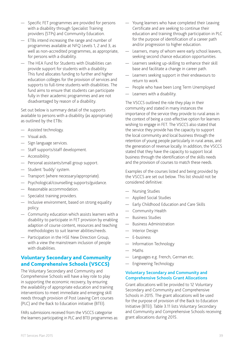- Specific FET programmes are provided for persons with a disability through Specialist Training providers (STPs) and Community Education.
- ETBs intend increasing the range and number of programmes available at NFQ Levels 1, 2 and 3, as well as non-accredited programmes, as appropriate, for persons with a disability.
- The HEA Fund for Students with Disabilities can provide support for students with a disability. This fund allocates funding to further and higher education colleges for the provision of services and supports to full-time students with disabilities. The fund aims to ensure that students can participate fully in their academic programmes and are not disadvantaged by reason of a disability.

Set out below is summary detail of the supports available to persons with a disability (as appropriate) as outlined by the ETBs:

- Assisted technology.
- Visual aids.
- Sign language services.
- Staff supports/staff development.
- Accessibility.
- Personal assistants/small group support.
- Student 'buddy' system.
- Transport (where necessary/appropriate).
- Psychological/counselling supports/guidance.
- Reasonable accommodation.
- Specialist training providers.
- Inclusive environment, based on strong equality policy.
- Community education which assists learners with a disability to participate in FET provision by enabling adaption of course content, resources and teaching methodologies to suit learner abilities/needs.
- Participation in the HSE New Direction Group, with a view the mainstream inclusion of people with disabilities.

## Voluntary Secondary and Community and Comprehensive Schools (VSCCS)

The Voluntary Secondary and Community and Comprehensive Schools will have a key role to play in supporting the economic recovery, by ensuring the availability of appropriate education and training interventions to meet immediate and emerging skill needs through provision of Post Leaving Cert courses (PLC) and the Back to Education initiative (BTEI).

FARs submissions received from the VSCCS categorise the learners participating in PLC and BTEI programmes as:

- Young learners who have completed their Leaving Certificate and are seeking to continue their education and training through participation in PLC for the purpose of identification of a career path and/or progression to higher education.
- Learners, many of whom were early school leavers, seeking second chance education opportunities.
- Learners seeking up-skilling to enhance their skill base and facilitate a change in career path.
- Learners seeking support in their endeavours to return to work.
- People who have been Long Term Unemployed
- Learners with a disability.

The VSCCS outlined the role they play in their community and stated in many instances the importance of the service they provide to rural areas in the context of being a cost-effective option for learners wishing to engage in FET. The VSCCS also stated that the service they provide has the capacity to support the local community and local business through the retention of young people particularly in rural areas, and the generation of revenue locally. In addition, the VSCCS stated that they have the capacity to support local business through the identification of the skills needs and the provision of courses to match these needs.

Examples of the courses listed and being provided by the VSCCS are set out below. This list should not be considered definitive:

- Nursing Studies
- Applied Social Studies
- Early Childhood Education and Care Skills
- Community Health
- Business Studies
- Business Administration
- Interior Design
- E-business
- Information Technology
- Maths
- Languages e.g. French, German etc.
- Engineering Technology

#### **Voluntary Secondary and Community and Comprehensive Schools Grant Allocations**

Grant allocations will be provided to 12 Voluntary Secondary and Community and Comprehensive Schools in 2015. The grant allocations will be used for the purpose of provision of the Back to Education Initiative (BTEI). Table 3.11 lists Voluntary Secondary and Community and Comprehensive Schools receiving grant allocations during 2015.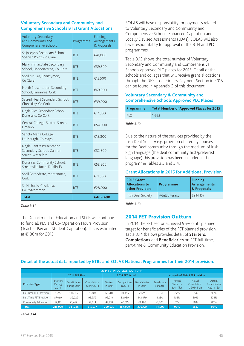#### **Voluntary Secondary and Community and Comprehensive Schools BTEI Grant Allocations**

| <b>Voluntary Secondary</b><br>and Community and<br>Comprehensive Schools   | Programme   | Funding<br>Arrangements<br>& Proposals |
|----------------------------------------------------------------------------|-------------|----------------------------------------|
| St Joseph's Secondary School,<br>Spanish Point, Co Clare                   | <b>BTEI</b> | €41,000                                |
| Mary Immaculate Secondary<br>School, Lisdoonvarna, Co Clare                | <b>BTEI</b> | €39,390                                |
| Scoil Mhuire, Ennistymon,<br>Co Clare                                      | <b>BTEI</b> | €12,500                                |
| North Presentation Secondary<br>School, Farranree, Cork                    | <b>BTEI</b> | €69,000                                |
| Sacred Heart Secondary School,<br>Clonakilty, Co Cork                      | <b>BTEI</b> | €39,000                                |
| Nagle Rice Secondary School,<br>Doneraile, Co Cork                         | <b>BTEI</b> | €17,300                                |
| Central College, Sexton Street,<br>Limerick                                | <b>BTEI</b> | €54,000                                |
| Sancta Maria College,<br>Louisburgh, Co Mayo                               | <b>BTEI</b> | €12,800                                |
| Nagle Centre Presentation<br>Secondary School, Cannon<br>Street, Waterford | <b>BTEI</b> | €32,500                                |
| Donahies Community School,<br>Streamville Road, Dublin 13                  | <b>BTEI</b> | €52,500                                |
| Scoil Bernadette, Montenotte,<br>Cork                                      | <b>BTEI</b> | €11,500                                |
| St Michaels, Castlerea,<br>Co Roscommon                                    | <b>BTEI</b> | €28,000                                |
| Total                                                                      |             | €409,490                               |

#### *Table 3.11*

The Department of Education and Skills will continue to fund all PLC and Co-Operation Hours Provision (Teacher Pay and Student Capitation). This is estimated at €186m for 2015.

SOLAS will have responsibility for payments related to Voluntary Secondary and Community and Comprehensive Schools Enhanced Capitation and Locally Devised Assessments (LDAs). SOLAS will also have responsibility for approval of the BTEI and PLC programmes.

Table 3.12 shows the total number of Voluntary Secondary and Community and Comprehensive Schools approved PLC places for 2015. Detail of the schools and colleges that will receive grant allocations through the DES Post-Primary Payment Section in 2015 can be found in Appendix 3 of this document.

## **Voluntary Secondary & Community and Comprehensive Schools Approved PLC Places**

| Programme | Total Number of Approved Places for 2015 |
|-----------|------------------------------------------|
| PLC.      | 1,662                                    |

#### *Table 3.12*

Due to the nature of the services provided by the Irish Deaf Society e.g. provision of literacy courses for the Deaf community through the medium of Irish Sign Language (the deaf community first/preferred language) this provision has been included in the programme Tables 3.3 and 3.4.

#### **Grant Allocations in 2015 for Additional Provision**

| <b>2015 Grant</b><br><b>Allocations to</b><br>other Providers | Programme             | <b>Funding</b><br>Arrangements<br>& Proposals |  |
|---------------------------------------------------------------|-----------------------|-----------------------------------------------|--|
| <b>Irish Deaf Society</b>                                     | <b>Adult Literacy</b> | €214.157                                      |  |

*Table 3.13*

## 2014 FET Provision Outturn

In 2014 the FET sector achieved 96% of its planned target for beneficiaries of the FET planned provision. Table 3.14 (below) provides detail of **Starters**, **Completions** and **Beneficiaries** on FET full-time, part-time & Community Education Provision.

## **Detail of the actual data reported by ETBs and SOLAS National Programmes for their 2014 provision.**

| <b>2014 FET PROVISION OUTTURN</b> |                                   |                                     |                            |                            |                        |                                 |                                       |                                   |                                      |                                               |
|-----------------------------------|-----------------------------------|-------------------------------------|----------------------------|----------------------------|------------------------|---------------------------------|---------------------------------------|-----------------------------------|--------------------------------------|-----------------------------------------------|
|                                   |                                   | 2014 FET Plan                       |                            |                            | 2014 FET Actual        |                                 | <b>Analysis of 2014 FET Provision</b> |                                   |                                      |                                               |
| <b>Provision Type</b>             | <b>Starters</b><br>During<br>2014 | <b>Beneficiaries</b><br>during 2014 | Completions<br>during 2014 | <b>Starters</b><br>in 2014 | Completions<br>in 2014 | <b>Beneficiaries</b><br>in 2014 | Beneficiary<br>Variance               | Actual<br>Starters v<br>2014 Plan | Actual<br>Completions<br>v 2014 Plan | Actual<br><b>Beneficiaries</b><br>v 2014 Plan |
| Full-Time FET Provision           | 76.747                            | 131.245                             | 70.704                     | 66.781                     | 60.355                 | 121.279                         | $-9.966$                              | 87%                               | 85%                                  | 92%                                           |
| Part-Time FET Provision           | 87.069                            | 139,029                             | 93,259                     | 92,019                     | 82,939                 | 143,979                         | 4,950                                 | 106%                              | 89%                                  | 104%                                          |
| Community Education               | 52.113                            | 71.452                              | 52.014                     | 42.130                     | 40.715                 | 61.469                          | $-9.983$                              | 81%                               | 78%                                  | 86%                                           |
| Total                             | 215.929                           | 341.726                             | 215.977                    | 200.930                    | 184.009                | 326.727                         | $-14.999$                             | 93%                               | 85%                                  | 96%                                           |

*Table 3.14*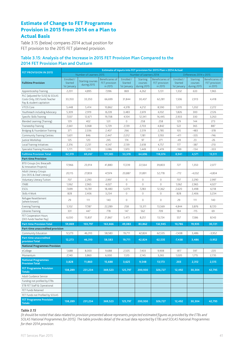## Estimate of Change to FET Programme Provision in 2015 from 2014 on a Plan to Actual Basis

Table 3.15 (below) compares 2014 actual position for FET provision to the 2015 FET planned provision.

#### **Table 3.15: Analysis of the Increase in 2015 FET Provision Plan Compared to the 2014 FET Provision Plan and Outturn**

|                                                                                              | Estimate of inputs into FET provision for 2015 Plan v 2014 Actual |                                        |                                              |                                      |                                    |                                                     |                                      |                                    |                                              |
|----------------------------------------------------------------------------------------------|-------------------------------------------------------------------|----------------------------------------|----------------------------------------------|--------------------------------------|------------------------------------|-----------------------------------------------------|--------------------------------------|------------------------------------|----------------------------------------------|
| <b>FET PROVISION IN 2015</b>                                                                 |                                                                   | Number of Learners 2015                |                                              |                                      | Number of Learners 2014            |                                                     |                                      | Differences 2014 v 2015            |                                              |
| <b>Fulltime Provision</b>                                                                    | Enrolled /<br>Started<br>1st January                              | <b>Starting courses</b><br>during 2015 | Beneficiaries of<br>FET provision<br>in 2015 | Enrolled /<br>Started<br>1st January | Starting<br>courses<br>during 2015 | <b>Beneficiaries of</b><br>FET provision<br>in 2015 | Enrolled /<br>Started<br>1st January | Starting<br>courses<br>during 2015 | Beneficiaries of<br>FET provision<br>in 2015 |
| Apprenticeship Training                                                                      | 2,201                                                             | 4,895                                  | 7,096                                        | 869                                  | 4,262                              | 5,131                                               | 1,332                                | 633                                | 1,965                                        |
| PLC (adjusted for SUSI) & SOLAS<br>Costs Only, DES funds Teacher<br>Pay & student capitation | 33,350                                                            | 33,350                                 | 66,699                                       | 31,844                               | 30,437                             | 62,281                                              | 1,506                                | 2,913                              | 4,418                                        |
| VTOS Core                                                                                    | 5,448                                                             | 5,414                                  | 10,862                                       | 4,378                                | 4,212                              | 8,590                                               | 1,070                                | 1,202                              | 2,272                                        |
| Youthreach including Advocacy                                                                | 5,309                                                             | 2,919                                  | 8,228                                        | 3,483                                | 2,619                              | 6,102                                               | 1,826                                | 300                                | 2,126                                        |
| Specific Skills Training                                                                     | 7,037                                                             | 12,671                                 | 19,708                                       | 4,104                                | 12,341                             | 16,445                                              | 2,933                                | 330                                | 3,263                                        |
| Blended Learning (Training)                                                                  | 129                                                               | 402                                    | 531                                          | 0                                    | 258                                | 258                                                 | 129                                  | 144                                | 273                                          |
| Traineeship Training                                                                         | 2,661                                                             | 3,068                                  | 5,729                                        | 2,139                                | 2,703                              | 4,842                                               | 522                                  | 365                                | 887                                          |
| Bridging & Foundation Training                                                               | 371                                                               | 2,036                                  | 2,407                                        | 266                                  | 2,519                              | 2,785                                               | 105                                  | $-483$                             | $-378$                                       |
| <b>Community Training Centres</b>                                                            | 1,601                                                             | 846                                    | 2,447                                        | 2,012                                | 1,181                              | 3,193                                               | $-411$                               | $-335$                             | $-746$                                       |
| Justice Workshop                                                                             | 125                                                               | 120                                    | 245                                          | 174                                  | 97                                 | 271                                                 | $-49$                                | 23                                 | $-26$                                        |
| Local Training Initiatives                                                                   | 2,316                                                             | 2,231                                  | 4,547                                        | 2,139                                | 2,618                              | 4,757                                               | 177                                  | $-387$                             | $-210$                                       |
| <b>Specialist Training Providers</b>                                                         | 1,771                                                             | 1,315                                  | 3,086                                        | 1,970                                | 1,449                              | 3,419                                               | $-199$                               | $-134$                             | $-333$                                       |
| <b>Fulltime Provision Total</b>                                                              | 62,319                                                            | 69,267                                 | 131,585                                      | 53,378                               | 64,696                             | 118,074                                             | 8,941                                | 4,571                              | 13,511                                       |
| <b>Part-time Provision</b>                                                                   |                                                                   |                                        |                                              |                                      |                                    |                                                     |                                      |                                    |                                              |
| BTEI Groups (inc Breacadh<br>& Innovation Projects)                                          | 17,966                                                            | 23,914                                 | 41,880                                       | 17,239                               | 22,564                             | 39,803                                              | 727                                  | 1,350                              | 2,077                                        |
| Adult Literacy Groups<br>(inc DEIS & Deaf Literacy)                                          | 20,115                                                            | 27,859                                 | 47,974                                       | 20,887                               | 31,891                             | 52,778                                              | $-772$                               | $-4,032$                           | $-4,804$                                     |
| Voluntary Literacy Tuition                                                                   | 707                                                               | 2,290                                  | 2,997                                        | 0                                    | 0                                  | 0                                                   | 707                                  | 2,290                              | 2,997                                        |
| <b>ITABE</b>                                                                                 | 1,062                                                             | 2,965                                  | 4,027                                        | $\circ$                              | $\circ$                            | $\mathbf 0$                                         | 1,062                                | 2,965                              | 4,027                                        |
| <b>ESOL</b>                                                                                  | 7,699                                                             | 10,781                                 | 18,480                                       | 5,079                                | 7,283                              | 12,362                                              | 2,620                                | 3,498                              | 6,118                                        |
| Skills 4 Work                                                                                | 828                                                               | 2,406                                  | 3,234                                        | 0                                    | 0                                  | 0                                                   | 828                                  | 2,406                              | 3,234                                        |
| Refugee Resettlement<br>(where known)                                                        | 29                                                                | 111                                    | 140                                          | 0                                    | 0                                  | 0                                                   | 29                                   | 111                                | 140                                          |
| Evening Training                                                                             | 5,102                                                             | 17,187                                 | 22,289                                       | 258                                  | 13,311                             | 13,569                                              | 4,844                                | 3,876                              | 8,720                                        |
| Libraries Training                                                                           | 331                                                               | 447                                    | 778                                          | 147                                  | 562                                | 709                                                 | 184                                  | $-115$                             | 69                                           |
| FET Cooperation Hours<br>(DES funds Teacher Pay)                                             | 6,030                                                             | 15,837                                 | 21,867                                       | 5,473                                | 8,251                              | 13,724                                              | 557                                  | 7,586                              | 8,143                                        |
| <b>Part-time Provision Total</b>                                                             | 59,869                                                            | 103,797                                | 163,666                                      | 49,083                               | 83,862                             | 132,945                                             | 10,786                               | 19,935                             | 30,721                                       |
| Part-time unaccredited provision                                                             |                                                                   |                                        |                                              |                                      |                                    |                                                     |                                      |                                    |                                              |
| Community Education                                                                          | 12,273                                                            | 46,310                                 | 58,583                                       | 19,711                               | 42,824                             | 62,535                                              | $-7,438$                             | 3,486                              | $-3,952$                                     |
| Part-time unaccredited<br>provision Total                                                    | 12,273                                                            | 46,310                                 | 58,583                                       | 19,711                               | 42,824                             | 62,535                                              | $-7,438$                             | 3,486                              | $-3,952$                                     |
| <b>National Programmes Provision</b>                                                         |                                                                   |                                        |                                              |                                      |                                    |                                                     |                                      |                                    |                                              |
| eCollege                                                                                     | 1,688                                                             | 8,000                                  | 9,688                                        | 2.505                                | 7,403                              | 9,908                                               | $-817$                               | 597                                | $-220$                                       |
| Momentum                                                                                     | 2,140                                                             | 3,860                                  | 6,000                                        | 1,120                                | 2,145                              | 3,265                                               | 1,020                                | 1,715                              | 2,735                                        |
| <b>National Programmes</b><br><b>Provision Total</b>                                         | 3,828                                                             | 11,860                                 | 15,688                                       | 3,625                                | 9,548                              | 13,173                                              | 203                                  | 2,312                              | 2,515                                        |
| <b>FET Programme Provision</b><br><b>Totals</b>                                              | 138,289                                                           | 231,234                                | 369,523                                      | 125,797                              | 200,930                            | 326,727                                             | 12,492                               | 30,304                             | 42,795                                       |
| Adult Guidance Service                                                                       |                                                                   |                                        |                                              |                                      |                                    |                                                     |                                      |                                    |                                              |
| Funding not profiled by ETBs                                                                 |                                                                   |                                        |                                              |                                      |                                    |                                                     |                                      |                                    |                                              |
| ETB FET Staff & Operational                                                                  |                                                                   |                                        |                                              |                                      |                                    |                                                     |                                      |                                    |                                              |
| FET Funds Retained                                                                           |                                                                   |                                        |                                              |                                      |                                    |                                                     |                                      |                                    |                                              |
| FET Funds not Profiled by SOLAS                                                              |                                                                   |                                        |                                              |                                      |                                    |                                                     |                                      |                                    |                                              |
| <b>FET Programme Provision</b><br><b>Totals</b>                                              | 138,289                                                           | 231,234                                | 369,523                                      | 125,797                              | 200,930                            | 326,727                                             | 12,492                               | 30,304                             | 42,795                                       |

#### *Table 3.15*

*(It should be noted that data related to provision presented above represents projected estimated figures as provided by the ETBs and SOLAS National Programmes for 2015). The table provides detail of the actual data reported by ETBs and SOLAS National Programmes for their 2014 provision.*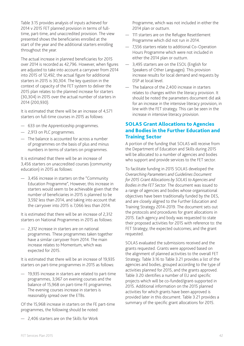Table 3.15 provides analysis of inputs achieved for 2014 v 2015 FET planned provision in terms of fulltime, part-time, and unaccredited provision. The view presented shows the beneficiaries enrolled at the start of the year and the additional starters enrolling throughout the year.

The actual increase in planned beneficiaries for 2015 over 2014 is recorded as 42,796. However, when figures are adjusted to take into account a carryover from 2014 into 2015 of 12,492, the actual figure for additional starters in 2015 is 30,304. The key question in the context of capacity of the FET system to deliver the 2015 plan relates to the planned increase for starters (30,304) in 2015 over the actual number of starters in 2014 (200,930).

It is estimated that there will be an increase of 4,571 starters on full-time courses in 2015 as follows:

- 633 on the Apprenticeship programmes.
- 2,913 on PLC programmes.
- The balance is accounted for across a number of programmes on the basis of plus and minus numbers in terms of starters on programmes.

It is estimated that there will be an increase of 3,456 starters on unaccredited courses (community education) in 2015 as follows:

— 3,456 increase in starters on the "Community Education Programme", However, this increase in starters would seem to be achievable given that the number of beneficiaries in 2015 is planned to be 3,592 less than 2014, and taking into account that the carryover into 2015 is 7,066 less than 2014.

It is estimated that there will be an increase of 2,312 starters on National Programmes in 2015 as follows:

— 2,312 increase in starters are on national programmes. These programmes taken together have a similar carryover from 2014. The main increase relates to Momentum, which was expected for 2015.

It is estimated that there will be an increase of 19,935 starters on part-time programmes in 2015 as follows:

— 19,935 increase in starters are related to part-time programmes, 3,967 on evening courses and the balance of 15,968 on part-time FE programmes. The evening courses increase in starters is reasonably spread over the ETBs.

Of the 15,968 increase in starters on the FE part-time programmes, the following should be noted:

— 2,406 starters are on the Skills for Work

Programme, which was not included in either the 2014 plan or outturn.

- 111 starters are on the Refugee Resettlement Programme which did not run in 2014.
- 7,556 starters relate to additional Co-Operation Hours Programme which were not included in either the 2014 plan or outturn.
- 3,495 starters are on the ESOL (English for Speakers of Other Languages). This provision increase results for local demand and requests by DSP at local level.
- The balance of the 2,400 increase in starters relates to changes within the literacy provision. It should be noted the parameters document did ask for an increase in the intensive literacy provision, in line with the FET strategy. This can be seen in the increase in intensive literacy provision.

## SOLAS Grant Allocations to Agencies and Bodies in the Further Education and Training Sector

A portion of the funding that SOLAS will receive from the Department of Education and Skills during 2015 will be allocated to a number of agencies and bodies who support and provide services to the FET sector.

To facilitate funding in 2015 SOLAS developed the *Overarching Parameters and Guidelines Document for 2015 Grant Allocations by SOLAS to Agencies and Bodies in the FET Sector*. The document was issued to a range of agencies and bodies whose organisational objectives have been traditionally funded by the DES, and are closely aligned to the Further Education and Training Strategy 2014-2019. The document sets out the protocols and procedures for grant allocations in 2015. Each agency and body was requested to state their proposed activities for 2015 with reference to: the FET Strategy; the expected outcomes; and the grant requested.

SOLAS evaluated the submissions received and the grants requested. Grants were approved based on the alignment of planned activities to the overall FET Strategy. Table 3.16 to Table 3.21 provides a list of the agencies and bodies, grouped according to the type of activities planned for 2015, and the grants approved. Table 3.20 identifies a number of EU and specific projects which will be co-funded/grant-supported in 2015. Additional information on the 2015 planned activities for which grants have been approved is provided later in this document. Table 3.21 provides a summary of the specific grant allocations for 2015.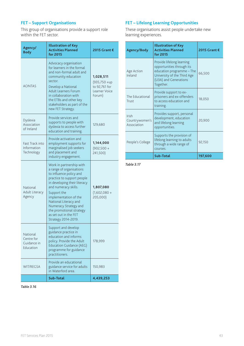## **FET – Support Organisations**

This group of organisations provide a support role within the FET sector.

| Agency/<br><b>Body</b>                             | <b>Illustration of Key</b><br><b>Activities Planned</b><br>for 2015                                                                                                                                                                                                                                                                         | 2015 Grant €                                                              |
|----------------------------------------------------|---------------------------------------------------------------------------------------------------------------------------------------------------------------------------------------------------------------------------------------------------------------------------------------------------------------------------------------------|---------------------------------------------------------------------------|
| <b>AONTAS</b>                                      | Advocacy organisation<br>for learners in the formal<br>and non-formal adult and<br>community education<br>sector.<br>Develop a National<br>Adult Learners Forum<br>in collaboration with<br>the ETBs and other key<br>stakeholders as part of the<br>new FET Strategy.                                                                      | 1,028,511<br>$(935, 750 + up$<br>to 92,761 for<br>Learner Voice<br>Forum) |
| Dyslexia<br>Association<br>of Ireland              | Provide services and<br>supports to people with<br>dyslexia to access further<br>education and training.                                                                                                                                                                                                                                    | 129,680                                                                   |
| Fast Track into<br>Information<br>Technology       | Provide activation and<br>employment supports for<br>marginalised job seekers<br>and placement and<br>industry engagement.                                                                                                                                                                                                                  | 1,144,000<br>$(902,500 +$<br>241,500)                                     |
| National<br>Adult Literacy<br>Agency               | Work in partnership with<br>a range of organisations<br>to influence policy and<br>practice to support people<br>in developing their literacy<br>and numeracy skills.<br>Support the<br>implementation of the<br>National Literacy and<br>Numeracy Strategy and<br>the promotional strategy<br>as set out in the FET<br>Strategy 2014-2019. | 1,807,080<br>(1,602,080 +<br>205,000)                                     |
| National<br>Centre for<br>Guidance in<br>Education | Support and develop<br>guidance practice in<br>education and informs<br>policy. Provide the Adult<br><b>Education Guidance (AEG)</b><br>programme for guidance<br>practitioners.                                                                                                                                                            | 178,999                                                                   |
| WIT/REGSA                                          | Provide an educational<br>guidance service for adults<br>in Waterford area.                                                                                                                                                                                                                                                                 | 150,983                                                                   |
|                                                    | Sub-Total                                                                                                                                                                                                                                                                                                                                   | 4,439,253                                                                 |

#### *Table 3.16*

## **FET – Lifelong Learning Opportunities**

These organisations assist people undertake new learning experiences.

| Agency/Body                            | <b>Illustration of Key</b><br><b>Activities Planned</b><br>for 2015                                                                                      | 2015 Grant € |
|----------------------------------------|----------------------------------------------------------------------------------------------------------------------------------------------------------|--------------|
| Age Action<br>Ireland                  | Provide lifelong learning<br>opportunities through its<br>education programme - The<br>University of the Third Age<br>(U3A) and Generations<br>Together. | 66,500       |
| The Educational<br>Trust               | Provide support to ex-<br>prisoners and ex-offenders<br>to access education and<br>training.                                                             | 18,050       |
| Irish<br>Countrywomen's<br>Association | Provides support, personal<br>development, education<br>and lifelong learning<br>opportunities.                                                          | 20,900       |
| People's College                       | Supports the provision of<br>lifelong learning to adults<br>through a wide range of<br>courses.                                                          | 92,150       |
|                                        | Sub-Total                                                                                                                                                | 197,600      |

*Table 3.17*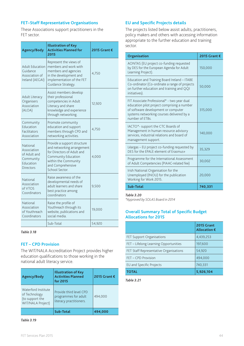#### **FET–Staff Representative Organisations**

These Associations support practitioners in the FET sector.

| <b>Agency/Body</b>                                                                    | <b>Illustration of Key</b><br><b>Activities Planned for</b><br>2015                                                                                                           | 2015 Grant € |
|---------------------------------------------------------------------------------------|-------------------------------------------------------------------------------------------------------------------------------------------------------------------------------|--------------|
| <b>Adult Education</b><br>Guidance<br>Association of<br>Ireland (AEGAI)               | Represent the views of<br>members and work with<br>members and agencies<br>in the development and<br>implementation of the FET<br>Guidance Strategy.                          | 4,750        |
| Adult Literacy<br>Organisers<br>Association<br>(ALOA)                                 | Assist members develop<br>their professional<br>competencies in Adult<br>Literacy and share<br>knowledge and experience<br>through networking.                                | 12,920       |
| Community<br>Education<br>Facilitators<br>Association                                 | Promote community<br>education and support<br>members through CPD and<br>networking activities.                                                                               | 4,750        |
| National<br>Association<br>of Adult and<br>Community<br>Education<br><b>Directors</b> | Provide a support structure<br>and networking arrangement<br>for Directors of Adult and<br>Community Education<br>within the Community<br>and Comprehensive<br>School Sector. | 4,000        |
| National<br>Association<br>of VTOS<br>Coordinators                                    | Raise awareness of the<br>developmental needs of<br>adult learners and share<br>best practice among<br>coordinators                                                           | 9,500        |
| National<br>Association<br>of Youthreach<br>Coordinators                              | Raise the profile of<br>Youthreach through its<br>website, publications and<br>social media.                                                                                  | 19,000       |
|                                                                                       | Sub-Total                                                                                                                                                                     | 54,920       |

#### *Table 3.18*

#### **FET – CPD Provision**

The WIT/NALA Accreditation Project provides higher education qualifications to those working in the national adult literacy service.

| <b>Agency/Body</b>                                                           | <b>Illustration of Key</b><br><b>Activities Planned</b><br>for 2015        | 2015 Grant € |
|------------------------------------------------------------------------------|----------------------------------------------------------------------------|--------------|
| Waterford Institute<br>of Technology<br>(to support the<br>WIT/NALA Project) | Provide third level CPD<br>programmes for adult<br>literacy practitioners. | 494.000      |
|                                                                              | Sub-Total                                                                  | 494,000      |

*Table 3.19*

#### **EU and Specific Projects details**

The projects listed below assist adults, practitioners, policy makers and others with accessing information appropriate to the further education and training sector.

| Organisation                                                                                                                                                                                      | 2015 Grant € |
|---------------------------------------------------------------------------------------------------------------------------------------------------------------------------------------------------|--------------|
| AONTAS (EU project co-funding requested<br>by DES for the European Agenda for Adult<br>Learning Project).                                                                                         | 150,000      |
| Education and Training Board Ireland - ITABE<br>Co-ordinator (Co-ordinate a range of projects<br>on further education and training and QQI<br>initiatives).                                       | 50,000       |
| FIT Associate Professional* - two year dual<br>education pilot project comprising a number<br>of software development or computer<br>systems networking courses delivered by a<br>number of ETBs. | 315,000      |
| IACTO*- support the CTC Boards of<br>Management in human resource advisory<br>services, industrial relations and board of<br>management support.                                                  | 140,000      |
| Léargas - EU project co-funding requested by<br>DES for the EPALE element of Erasmus+                                                                                                             | 35,329       |
| Programme for the International Assessment<br>of Adult Competencies (PIAAC-related fee)                                                                                                           | 30,002       |
| Irish National Organisation for the<br>Unemployed (INOU) for the publication<br>Working for Work 2015.                                                                                            | 20,000       |
| Sub-Total                                                                                                                                                                                         | 740,331      |

*Table 3.20* 

*\*Approved by SOLAS Board in 2014*

#### **Overall Summary Total of Specific Budget Allocations for 2015**

|                                        | 2015 Grant<br>Allocation € |
|----------------------------------------|----------------------------|
| <b>FET Support Organisations</b>       | 4,439,253                  |
| FET - Lifelong Learning Opportunities  | 197,600                    |
| FET Staff Representative Organisations | 54,920                     |
| FET - CPD Provision                    | 494.000                    |
| EU and Specific Projects               | 740,331                    |
| <b>TOTAL</b>                           | 5,926,104                  |

*Table 3.21*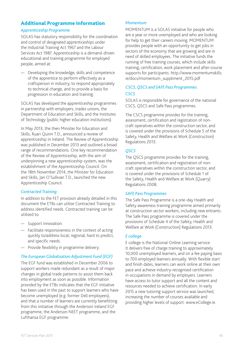## Additional Programme Information

#### *Apprenticeship Programme*

SOLAS has statutory responsibility for the coordination and control of designated apprenticeships under the Industrial Training Act 1967 and the Labour Services Act 1987. Apprenticeship is a demand-driven educational and training programme for employed people, aimed at:

— Developing the knowledge, skills and competence of the apprentice to perform effectively as a craftsperson in industry, to respond appropriately to technical change, and to provide a basis for progression in education and training.

SOLAS has developed the apprenticeship programmes in partnership with employers, trades unions, the Department of Education and Skills, and the Institutes of Technology (public higher education institutions).

In May 2013, the then Minister for Education and Skills, Ruari Quinn T.D., announced a review of apprenticeship in Ireland. The Review of Apprenticeship was published in December 2013 and outlined a broad range of recommendations. One key recommendation of the Review of Apprenticeship, with the aim of underpinning a new apprenticeship system, was the establishment of the Apprenticeship Council. On the 18th November 2014, the Minister for Education and Skills, Jan O'Sullivan T.D., launched the new Apprenticeship Council.

#### *Contracted Training*

In addition to the FET provision already detailed in this document the ETBs can utilise Contracted Training to address identified needs. Contracted training can be utilised to:

- Support innovation.
- Facilitate responsiveness in the context of acting quickly to/address local, regional, hard to predict, and specific needs.
- Provide flexibility in programme delivery.

## *The European Globalisation Adjustment Fund (EGF)*

The EGF fund was established in December 2006 to support workers made redundant as a result of major changes in global trade patterns to assist them back into employment as soon as possible. Information provided by the ETBs indicates that the EGF initiative has been used in the past to support learners who have become unemployed (e.g. former Dell employees), and that a number of learners are currently benefitting from this initiative through the Anderson Ireland EGF programme, the Anderson NEET programme, and the Lufthansa EGF programme.

#### *Momentum*

MOMENTUM is a SOLAS initiative for people who are a year or more unemployed and who are looking for help to get their careers moving. MOMENTUM provides people with an opportunity to get jobs in sectors of the economy that are growing and are in need of skilled employees. The initiative funds the running of free training courses, which include skills training, certification, work placement and after-course supports for participants. http://www.momentumskills. ie/docs/momentum\_suppliment\_2015.pdf

#### *CSCS, QSCS and SAFE Pass Programmes CSCS*

SOLAS is responsible for governance of the national CSCS, QSCS and Safe Pass programmes.

The CSCS programme provides for the training, assessment, certification and registration of noncraft operatives within the construction sector, and is covered under the provisions of Schedule 5 of the Safety, Health and Welfare at Work (Construction) Regulations 2013.

#### *QSCS*

The QSCS programme provides for the training, assessment, certification and registration of noncraft operatives within the construction sector, and is covered under the provisions of Schedule 1 of the Safety, Health and Welfare at Work (Quarry) Regulations 2008.

#### *SAFE Pass Programmes*

The Safe Pass Programme is a one-day Health and Safety awareness training programme aimed primarily at construction sector workers, including new entrants. The Safe Pass programme is covered under the provisions of Schedule 4 of the Safety, Health and Welfare at Work (Construction) Regulations 2013.

#### *E college*

E college is the National Online Learning service. It delivers free of charge training to approximately 10,000 unemployed learners, and on a fee paying basis to 700 employed learners annually. With flexible start and finish dates, learners can work online at their own pace and achieve industry-recognised certification in occupations in demand by employers. Learners have access to tutor support and all the content and resources needed to achieve certification. In early 2015 a new tutoring support service was launched, increasing the number of courses available and providing higher levels of support. www.eCollege.ie.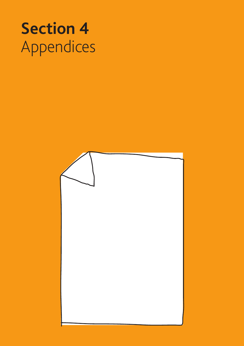# **Section 4**  Appendices

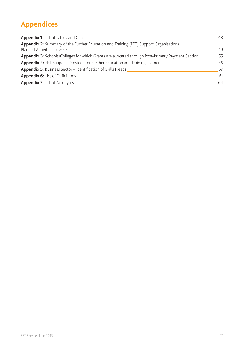# **Appendices**

| <b>Appendix 1:</b> List of Tables and Charts                                                                         | 48 |
|----------------------------------------------------------------------------------------------------------------------|----|
| Appendix 2: Summary of the Further Education and Training (FET) Support Organisations<br>Planned Activities for 2015 | 49 |
| Appendix 3: Schools/Colleges for which Grants are allocated through Post-Primary Payment Section                     | 55 |
| <b>Appendix 4: FET Supports Provided for Further Education and Training Learners</b>                                 | 56 |
| <b>Appendix 5:</b> Business Sector – Identification of Skills Needs                                                  | 57 |
| <b>Appendix 6:</b> List of Definitions                                                                               | 61 |
| <b>Appendix 7:</b> List of Acronyms                                                                                  | 64 |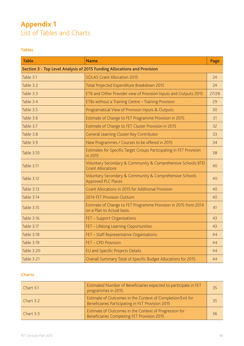# **Appendix 1**  List of Tables and Charts

## **Tables**

| <b>Table</b>      | <b>Name</b>                                                                                   | Page  |
|-------------------|-----------------------------------------------------------------------------------------------|-------|
|                   | Section 3 - Top Level Analysis of 2015 Funding Allocations and Provision                      |       |
| Table 3.1         | <b>SOLAS Grant Allocation 2015</b>                                                            | 24    |
| Table 3.2         | Total Projected Expenditure Breakdown 2015                                                    | 24    |
| Table 3.3         | ETB and Other Provider view of Provision Inputs and Outputs 2015                              | 27/28 |
| Table 3.4         | ETBs without a Training Centre - Training Provision                                           | 29    |
| Table 3.5         | Programatical View of Provision Inputs & Outputs                                              | 30    |
| Table 3.6         | Estimate of Change to FET Programme Provision in 2015                                         | 31    |
| Table 3.7         | Estimate of Change to FET Cluster Provision in 2015                                           | 32    |
| Table 3.8         | General Learning Cluster Key Contributor                                                      | 33    |
| Table 3.9         | New Programmes / Courses to be offered in 2015                                                | 34    |
| Table 3.10        | Estimates for Specific Target Groups Participating in FET Provision<br>in 2015                | 38    |
| Table 3.11        | Voluntary Secondary & Community & Comprehensive Schools BTEI<br><b>Grant Allocations</b>      | 40    |
| Table 3.12        | Voluntary Secondary & Community & Comprehensive Schools<br>Approved PLC Places                | 40    |
| <b>Table 3.13</b> | Grant Allocations in 2015 for Additional Provision                                            | 40    |
| Table 3.14        | 2014 FET Provision Outturn                                                                    | 40    |
| Table 3.15        | Estimate of Change to FET Programme Provision in 2015 from 2014<br>on a Plan to Actual basis. | 41    |
| <b>Table 3.16</b> | FET - Support Organisations                                                                   | 43    |
| Table 3.17        | FET - Lifelong Learning Opportunities                                                         | 43    |
| <b>Table 3.18</b> | FET - Staff Representative Organisations                                                      | 44    |
| <b>Table 3.19</b> | FET - CPD Provision                                                                           | 44    |
| <b>Table 3.20</b> | <b>EU and Specific Projects Details</b>                                                       | 44    |
| <b>Table 3.21</b> | Overall Summary Total of Specific Budget Allocations for 2015                                 | 44    |

## **Charts**

| Chart 3.1 | Estimated Number of Beneficiaries expected to participate in FET<br>programmes in 2015                          | 35 |
|-----------|-----------------------------------------------------------------------------------------------------------------|----|
| Chart 3.2 | Estimate of Outcomes in the Context of Completion/Exit for<br>Beneficiaries Participating in FET Provision 2015 | 35 |
| Chart 3.3 | Estimate of Outcomes in the Context of Progression for<br>Beneficiaries Completing FET Provision 2015           | 36 |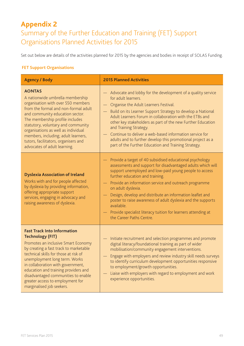# **Appendix 2**

Summary of the Further Education and Training (FET) Support Organisations Planned Activities for 2015

Set out below are details of the activities planned for 2015 by the agencies and bodies in receipt of SOLAS Funding.

## **FET Support Organisations**

| <b>Agency / Body</b>                                                                                                                                                                                                                                                                                                                                                                                          | <b>2015 Planned Activities</b>                                                                                                                                                                                                                                                                                                                                                                                                                                                                                                                                   |
|---------------------------------------------------------------------------------------------------------------------------------------------------------------------------------------------------------------------------------------------------------------------------------------------------------------------------------------------------------------------------------------------------------------|------------------------------------------------------------------------------------------------------------------------------------------------------------------------------------------------------------------------------------------------------------------------------------------------------------------------------------------------------------------------------------------------------------------------------------------------------------------------------------------------------------------------------------------------------------------|
| <b>AONTAS</b><br>A nationwide umbrella membership<br>organisation with over 550 members<br>from the formal and non-formal adult<br>and community education sector.<br>The membership profile includes<br>statutory, voluntary and community<br>organisations as well as individual<br>members, including; adult learners,<br>tutors, facilitators, organisers and<br>advocates of adult learning.             | - Advocate and lobby for the development of a quality service<br>for adult learners.<br>Organise the Adult Learners Festival.<br>Build on its Learner Support Strategy to develop a National<br>$\overline{\phantom{0}}$<br>Adult Learners Forum in collaboration with the ETBs and<br>other key stakeholders as part of the new Further Education<br>and Training Strategy.<br>- Continue to deliver a web-based information service for<br>adults and to further develop this promotional project as a<br>part of the Further Education and Training Strategy. |
| <b>Dyslexia Association of Ireland</b><br>Works with and for people affected<br>by dyslexia by providing information,<br>offering appropriate support<br>services, engaging in advocacy and<br>raising awareness of dyslexia.                                                                                                                                                                                 | Provide a target of 40 subsidised educational psychology<br>assessments and support for disadvantaged adults which will<br>support unemployed and low-paid young people to access<br>further education and training.<br>Provide an information service and outreach programme<br>on adult dyslexia.<br>Design, develop and distribute an information leaflet and<br>poster to raise awareness of adult dyslexia and the supports<br>available.<br>Provide specialist literacy tuition for learners attending at<br>the Career Paths Centre.                      |
| <b>Fast Track Into Information</b><br><b>Technology (FIT)</b><br>Promotes an inclusive Smart Economy<br>by creating a fast track to marketable<br>technical skills for those at risk of<br>unemployment long term. Works<br>in collaboration with government,<br>education and training providers and<br>disadvantaged communities to enable<br>greater access to employment for<br>marginalised job seekers. | Initiate recruitment and selection programmes and promote<br>digital literacy/foundational training as part of wider<br>mobilisation/community engagement interventions.<br>Engage with employers and review industry skill needs surveys<br>to identify curriculum development opportunities responsive<br>to employment/growth opportunities.<br>Liaise with employers with regard to employment and work<br>experience opportunities.                                                                                                                         |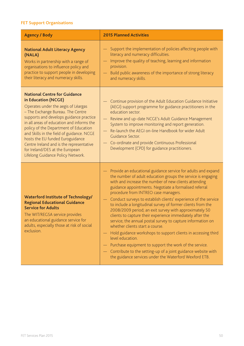## **FET Support Organisations**

| <b>Agency / Body</b>                                                                                                                                                                                                                                                                                                                                                                                                                                                         | <b>2015 Planned Activities</b>                                                                                                                                                                                                                                                                                                                                                                                                                                                                                                                                                                                                                                                                                                                                                                                                                                                                                                                                                          |
|------------------------------------------------------------------------------------------------------------------------------------------------------------------------------------------------------------------------------------------------------------------------------------------------------------------------------------------------------------------------------------------------------------------------------------------------------------------------------|-----------------------------------------------------------------------------------------------------------------------------------------------------------------------------------------------------------------------------------------------------------------------------------------------------------------------------------------------------------------------------------------------------------------------------------------------------------------------------------------------------------------------------------------------------------------------------------------------------------------------------------------------------------------------------------------------------------------------------------------------------------------------------------------------------------------------------------------------------------------------------------------------------------------------------------------------------------------------------------------|
| <b>National Adult Literacy Agency</b><br>(NALA)<br>Works in partnership with a range of<br>organisations to influence policy and<br>practice to support people in developing<br>their literacy and numeracy skills.                                                                                                                                                                                                                                                          | Support the implementation of policies affecting people with<br>literacy and numeracy difficulties.<br>Improve the quality of teaching, learning and information<br>provision.<br>Build public awareness of the importance of strong literacy<br>and numeracy skills.                                                                                                                                                                                                                                                                                                                                                                                                                                                                                                                                                                                                                                                                                                                   |
| <b>National Centre for Guidance</b><br>in Education (NCGE)<br>Operates under the aegis of Léargas<br>- The Exchange Bureau. The Centre<br>supports and develops guidance practice<br>in all areas of education and informs the<br>policy of the Department of Education<br>and Skills in the field of guidance. NCGE<br>hosts the EU funded Euroguidance<br>Centre Ireland and is the representative<br>for Ireland/DES at the European<br>Lifelong Guidance Policy Network. | Continue provision of the Adult Education Guidance Initiative<br>(AEGI) support programme for guidance practitioners in the<br>education sector.<br>- Review and up-date NCGE's Adult Guidance Management<br>System to improve monitoring and report generation.<br>Re-launch the AEGI on-line Handbook for wider Adult<br>Guidance Sector.<br>Co-ordinate and provide Continuous Professional<br>$\overline{\phantom{m}}$<br>Development (CPD) for guidance practitioners.                                                                                                                                                                                                                                                                                                                                                                                                                                                                                                             |
| <b>Waterford Institute of Technology/</b><br><b>Regional Educational Guidance</b><br><b>Service for Adults</b><br>The WIT/REGSA service provides<br>an educational guidance service for<br>adults, especially those at risk of social<br>exclusion.                                                                                                                                                                                                                          | Provide an educational guidance service for adults and expand<br>the number of adult education groups the service is engaging<br>with and increase the number of new clients attending<br>guidance appointments. Negotiate a formalised referral<br>procedure from INTREO case managers.<br>Conduct surveys to establish clients' experience of the service<br>$\overline{\phantom{0}}$<br>to include a longitudinal survey of former clients from the<br>2008/2009 period; an exit survey with approximately 50<br>clients to capture their experience immediately after the<br>service; the annual postal survey to capture information on<br>whether clients start a course.<br>- Hold guidance workshops to support clients in accessing third<br>level education.<br>Purchase equipment to support the work of the service.<br>Contribute to the setting-up of a joint guidance website with<br>$\overline{\phantom{m}}$<br>the guidance services under the Waterford Wexford ETB. |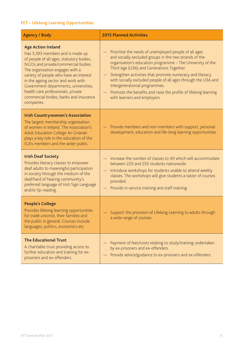## **FET – Lifelong Learning Opportunities**

| <b>Agency / Body</b>                                                                                                                                                                                                                                                                                                                                                                                       | <b>2015 Planned Activities</b>                                                                                                                                                                                                                                                                                                                                                                                                                                                                                          |
|------------------------------------------------------------------------------------------------------------------------------------------------------------------------------------------------------------------------------------------------------------------------------------------------------------------------------------------------------------------------------------------------------------|-------------------------------------------------------------------------------------------------------------------------------------------------------------------------------------------------------------------------------------------------------------------------------------------------------------------------------------------------------------------------------------------------------------------------------------------------------------------------------------------------------------------------|
| <b>Age Action Ireland</b><br>Has 3,393 members and is made up<br>of people of all ages, statutory bodies,<br>NGOs and private/commercial bodies.<br>The organisation engages with a<br>variety of people who have an interest<br>in the ageing sector and work with<br>Government departments, universities,<br>health care professionals, private<br>commercial bodies, banks and insurance<br>companies. | Prioritise the needs of unemployed people of all ages<br>and socially excluded groups in the two strands of the<br>organisation's education programme - The University of the<br>Third Age (U3A) and Generations Together.<br>Strengthen activities that promote numeracy and literacy<br>$\overline{\phantom{m}}$<br>with socially excluded people of all ages through the U3A and<br>Intergenerational programmes.<br>Promote the benefits and raise the profile of lifelong learning<br>with learners and employers. |
| <b>Irish Countrywomen's Association</b><br>The largest membership organisation<br>of women in Ireland. The Association's<br>Adult Education College An Grianán<br>plays a key role in the education of the<br>ICA's members and the wider public.                                                                                                                                                          | Provide members and non-members with support, personal<br>development, education and life-long learning opportunities.                                                                                                                                                                                                                                                                                                                                                                                                  |
| <b>Irish Deaf Society</b><br>Provides literacy classes to empower<br>deaf adults to meaningful participation<br>in society through the medium of the<br>deaf/hard of hearing community's<br>preferred language of Irish Sign Language<br>and/or lip-reading.                                                                                                                                               | Increase the number of classes to 40 which will accommodate<br>between 220 and 250 students nationwide.<br>Introduce workshops for students unable to attend weekly<br>$\overline{\phantom{m}}$<br>classes. The workshops will give students a taster of courses<br>provided.<br>Provide in-service training and staff training.<br>$\overline{\phantom{m}}$                                                                                                                                                            |
| <b>People's College</b><br>Provides lifelong learning opportunities<br>for trade unionist, their families and<br>the public in general. Courses include<br>languages, politics, economics etc.                                                                                                                                                                                                             | - Support the provision of Lifelong Learning to adults through<br>a wide range of courses.                                                                                                                                                                                                                                                                                                                                                                                                                              |
| <b>The Educational Trust</b><br>A charitable trust providing access to<br>further education and training for ex-<br>prisoners and ex-offenders.                                                                                                                                                                                                                                                            | Payment of fees/costs relating to study/training undertaken<br>by ex-prisoners and ex-offenders.<br>Provide advice/guidance to ex-prisoners and ex-offenders.                                                                                                                                                                                                                                                                                                                                                           |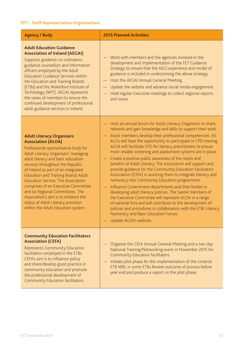## **FET – Staff Representative Organisations**

| <b>Agency / Body</b>                                                                                                                                                                                                                                                                                                                                                                                                                                                                                                                                   | <b>2015 Planned Activities</b>                                                                                                                                                                                                                                                                                                                                                                                                                                                                                                                                                                                                                                                                                                                                                                                                                                                                                                                                                                                                                                                        |
|--------------------------------------------------------------------------------------------------------------------------------------------------------------------------------------------------------------------------------------------------------------------------------------------------------------------------------------------------------------------------------------------------------------------------------------------------------------------------------------------------------------------------------------------------------|---------------------------------------------------------------------------------------------------------------------------------------------------------------------------------------------------------------------------------------------------------------------------------------------------------------------------------------------------------------------------------------------------------------------------------------------------------------------------------------------------------------------------------------------------------------------------------------------------------------------------------------------------------------------------------------------------------------------------------------------------------------------------------------------------------------------------------------------------------------------------------------------------------------------------------------------------------------------------------------------------------------------------------------------------------------------------------------|
| <b>Adult Education Guidance</b><br><b>Association of Ireland (AEGAI)</b><br>Supports guidance co-ordinators,<br>guidance counsellors and information<br>officers employed by the Adult<br><b>Education Guidance Services within</b><br>the Education and Training Boards<br>(ETBs) and the Waterford Institute of<br>Technology (WIT). AEGAI represents<br>the views of members to ensure the<br>continued development of professional<br>adult guidance services in Ireland.                                                                          | - Work with members and the agencies involved in the<br>development and implementation of the FET Guidance<br>Strategy to ensure that the AEGI experience and model of<br>guidance is included in underpinning the above strategy.<br>- Host the AEGAI Annual General Meeting.<br>Update the website and advance social media engagement.<br>$\equiv$<br>Hold regular Executive meetings to collect regional reports<br>and issues.                                                                                                                                                                                                                                                                                                                                                                                                                                                                                                                                                                                                                                                   |
| <b>Adult Literacy Organisers</b><br><b>Association (ALOA)</b><br>Professional representative body for<br>Adult Literacy Organisers' managing<br>adult literacy and basic education<br>services throughout the Republic<br>of Ireland as part of an integrated<br><b>Education and Training Boards Adult</b><br><b>Education Service. The Association</b><br>comprises of an Executive Committee<br>and six Regional Committees. The<br>Association's aim is to enhance the<br>status of Adult Literacy provision<br>within the Adult Education system. | Host an annual forum for Adult Literacy Organisers to share,<br>network and gain knowledge and skills to support their work.<br>Assist members develop their professional competencies. 65<br>ALOs will have the opportunity to participate in CPD training.<br>ALOA will facilitate CPD for literacy practitioners to ensure<br>more reliable screening and assessment systems are in place.<br>Create a positive public awareness of the needs and<br>benefits of Adult Literacy. The Association will support and<br>provide guidance for the Community Education Facilitators<br>Association (CEFA) in assisting them to integrate literacy and<br>numeracy into Community Education programmes.<br>Influence Government departments and their bodies in<br>developing adult literacy policies. The twelve members of<br>the Executive Committee will represent ALOA in a range<br>of national fora and will contribute to the development of<br>policies and procedures in collaboration with the ETBI Literacy<br>Numeracy and Basic Education Forum.<br>Update ALOA's website. |
| <b>Community Education Facilitators</b><br><b>Association (CEFA)</b><br><b>Represents Community Education</b><br>facilitators employed in the ETBs.<br>CEFA's aim is to influence policy<br>and share/develop good practice in<br>community education and promote<br>the professional development of<br>Community Education facilitators.                                                                                                                                                                                                              | Organise the CEFA Annual General Meeting and a two day<br>National Training/Networking event in November 2015 for<br>Community Education facilitators.<br>Initiate pilot phase for the implementation of the Limerick<br>ETB WBL in some ETBs.Review outcome of process before<br>year end and produce a report on the pilot phase.                                                                                                                                                                                                                                                                                                                                                                                                                                                                                                                                                                                                                                                                                                                                                   |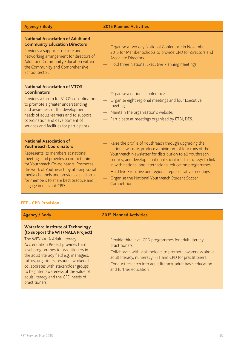| <b>Agency / Body</b>                                                                                                                                                                                                                                                                                                                                  | <b>2015 Planned Activities</b>                                                                                                                                                                                                                                                                                                                                                                                                                                        |
|-------------------------------------------------------------------------------------------------------------------------------------------------------------------------------------------------------------------------------------------------------------------------------------------------------------------------------------------------------|-----------------------------------------------------------------------------------------------------------------------------------------------------------------------------------------------------------------------------------------------------------------------------------------------------------------------------------------------------------------------------------------------------------------------------------------------------------------------|
| <b>National Association of Adult and</b><br><b>Community Education Directors</b><br>Provides a support structure and<br>networking arrangement for directors of<br>Adult and Community Education within<br>the Community and Comprehensive<br>School sector.                                                                                          | Organise a two day National Conference in November<br>2015 for Member Schools to provide CPD for directors and<br><b>Associate Directors</b><br>Hold three National Executive Planning Meetings.                                                                                                                                                                                                                                                                      |
| <b>National Association of VTOS</b><br><b>Coordinators</b><br>Provides a forum for VTOS co-ordinators<br>to promote a greater understanding<br>and awareness of the development<br>needs of adult learners and to support<br>coordination and development of<br>services and facilities for participants.                                             | Organise a national conference.<br>Organise eight regional meetings and four Executive<br>meetings.<br>Maintain the organisation's website.<br>Participate at meetings organised by ETBI, DES.                                                                                                                                                                                                                                                                        |
| <b>National Association of</b><br><b>Youthreach Coordinators</b><br>Represents its members at national<br>meetings and provides a contact point<br>for Youthreach Co-odinators. Promotes<br>the work of Youthreach by utilising social<br>media channels and provides a platform<br>for members to share best practice and<br>engage in relevant CPD. | Raise the profile of Youthreach through upgrading the<br>national website, produce a minimum of four runs of the<br>Youthreach Newsletter for distribution to all Youthreach<br>centres, and develop a national social media strategy to link<br>in with national and international education programmes.<br>Hold five Executive and regional representative meetings.<br>$\overline{\phantom{m}}$<br>Organise the National Youthreach Student Soccer<br>Competition. |

## **FET – CPD Provision**

| <b>Agency / Body</b>                                                                                                                                                                                                                                                                                                                                                                                                          | <b>2015 Planned Activities</b>                                                                                                                                                                                                                                                                 |
|-------------------------------------------------------------------------------------------------------------------------------------------------------------------------------------------------------------------------------------------------------------------------------------------------------------------------------------------------------------------------------------------------------------------------------|------------------------------------------------------------------------------------------------------------------------------------------------------------------------------------------------------------------------------------------------------------------------------------------------|
| <b>Waterford Institute of Technology</b><br>(to support the WIT/NALA Project)<br>The WIT/NALA Adult Literacy<br>Accreditation Project provides third<br>level programmes to practitioners in<br>the adult literacy field e.g. managers,<br>tutors, organisers, resource workers. It<br>collaborates with stakeholder groups<br>to heighten awareness of the value of<br>adult literacy and the CPD needs of<br>practitioners. | - Provide third level CPD programmes for adult literacy<br>practitioners.<br>- Collaborate with stakeholders to promote awareness about<br>adult literacy, numeracy, FET and CPD for practitioners.<br>- Conduct research into adult literacy, adult basic education<br>and further education. |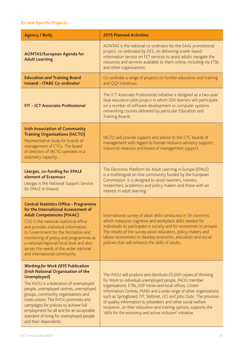## **EU and Specific Projects**

| <b>Agency / Body</b>                                                                                                                                                                                                                                                                                                                                                                                                        | <b>2015 Planned Activities</b>                                                                                                                                                                                                                                                                                                                                                                                                                                                                                                         |
|-----------------------------------------------------------------------------------------------------------------------------------------------------------------------------------------------------------------------------------------------------------------------------------------------------------------------------------------------------------------------------------------------------------------------------|----------------------------------------------------------------------------------------------------------------------------------------------------------------------------------------------------------------------------------------------------------------------------------------------------------------------------------------------------------------------------------------------------------------------------------------------------------------------------------------------------------------------------------------|
| <b>AONTAS/European Agenda for</b><br><b>Adult Learning</b>                                                                                                                                                                                                                                                                                                                                                                  | AONTAS is the national co-ordinator for the EAAL promotional<br>project, co-ordinated by DES, on delivering a web-based<br>information service on FET services to assist adults navigate the<br>resources and services available to them online, including via ETBs<br>and other organisations.                                                                                                                                                                                                                                        |
| <b>Education and Training Board</b><br><b>Ireland - ITABE Co-ordinator</b>                                                                                                                                                                                                                                                                                                                                                  | Co-ordinate a range of projects on further education and training<br>and QQI initiatives.                                                                                                                                                                                                                                                                                                                                                                                                                                              |
| FIT - ICT Associate Professional                                                                                                                                                                                                                                                                                                                                                                                            | The ICT Associate Professional initiative is designed as a two-year<br>dual education pilot project in which 200 learners will participate<br>on a number of software development or computer systems<br>networking courses delivered by particular Education and<br>Training Boards.                                                                                                                                                                                                                                                  |
| <b>Irish Association of Community</b><br><b>Training Organisations (IACTO)</b><br>Representative body for boards of<br>management of CTCs. The board<br>of directors of IACTO operates in a<br>voluntary capacity.                                                                                                                                                                                                          | IACTO will provide support and advice to the CTC boards of<br>management with regard to human resource advisory support;<br>industrial relations and board of management support.                                                                                                                                                                                                                                                                                                                                                      |
| Léargas, co-funding for EPALE<br>element of Erasmus+<br>Léargas is the National Support Service<br>for EPALE in Ireland.                                                                                                                                                                                                                                                                                                    | The Electronic Platform for Adult Learning in Europe (EPALE)<br>is a multilingual on-line community funded by the European<br>Commission. It is designed to assist teachers, trainers,<br>researchers, academics and policy makers and those with an<br>interest in adult learning.                                                                                                                                                                                                                                                    |
| <b>Central Statistics Office - Programme</b><br>for the International Assessment of<br><b>Adult Competencies (PIAAC)</b><br>CSO is the national statistical office<br>and provides statistical information<br>to Government for the formation and<br>monitoring of policy and programmes at<br>a national/regional/local level and also<br>serves the needs of the wider national<br>and international community.           | International survey of adult skills conducted in 33 countries<br>which measures cognitive and workplace skills needed for<br>individuals to participate in society and for economies to prosper.<br>The results of the survey assist educators, policy makers and<br>labour economists to develop economic, education and social<br>policies that will enhance the skills of adults.                                                                                                                                                  |
| <b>Working for Work 2015 Publication</b><br>(Irish National Organisation of the<br>Unemployed)<br>The INOU is a federation of unemployed<br>people, unemployed centres, unemployed<br>groups, community organisations and<br>trade unions. The INOU promotes and<br>campaigns for policies to achieve full<br>employment for all and for an acceptable<br>standard of living for unemployed people<br>and their dependents. | The INOU will produce and distribute 25,000 copies of Working<br>for Work to individual unemployed people, INOU member<br>organisations, ETBs, DSP Intreo and local offices, Citizen<br>Information Centres, MABS and a wide range of other organisations<br>such as Springboard, FIT, Skillsnet, LES and Jobs Clubs. The provision<br>of quality information to jobseekers and other social welfare<br>recipients, on their education and training options, supports the<br>'skills for the economy and active inclusion' initiative. |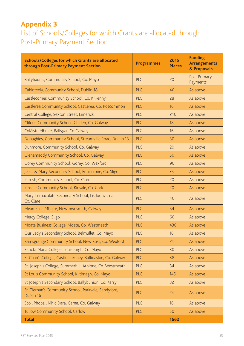# **Appendix 3**

# List of Schools/Colleges for which Grants are allocated through Post-Primary Payment Section

| <b>Schools/Colleges for which Grants are allocated</b><br>through Post-Primary Payment Section | <b>Programmes</b> | 2015<br><b>Places</b> | <b>Funding</b><br><b>Arrangements</b><br>& Proposals |
|------------------------------------------------------------------------------------------------|-------------------|-----------------------|------------------------------------------------------|
| Ballyhaunis, Community School, Co. Mayo                                                        | PLC               | 20                    | Post Primary<br>Payments                             |
| Cabinteely, Community School, Dublin 18                                                        | PLC               | 40                    | As above                                             |
| Castlecomer, Community School, Co. Kilkenny                                                    | PLC               | 28                    | As above                                             |
| Castlerea Community School, Castlerea, Co. Roscommon                                           | PLC               | 16                    | As above                                             |
| Central College, Sexton Street, Limerick                                                       | PLC               | 240                   | As above                                             |
| Clifden Community School, Clifden, Co. Galway                                                  | PLC               | 18                    | As above                                             |
| Coláiste Mhuire, Ballygar, Co Galway                                                           | PLC               | 16                    | As above                                             |
| Donaghies, Community School, Streamville Road, Dublin 13                                       | PLC               | 30                    | As above                                             |
| Dunmore, Community School, Co. Galway                                                          | PLC               | 20                    | As above                                             |
| Glenamaddy Community School, Co. Galway                                                        | PLC               | 50                    | As above                                             |
| Gorey Community School, Gorey, Co. Wexford                                                     | PLC               | 96                    | As above                                             |
| Jesus & Mary Secondary School, Enniscrone, Co. Sligo                                           | PLC               | 75                    | As above                                             |
| Kilrush, Community School, Co. Clare                                                           | PLC               | 20                    | As above                                             |
| Kinsale Community School, Kinsale, Co. Cork                                                    | PLC               | 20                    | As above                                             |
| Mary Immaculate Secondary School, Lisdoonvarna,<br>Co. Clare                                   | PLC               | 40                    | As above                                             |
| Mean Scoil Mhuire, Newtownsmith, Galway                                                        | PLC               | 34                    | As above                                             |
| Mercy College, Sligo                                                                           | PLC               | 60                    | As above                                             |
| Moate Business College, Moate, Co. Westmeath                                                   | PLC               | 430                   | As above                                             |
| Our Lady's Secondary School, Belmullet, Co. Mayo                                               | PLC               | 16                    | As above                                             |
| Ramsgrange Community School, New Ross, Co. Wexford                                             | PLC               | 24                    | As above                                             |
| Sancta Maria College, Louisburgh, Co. Mayo                                                     | PLC               | 30                    | As above                                             |
| St Cuan's College, Castleblakeney, Ballinasloe, Co. Galway                                     | PLC               | 38                    | As above                                             |
| St. Joseph's College, Summerhill, Athlone, Co. Westmeath                                       | PLC               | 34                    | As above                                             |
| St Louis Community School, Kiltimagh, Co. Mayo                                                 | PLC               | 145                   | As above                                             |
| St Joseph's Secondary School, Ballybunion, Co. Kerry                                           | PLC               | 32                    | As above                                             |
| St. Tiernan's Community School, Parkvale, Sandyford,<br>Dublin 16                              | PLC               | 24                    | As above                                             |
| Scoil Phobail Mhic Dara, Carna, Co. Galway                                                     | PLC               | 16                    | As above                                             |
| Tullow Community School, Carlow                                                                | PLC               | 50                    | As above                                             |
| <b>Total</b>                                                                                   |                   | 1662                  |                                                      |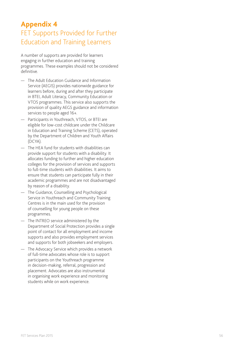## **Appendix 4** FET Supports Provided for Further Education and Training Learners

A number of supports are provided for learners engaging in further education and training programmes. These examples should not be considered definitive.<br>
— The Adult Education Guidance and Information

- Service (AEGIS) provides nationwide guidance for learners before, during and after they participate in BTEI, Adult Literacy, Community Education or VTOS programmes. This service also supports the provision of quality AEGS guidance and information services to people aged 16+.
- Participants in Youthreach, VTOS, or BTEI are eligible for low-cost childcare under the Childcare in Education and Training Scheme (CETS), operated by the Department of Children and Youth Affairs (DCYA).
- The HEA fund for students with disabilities can provide support for students with a disability. It allocates funding to further and higher education colleges for the provision of services and supports to full-time students with disabilities. It aims to ensure that students can participate fully in their academic programmes and are not disadvantaged by reason of a disability.
- The Guidance, Counselling and Psychological Service in Youthreach and Community Training Centres is in the main used for the provision of counselling for young people on these programmes.
- The INTREO service administered by the Department of Social Protection provides a single point of contact for all employment and income supports and also provides employment services and supports for both jobseekers and employers.
- The Advocacy Service which provides a network of full-time advocates whose role is to support participants on the Youthreach programme in decision-making, referral, progression and placement. Advocates are also instrumental in organising work experience and monitoring students while on work experience.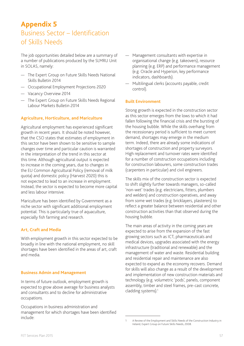# **Appendix 5** Business Sector – Identification of Skills Needs

The job opportunities detailed below are a summary of a number of publications produced by the SLMRU Unit in SOLAS, namely:

- The Expert Group on Future Skills Needs National Skills Bulletin 2014
- Occupational Employment Projections 2020
- Vacancy Overview 2014
- The Expert Group on Future Skills Needs Regional Labour Markets Bulletin 2014

#### **Agriculture, Horticulture, and Mariculture**

Agricultural employment has experienced significant growth in recent years. It should be noted however, that the CSO states that estimates of employment in this sector have been shown to be sensitive to sample changes over time and particular caution is warranted in the interpretation of the trend in this sector at this time. Although agricultural output is expected to increase in the coming years, due to changes in the EU Common Agricultural Policy (removal of milk quota) and domestic policy (Harvest 2020) this is not expected to lead to an increase in employment. Instead, the sector is expected to become more capital and less labour intensive.

Mariculture has been identified by Government as a niche sector with significant additional employment potential. This is particularly true of aquaculture, especially fish farming and research.

#### **Art, Craft and Media**

With employment growth in this sector expected to be broadly in line with the national employment, no skill shortages have been identified in the areas of art, craft and media.

#### **Business Admin and Management**

In terms of future outlook, employment growth is expected to grow above average for business analysts and consultants and to decline for administrative occupations.

Occupations in business administration and management for which shortages have been identified include:

- Management consultants with expertise in organisational change (e.g. takeovers), resource planning (e.g. ERP) and performance management (e.g. Oracle and Hyperion, key performance indicators, dashboards).
- Multilingual clerks (accounts payable, credit control).

#### **Built Environment**

Strong growth is expected in the construction sector as this sector emerges from the lows to which it had fallen following the financial crisis and the bursting of the housing bubble. While the skills overhang from the recessionary period is sufficient to meet current demand, shortages may emerge in the medium term. Indeed, there are already some indications of shortages of construction and property surveyors. High replacement and turnover rates were identified for a number of construction occupations including for construction labourers, some construction trades (carpenters in particular) and civil engineers.

The skills mix of the construction sector is expected to shift slightly further towards managers, so-called 'non-wet' trades (e.g. electricians, fitters, plumbers and welders) and construction operatives, and away from some wet trades (e.g. bricklayers, plasterers) to reflect a greater balance between residential and other construction activities than that observed during the housing bubble.

The main areas of activity in the coming years are expected to arise from the expansion of the fast growing sectors such as ICT, pharmaceuticals and medical devices, upgrades associated with the energy infrastructure (traditional and renewable) and the management of water and waste. Residential building and residential repair and maintenance are also expected to expand as the economy recovers. Demand for skills will also change as a result of the development and implementation of new construction materials and technology (e.g. volumetric 'pods', panels, component assembly, timber and steel frames, pre-cast concrete, cladding systems).<sup>1</sup>

<sup>1</sup> A Review of the Employment and Skills Needs of the Construction Industry in Ireland, Expert Group on Future Skills Needs, 2008.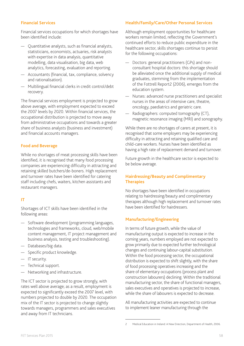#### **Financial Services**

Financial services occupations for which shortages have been identified include:

- Quantitative analysts, such as financial analysts, statisticians, economists, actuaries, risk analysts with expertise in data analysis, quantitative modelling, data visualisation, big data, web analytics, forecasting, evaluation and reporting.
- Accountants (financial, tax, compliance, solvency and rationalisation).
- Multilingual financial clerks in credit control/debt recovery.

The financial services employment is projected to grow above average, with employment expected to exceed the 2007 levels by 2020. Within financial services, the occupational distribution is projected to move away from administrative occupations and towards a greater share of business analysts (business and investment) and financial accounts managers.

#### **Food and Beverage**

While no shortages of meat processing skills have been identified, it is recognised that many food processing companies are experiencing difficulty in attracting and retaining skilled butchers/de-boners. High replacement and turnover rates have been identified for catering staff including chefs, waiters, kitchen assistants and restaurant managers.

#### **IT**

Shortages of ICT skills have been identified in the following areas:

- Software development (programming languages, technologies and frameworks, cloud, web/mobile content management, IT project management and business analysis, testing and troubleshooting).
- Databases/big data.
- Specific product knowledge.
- IT security.
- Technical support.
- Networking and infrastructure.

The ICT sector is projected to grow strongly, with rates well above average; as a result, employment is expected to significantly exceed the 2007 level, with numbers projected to double by 2020. The occupation mix of the IT sector is projected to change slightly towards managers, programmers and sales executives and away from IT technicians.

#### **Health/Family/Care/Other Personal Services**

Although employment opportunities for healthcare workers remain limited, reflecting the Government's continued efforts to reduce public expenditure in the healthcare sector, skills shortages continue to persist for the following occupations:

- Doctors: general practitioners (GPs) and nonconsultant hospital doctors: this shortage should be alleviated once the additional supply of medical graduates, stemming from the implementation of the Fottrell Report2 (2006), emerges from the education system.
- Nurses: advanced nurse practitioners and specialist nurses in the areas of intensive care, theatre, oncology, paediatrics and geriatric care.
- Radiographers: computed tomography (CT), magnetic resonance imaging (MRI) and sonography.

While there are no shortages of carers at present, it is recognised that some employers may be experiencing difficulty in attracting and retaining qualified care and child-care workers. Nurses have been identified as having a high rate of replacement demand and turnover.

Future growth in the healthcare sector is expected to be below average.

#### **Hairdressing/Beauty and Complimentary Therapies**

No shortages have been identified in occupations relating to hairdressing/beauty and complimentary therapies although high replacement and turnover rates have been identified for hairdressers.

#### **Manufacturing/Engineering**

In terms of future growth, while the value of manufacturing output is expected to increase in the coming years, numbers employed are not expected to grow primarily due to expected further technological changes and continuing labour-capital substitution. Within the food processing sector, the occupational distribution is expected to shift slightly, with the share of food processing operatives increasing and the share of elementary occupations (process plant and construction labourers) declining. Within the traditional manufacturing sector, the share of functional managers, sales executives and operatives is projected to increase, while the share of labourers is expected to decrease.

All manufacturing activities are expected to continue to implement leaner manufacturing through the

<sup>2</sup> Medical Education in Ireland: A New Direction, Department of Health, 2006.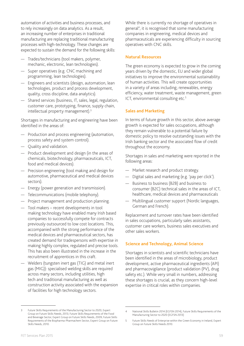automation of activities and business processes, and to rely increasingly on data analytics. As a result, an increasing number of enterprises in traditional manufacturing are replacing traditional manufacturing processes with high-technology. These changes are expected to sustain the demand for the following skills:

- Trades/technicians (tool makers, polymer, mechanic, electronic, lean technologies).
- Super operatives (e.g. CNC machining and programming, lean technologies).
- Engineers and scientists (design, automation, lean technologies, product and process development, quality, cross discipline, data analytics).
- Shared services (business, IT, sales, legal, regulation, customer care, prototyping, finance, supply chain, intellectual property management).3

Shortages in manufacturing and engineering have been identified in the areas of:

- Production and process engineering (automation, process safety and system control).
- Quality and validation.
- Product development and design (in the areas of chemicals, biotechnology, pharmaceuticals, ICT, food and medical devices).
- Precision engineering (tool making and design for automotive, pharmaceutical and medical devices sectors).
- Energy (power generation and transmission).
- Telecommunications (mobile telephony).
- Project management and production planning.
- Tool makers recent developments in tool making technology have enabled many Irish based companies to successfully compete for contracts previously outsourced to low cost locations. This, accompanied with the strong performance of the medical devices and pharmaceutical sectors, has created demand for tradespersons with expertise in making highly complex, regulated and precise tools. This has also been illustrated in the increase in the recruitment of apprentices in this craft.
- Welders (tungsten inert gas (TIG) and metal inert gas (MIG)): specialised welding skills are required across many sectors, including utilities, high tech and traditional manufacturing as well as construction activity associated with the expansion of facilities for high technology sectors.

While there is currently no shortage of operatives in general4 , it is recognised that some manufacturing companies in engineering, medical devices and pharmaceuticals are experiencing difficulty in sourcing operatives with CNC skills.

#### **Natural Resources**

The green economy is expected to grow in the coming years driven by the domestic, EU and wider global initiatives to improve the environmental sustainability of human activities. This will create opportunities in a variety of areas including; renewables, energy efficiency, water treatment, waste management, green ICT, environmental consulting etc.<sup>5</sup>

#### **Sales and Marketing**

In terms of future growth in this sector, above average growth is expected for sales occupations, although they remain vulnerable to a potential failure by domestic policy to resolve outstanding issues with the Irish banking sector and the associated flow of credit throughout the economy.

Shortages in sales and marketing were reported in the following areas:

- Market research and product strategy.
- Digital sales and marketing (e.g. 'pay per click').
- Business to business (B2B) and business to consumer (B2C) technical sales in the areas of ICT, healthcare, medical devices and pharmaceuticals
- Multilingual customer support (Nordic languages, German and French).

Replacement and turnover rates have been identified in sales occupations, particularly sales assistants, customer care workers, business sales executives and other sales workers.

#### **Science and Technology, Animal Science**

Shortages in scientists and scientific technicians have been identified in the areas of microbiology, product development, active pharmaceutical ingredients (API) and pharmacovigilance (product validation (PV), drug safety etc.). While very small in numbers, addressing these shortages is crucial, as they concern high-level expertise in critical roles within companies.

<sup>3</sup> Future Skills Requirements of the Manufacturing Sector to 2020, Expert Group on Future Skills Needs, 2013; Future Skills Requirements of the Food and Beverage Sector, Expert Group on Future Skills Needs, 2009; Future Skills Requirements of the Biopharma-Pharmachem Sector, Expert Group on Future Skills Needs, 2010.

<sup>4</sup> National Skills Bulletin 2014 (EGFSN 2014), Future Skills Requirements of the Manufacturing Sector to 2020 (EGFSN 2013)

<sup>5</sup> Future Skills Needs of Enterprise within the Green Economy in Ireland, Expert Group on Future Skills Needs 2010.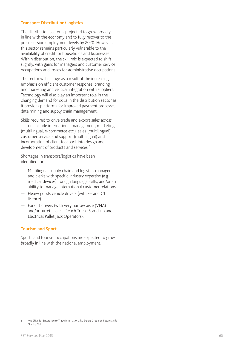#### **Transport Distribution/Logistics**

The distribution sector is projected to grow broadly in line with the economy and to fully recover to the pre-recession employment levels by 2020. However, this sector remains particularly vulnerable to the availability of credit for households and businesses. Within distribution, the skill mix is expected to shift slightly, with gains for managers and customer service occupations and losses for administrative occupations.

The sector will change as a result of the increasing emphasis on efficient customer response, branding and marketing and vertical integration with suppliers. Technology will also play an important role in the changing demand for skills in the distribution sector as it provides platforms for improved payment processes, data mining and supply chain management.

Skills required to drive trade and export sales across sectors include international management, marketing (multilingual, e-commerce etc.), sales (multilingual), customer service and support (multilingual) and incorporation of client feedback into design and development of products and services. 6

Shortages in transport/logistics have been identified for:

- Multilingual supply chain and logistics managers and clerks with specific industry expertise (e.g. medical devices), foreign language skills, and/or an ability to manage international customer relations.
- Heavy goods vehicle drivers (with E+ and C1 licence).
- Forklift drivers (with very narrow aisle (VNA) and/or turret licence; Reach Truck, Stand-up and Electrical Pallet Jack Operators).

#### **Tourism and Sport**

Sports and tourism occupations are expected to grow broadly in line with the national employment.

<sup>6</sup> Key Skills for Enterprise to Trade Internationally, Expert Group on Future Skills Needs, 2012.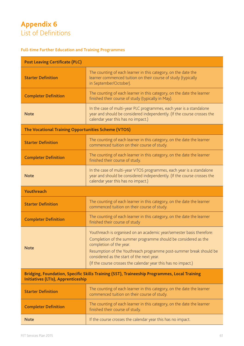# **Appendix 6** List of Definitions

## **Full-time Further Education and Training Programmes**

| <b>Post Leaving Certificate (PLC)</b>                                                                                                     |                                                                                                                                                                                                                                                                                                                                                        |
|-------------------------------------------------------------------------------------------------------------------------------------------|--------------------------------------------------------------------------------------------------------------------------------------------------------------------------------------------------------------------------------------------------------------------------------------------------------------------------------------------------------|
| <b>Starter Definition</b>                                                                                                                 | The counting of each learner in this category, on the date the<br>learner commenced tuition on their course of study (typically<br>in September/October).                                                                                                                                                                                              |
| <b>Completer Definition</b>                                                                                                               | The counting of each learner in this category, on the date the learner<br>finished their course of study (typically in May).                                                                                                                                                                                                                           |
| <b>Note</b>                                                                                                                               | In the case of multi-year PLC programmes, each year is a standalone<br>year and should be considered independently. (If the course crosses the<br>calendar year this has no impact.)                                                                                                                                                                   |
| The Vocational Training Opportunities Scheme (VTOS)                                                                                       |                                                                                                                                                                                                                                                                                                                                                        |
| <b>Starter Definition</b>                                                                                                                 | The counting of each learner in this category, on the date the learner<br>commenced tuition on their course of study.                                                                                                                                                                                                                                  |
| <b>Completer Definition</b>                                                                                                               | The counting of each learner in this category, on the date the learner<br>finished their course of study.                                                                                                                                                                                                                                              |
| <b>Note</b>                                                                                                                               | In the case of multi-year VTOS programmes, each year is a standalone<br>year and should be considered independently. (If the course crosses the<br>calendar year this has no impact.)                                                                                                                                                                  |
| Youthreach                                                                                                                                |                                                                                                                                                                                                                                                                                                                                                        |
| <b>Starter Definition</b>                                                                                                                 | The counting of each learner in this category, on the date the learner<br>commenced tuition on their course of study.                                                                                                                                                                                                                                  |
| <b>Completer Definition</b>                                                                                                               | The counting of each learner in this category, on the date the learner<br>finished their course of study                                                                                                                                                                                                                                               |
| <b>Note</b>                                                                                                                               | Youthreach is organised on an academic year/semester basis therefore:<br>Completion of the summer programme should be considered as the<br>completion of the year.<br>Resumption of the Youthreach programme post-summer break should be<br>considered as the start of the next year.<br>(If the course crosses the calendar year this has no impact.) |
| Bridging, Foundation, Specific Skills Training (SST), Traineeship Programmes, Local Training<br><b>Initiatives (LTIs), Apprenticeship</b> |                                                                                                                                                                                                                                                                                                                                                        |
| <b>Starter Definition</b>                                                                                                                 | The counting of each learner in this category, on the date the learner<br>commenced tuition on their course of study.                                                                                                                                                                                                                                  |
| <b>Completer Definition</b>                                                                                                               | The counting of each learner in this category, on the date the learner<br>finished their course of study.                                                                                                                                                                                                                                              |
| <b>Note</b>                                                                                                                               | If the course crosses the calendar year this has no impact.                                                                                                                                                                                                                                                                                            |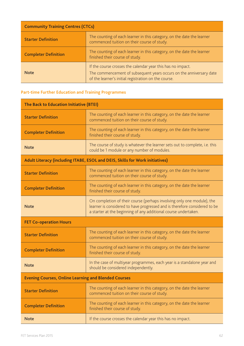| <b>Community Training Centres (CTCs)</b> |                                                                                                                                                                                            |
|------------------------------------------|--------------------------------------------------------------------------------------------------------------------------------------------------------------------------------------------|
| <b>Starter Definition</b>                | The counting of each learner in this category, on the date the learner<br>commenced tuition on their course of study.                                                                      |
| <b>Completer Definition</b>              | The counting of each learner in this category, on the date the learner<br>finished their course of study.                                                                                  |
| <b>Note</b>                              | If the course crosses the calendar year this has no impact.<br>The commencement of subsequent years occurs on the anniversary date<br>of the learner's initial registration on the course. |

## **Part-time Further Education and Training Programmes**

| The Back to Education Initiative (BTEI)                     |                                                                                                                                                                                                                         |
|-------------------------------------------------------------|-------------------------------------------------------------------------------------------------------------------------------------------------------------------------------------------------------------------------|
| <b>Starter Definition</b>                                   | The counting of each learner in this category, on the date the learner<br>commenced tuition on their course of study.                                                                                                   |
| <b>Completer Definition</b>                                 | The counting of each learner in this category, on the date the learner<br>finished their course of study.                                                                                                               |
| <b>Note</b>                                                 | The course of study is whatever the learner sets out to complete, i.e. this<br>could be 1 module or any number of modules.                                                                                              |
|                                                             | Adult Literacy (including ITABE, ESOL and DEIS, Skills for Work initiatives)                                                                                                                                            |
| <b>Starter Definition</b>                                   | The counting of each learner in this category, on the date the learner<br>commenced tuition on their course of study.                                                                                                   |
| <b>Completer Definition</b>                                 | The counting of each learner in this category, on the date the learner<br>finished their course of study.                                                                                                               |
| <b>Note</b>                                                 | On completion of their course (perhaps involving only one module), the<br>learner is considered to have progressed and is therefore considered to be<br>a starter at the beginning of any additional course undertaken. |
| <b>FET Co-operation Hours</b>                               |                                                                                                                                                                                                                         |
| <b>Starter Definition</b>                                   | The counting of each learner in this category, on the date the learner<br>commenced tuition on their course of study.                                                                                                   |
| <b>Completer Definition</b>                                 | The counting of each learner in this category, on the date the learner<br>finished their course of study.                                                                                                               |
| <b>Note</b>                                                 | In the case of multiyear programmes, each year is a standalone year and<br>should be considered independently.                                                                                                          |
| <b>Evening Courses, Online Learning and Blended Courses</b> |                                                                                                                                                                                                                         |
| <b>Starter Definition</b>                                   | The counting of each learner in this category, on the date the learner<br>commenced tuition on their course of study.                                                                                                   |
| <b>Completer Definition</b>                                 | The counting of each learner in this category, on the date the learner<br>finished their course of study.                                                                                                               |
| <b>Note</b>                                                 | If the course crosses the calendar year this has no impact.                                                                                                                                                             |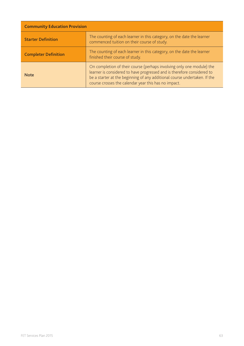| <b>Community Education Provision</b> |                                                                                                                                                                                                                                                                                       |
|--------------------------------------|---------------------------------------------------------------------------------------------------------------------------------------------------------------------------------------------------------------------------------------------------------------------------------------|
| <b>Starter Definition</b>            | The counting of each learner in this category, on the date the learner<br>commenced tuition on their course of study.                                                                                                                                                                 |
| <b>Completer Definition</b>          | The counting of each learner in this category, on the date the learner<br>finished their course of study.                                                                                                                                                                             |
| <b>Note</b>                          | On completion of their course (perhaps involving only one module) the<br>learner is considered to have progressed and is therefore considered to<br>be a starter at the beginning of any additional course undertaken. If the<br>course crosses the calendar year this has no impact. |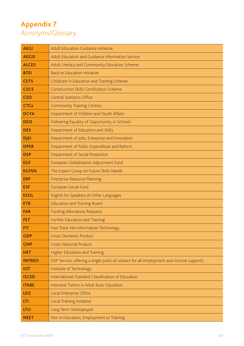# **Appendix 7**  Acronyms/Glossary

| <b>AEGI</b>   | Adult Education Guidance Initiative                                                    |
|---------------|----------------------------------------------------------------------------------------|
| <b>AEGIS</b>  | Adult Education and Guidance Information Service                                       |
| <b>ALCES</b>  | Adult Literacy and Community Education Scheme                                          |
| <b>BTEI</b>   | <b>Back to Education Initiative</b>                                                    |
| <b>CETS</b>   | Childcare in Education and Training Scheme                                             |
| <b>CSCS</b>   | <b>Construction Skills Certification Scheme</b>                                        |
| <b>CSO</b>    | <b>Central Statistics Office</b>                                                       |
| <b>CTCs</b>   | <b>Community Training Centres</b>                                                      |
| <b>DCYA</b>   | Department of Children and Youth Affairs                                               |
| <b>DEIS</b>   | Delivering Equality of Opportunity in Schools                                          |
| <b>DES</b>    | Department of Education and Skills                                                     |
| <b>DJEI</b>   | Department of Jobs, Enterprise and Innovation                                          |
| <b>DPER</b>   | Department of Public Expenditure and Reform                                            |
| <b>DSP</b>    | Department of Social Protection                                                        |
| <b>EGF</b>    | European Globalisation Adjustment Fund                                                 |
| <b>EGFSN</b>  | The Expert Group on Future Skills Needs                                                |
| <b>ERP</b>    | <b>Enterprise Resource Planning</b>                                                    |
| <b>ESF</b>    | European Social Fund                                                                   |
| <b>ESOL</b>   | English for Speakers of Other Languages                                                |
| <b>ETB</b>    | <b>Education and Training Board</b>                                                    |
| <b>FAR</b>    | <b>Funding Allocations Requests</b>                                                    |
| <b>FET</b>    | Further Education and Training                                                         |
| FIT.          | Fast Track Into Information Technology                                                 |
| <b>GDP</b>    | <b>Gross Domestic Product</b>                                                          |
| <b>GNP</b>    | <b>Gross National Product</b>                                                          |
| <b>HET</b>    | <b>Higher Education and Training</b>                                                   |
| <b>INTREO</b> | DSP Service, offering a single point of contact for all employment and income supports |
| <b>IOT</b>    | Institute of Technology                                                                |
| <b>ISCED</b>  | International Standard Classification of Education                                     |
| <b>ITABE</b>  | Intensive Tuition in Adult Basic Education                                             |
| <b>LEO</b>    | Local Enterprise Office                                                                |
| LTI           | Local Training Initiative                                                              |
| <b>LTU</b>    | Long Term Unemployed                                                                   |
| <b>NEET</b>   | Not in Education, Employment or Training                                               |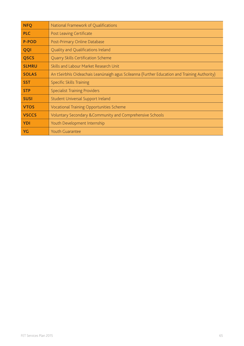| <b>NFQ</b>   | National Framework of Qualifications                                                         |
|--------------|----------------------------------------------------------------------------------------------|
| <b>PLC</b>   | Post Leaving Certificate                                                                     |
| <b>P-POD</b> | Post-Primary Online Database                                                                 |
| QQI          | Quality and Qualifications Ireland                                                           |
| <b>QSCS</b>  | Quarry Skills Certification Scheme                                                           |
| <b>SLMRU</b> | Skills and Labour Market Research Unit                                                       |
| <b>SOLAS</b> | An tSeirbhís Oideachais Leanúnaigh agus Scileanna (Further Education and Training Authority) |
| <b>SST</b>   | <b>Specific Skills Training</b>                                                              |
| <b>STP</b>   | <b>Specialist Training Providers</b>                                                         |
| <b>SUSI</b>  | Student Universal Support Ireland                                                            |
| <b>VTOS</b>  | Vocational Training Opportunities Scheme                                                     |
| <b>VSCCS</b> | Voluntary Secondary & Community and Comprehensive Schools                                    |
| <b>YDI</b>   | Youth Development Internship                                                                 |
| <b>YG</b>    | <b>Youth Guarantee</b>                                                                       |